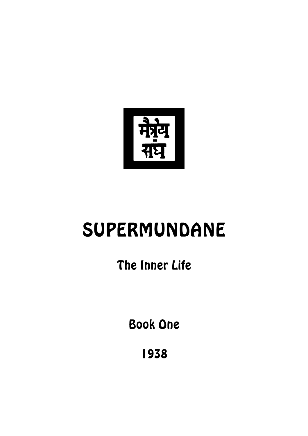

## SUPERMUNDANE<br>The Inner Life

Book One

1938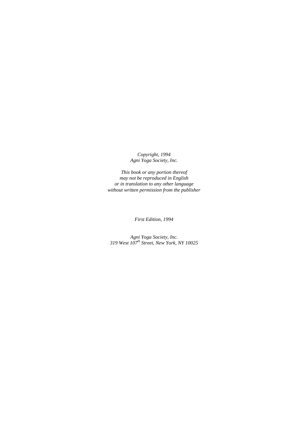*Copyright, 1994 Agni Yoga Society, Inc.*

*This book or any portion thereof may not be reproduced in English or in translation to any other language without written permission from the publisher*

*First Edition, 1994* 

*Agni Yoga Society, Inc. 319 West 107th Street, New York, NY 10025*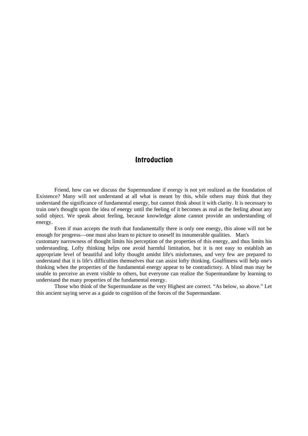## Introduction

Friend, how can we discuss the Supermundane if energy is not yet realized as the foundation of Existence? Many will not understand at all what is meant by this, while others may think that they understand the significance of fundamental energy, but cannot think about it with clarity. It is necessary to train one's thought upon the idea of energy until the feeling of it becomes as real as the feeling about any solid object. We speak about feeling, because knowledge alone cannot provide an understanding of energy.

 Even if man accepts the truth that fundamentally there is only one energy, this alone will not be enough for progress—one must also learn to picture to oneself its innumerable qualities. Man's

customary narrowness of thought limits his perception of the properties of this energy, and thus limits his understanding. Lofty thinking helps one avoid harmful limitation, but it is not easy to establish an appropriate level of beautiful and lofty thought amidst life's misfortunes, and very few are prepared to understand that it is life's difficulties themselves that can assist lofty thinking. Goalfitness will help one's thinking when the properties of the fundamental energy appear to be contradictory. A blind man may be unable to perceive an event visible to others, but everyone can realize the Supermundane by learning to understand the many properties of the fundamental energy.

 Those who think of the Supermundane as the very Highest are correct. "As below, so above." Let this ancient saying serve as a guide to cognition of the forces of the Supermundane.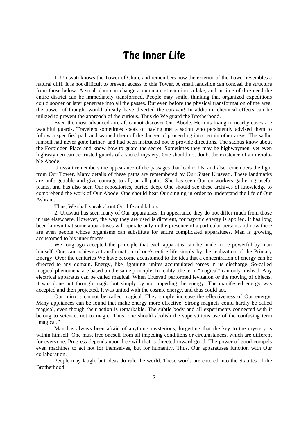## The Inner Life

 1. Urusvati knows the Tower of Chun, and remembers how the exterior of the Tower resembles a natural cliff. It is not difficult to prevent access to this Tower. A small landslide can conceal the structure from those below. A small dam can change a mountain stream into a lake, and in time of dire need the entire district can be immediately transformed. People may smile, thinking that organized expeditions could sooner or later penetrate into all the passes. But even before the physical transformation of the area, the power of thought would already have diverted the caravan! In addition, chemical effects can be utilized to prevent the approach of the curious. Thus do We guard the Brotherhood.

 Even the most advanced aircraft cannot discover Our Abode. Hermits living in nearby caves are watchful guards. Travelers sometimes speak of having met a sadhu who persistently advised them to follow a specified path and warned them of the danger of proceeding into certain other areas. The sadhu himself had never gone farther, and had been instructed not to provide directions. The sadhus know about the Forbidden Place and know how to guard the secret. Sometimes they may be highwaymen, yet even highwaymen can be trusted guards of a sacred mystery. One should not doubt the existence of an inviolable Abode.

 Urusvati remembers the appearance of the passages that lead to Us, and also remembers the light from Our Tower. Many details of these paths are remembered by Our Sister Urusvati. These landmarks are unforgettable and give courage to all, on all paths. She has seen Our co-workers gathering useful plants, and has also seen Our repositories, buried deep. One should see these archives of knowledge to comprehend the work of Our Abode. One should hear Our singing in order to understand the life of Our Ashram.

Thus, We shall speak about Our life and labors.

 2. Urusvati has seen many of Our apparatuses. In appearance they do not differ much from those in use elsewhere. However, the way they are used is different, for psychic energy is applied. It has long been known that some apparatuses will operate only in the presence of a particular person, and now there are even people whose organisms can substitute for entire complicated apparatuses. Man is growing accustomed to his inner forces.

 We long ago accepted the principle that each apparatus can be made more powerful by man himself. One can achieve a transformation of one's entire life simply by the realization of the Primary Energy. Over the centuries We have become accustomed to the idea that a concentration of energy can be directed to any domain. Energy, like lightning, unites accumulated forces in its discharge. So-called magical phenomena are based on the same principle. In reality, the term "magical" can only mislead. Any electrical apparatus can be called magical. When Urusvati performed levitation or the moving of objects, it was done not through magic but simply by not impeding the energy. The manifested energy was accepted and then projected. It was united with the cosmic energy, and thus could act.

 Our mirrors cannot be called magical. They simply increase the effectiveness of Our energy. Many appliances can be found that make energy more effective. Strong magnets could hardly be called magical, even though their action is remarkable. The subtle body and all experiments connected with it belong to science, not to magic. Thus, one should abolish the superstitious use of the confusing term "magical."

 Man has always been afraid of anything mysterious, forgetting that the key to the mystery is within himself. One must free oneself from all impeding conditions or circumstances, which are different for everyone. Progress depends upon free will that is directed toward good. The power of good compels even machines to act not for themselves, but for humanity. Thus, Our apparatuses function with Our collaboration.

 People may laugh, but ideas do rule the world. These words are entered into the Statutes of the Brotherhood.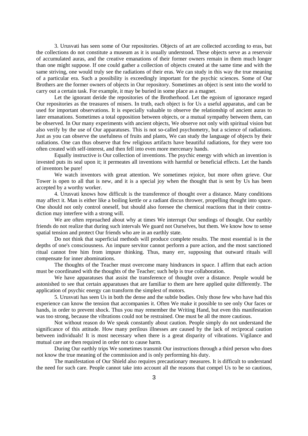3. Urusvati has seen some of Our repositories. Objects of art are collected according to eras, but the collections do not constitute a museum as it is usually understood. These objects serve as a reservoir of accumulated auras, and the creative emanations of their former owners remain in them much longer than one might suppose. If one could gather a collection of objects created at the same time and with the same striving, one would truly see the radiations of their eras. We can study in this way the true meaning of a particular era. Such a possibility is exceedingly important for the psychic sciences. Some of Our Brothers are the former owners of objects in Our repository. Sometimes an object is sent into the world to carry out a certain task. For example, it may be buried in some place as a magnet.

 Let the ignorant deride the repositories of the Brotherhood. Let the egoism of ignorance regard Our repositories as the treasures of misers. In truth, each object is for Us a useful apparatus, and can be used for important observations. It is especially valuable to observe the relationship of ancient auras to later emanations. Sometimes a total opposition between objects, or a mutual sympathy between them, can be observed. In Our many experiments with ancient objects, We observe not only with spiritual vision but also verify by the use of Our apparatuses. This is not so-called psychometry, but a science of radiations. Just as you can observe the usefulness of fruits and plants, We can study the language of objects by their radiations. One can thus observe that few religious artifacts have beautiful radiations, for they were too often created with self-interest, and then fell into even more mercenary hands.

 Equally instructive is Our collection of inventions. The psychic energy with which an invention is invested puts its seal upon it; it permeates all inventions with harmful or beneficial effects. Let the hands of inventors be pure!

 We watch inventors with great attention. We sometimes rejoice, but more often grieve. Our Tower is open to all that is new, and it is a special joy when the thought that is sent by Us has been accepted by a worthy worker.

 4. Urusvati knows how difficult is the transference of thought over a distance. Many conditions may affect it. Man is either like a boiling kettle or a radiant discus thrower, propelling thought into space. One should not only control oneself, but should also foresee the chemical reactions that in their contradiction may interfere with a strong will.

 We are often reproached about why at times We interrupt Our sendings of thought. Our earthly friends do not realize that during such intervals We guard not Ourselves, but them. We know how to sense spatial tension and protect Our friends who are in an earthly state.

 Do not think that superficial methods will produce complete results. The most essential is in the depths of one's consciousness. An impure servitor cannot perform a pure action, and the most sanctioned ritual cannot free him from impure thinking. Thus, many err, supposing that outward rituals will compensate for inner abominations.

 The thoughts of the Teacher must overcome many hindrances in space. I affirm that each action must be coordinated with the thoughts of the Teacher; such help is true collaboration.

 We have apparatuses that assist the transference of thought over a distance. People would be astonished to see that certain apparatuses that are familiar to them are here applied quite differently. The application of psychic energy can transform the simplest of motors.

 5. Urusvati has seen Us in both the dense and the subtle bodies. Only those few who have had this experience can know the tension that accompanies it. Often We make it possible to see only Our faces or hands, in order to prevent shock. Thus you may remember the Writing Hand, but even this manifestation was too strong, because the vibrations could not be restrained. One must be all the more cautious.

 Not without reason do We speak constantly about caution. People simply do not understand the significance of this attitude. How many perilous illnesses are caused by the lack of reciprocal caution between individuals! It is most necessary when there is a great disparity of vibrations. Vigilance and mutual care are then required in order not to cause harm.

 During Our earthly trips We sometimes transmit Our instructions through a third person who does not know the true meaning of the commission and is only performing his duty.

 The manifestation of Our Shield also requires precautionary measures. It is difficult to understand the need for such care. People cannot take into account all the reasons that compel Us to be so cautious,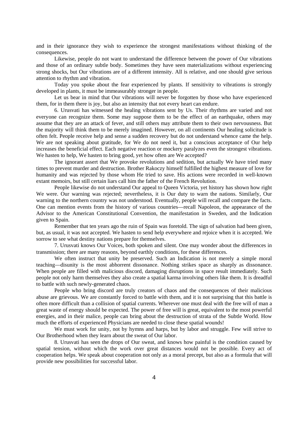and in their ignorance they wish to experience the strongest manifestations without thinking of the consequences.

 Likewise, people do not want to understand the difference between the power of Our vibrations and those of an ordinary subtle body. Sometimes they have seen materializations without experiencing strong shocks, but Our vibrations are of a different intensity. All is relative, and one should give serious attention to rhythm and vibration.

 Today you spoke about the fear experienced by plants. If sensitivity to vibrations is strongly developed in plants, it must be immeasurably stronger in people.

 Let us bear in mind that Our vibrations will never be forgotten by those who have experienced them, for in them there is joy, but also an intensity that not every heart can endure.

 6. Urusvati has witnessed the healing vibrations sent by Us. Their rhythms are varied and not everyone can recognize them. Some may suppose them to be the effect of an earthquake, others may assume that they are an attack of fever, and still others may attribute them to their own nervousness. But the majority will think them to be merely imagined. However, on all continents Our healing solicitude is often felt. People receive help and sense a sudden recovery but do not understand whence came the help. We are not speaking about gratitude, for We do not need it, but a conscious acceptance of Our help increases the beneficial effect. Each negative reaction or mockery paralyzes even the strongest vibrations. We hasten to help, We hasten to bring good, yet how often are We accepted?

 The ignorant assert that We provoke revolutions and sedition, but actually We have tried many times to prevent murder and destruction. Brother Rakoczy himself fulfilled the highest measure of love for humanity and was rejected by those whom He tried to save. His actions were recorded in well-known extant memoirs, but still certain liars call him the father of the French Revolution.

 People likewise do not understand Our appeal to Queen Victoria, yet history has shown how right We were. Our warning was rejected; nevertheless, it is Our duty to warn the nations. Similarly, Our warning to the northern country was not understood. Eventually, people will recall and compare the facts. One can mention events from the history of various countries—recall Napoleon, the appearance of the Advisor to the American Constitutional Convention, the manifestation in Sweden, and the Indication given to Spain.

 Remember that ten years ago the ruin of Spain was foretold. The sign of salvation had been given, but, as usual, it was not accepted. We hasten to send help everywhere and rejoice when it is accepted. We sorrow to see what destiny nations prepare for themselves.

 7. Urusvati knows Our Voices, both spoken and silent. One may wonder about the differences in transmission; there are many reasons, beyond earthly conditions, for these differences.

We often instruct that unity be preserved. Such an Indication is not merely a simple moral teaching—disunity is the most abhorrent dissonance. Nothing strikes space as sharply as dissonance. When people are filled with malicious discord, damaging disruptions in space result immediately. Such people not only harm themselves they also create a spatial karma involving others like them. It is dreadful to battle with such newly-generated chaos.

 People who bring discord are truly creators of chaos and the consequences of their malicious abuse are grievous. We are constantly forced to battle with them, and it is not surprising that this battle is often more difficult than a collision of spatial currents. Wherever one must deal with the free will of man a great waste of energy should be expected. The power of free will is great, equivalent to the most powerful energies, and in their malice, people can bring about the destruction of strata of the Subtle World. How much the efforts of experienced Physicians are needed to close these spatial wounds!

We must work for unity, not by hymns and harps, but by labor and struggle. Few will strive to Our Brotherhood when they learn about the sweat of Our labor.

 8. Urusvati has seen the drops of Our sweat, and knows how painful is the condition caused by spatial tension, without which the work over great distances would not be possible. Every act of cooperation helps. We speak about cooperation not only as a moral precept, but also as a formula that will provide new possibilities for successful labor.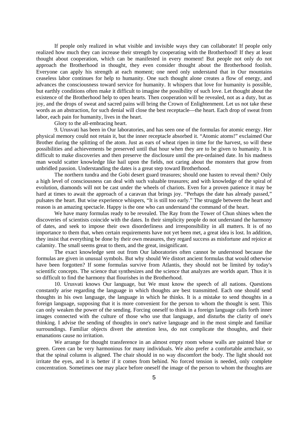If people only realized in what visible and invisible ways they can collaborate! If people only realized how much they can increase their strength by cooperating with the Brotherhood! If they at least thought about cooperation, which can be manifested in every moment! But people not only do not approach the Brotherhood in thought, they even consider thought about the Brotherhood foolish. Everyone can apply his strength at each moment; one need only understand that in Our mountains ceaseless labor continues for help to humanity. One such thought alone creates a flow of energy, and advances the consciousness toward service for humanity. It whispers that love for humanity is possible, but earthly conditions often make it difficult to imagine the possibility of such love. Let thought about the existence of the Brotherhood help to open hearts. Then cooperation will be revealed, not as a duty, but as joy, and the drops of sweat and sacred pains will bring the Crown of Enlightenment. Let us not take these words as an abstraction, for such denial will close the best receptacle—the heart. Each drop of sweat from labor, each pain for humanity, lives in the heart.

Glory to the all-embracing heart.

 9. Urusvati has been in Our laboratories, and has seen one of the formulas for atomic energy. Her physical memory could not retain it, but the inner receptacle absorbed it. "Atomic atoms!" exclaimed Our Brother during the splitting of the atom. Just as ears of wheat ripen in time for the harvest, so will these possibilities and achievements be preserved until that hour when they are to be given to humanity. It is difficult to make discoveries and then preserve the disclosure until the pre-ordained date. In his madness man would scatter knowledge like hail upon the fields, not caring about the monsters that grow from unbridled passion. Understanding the dates is a great step toward Brotherhood.

 The northern tundra and the Gobi desert guard treasures; should one hasten to reveal them? Only a high level of consciousness can deal with such valuable treasures; and with knowledge of the spiral of evolution, diamonds will not be cast under the wheels of chariots. Even for a proven patience it may be hard at times to await the approach of a caravan that brings joy. "Perhaps the date has already passed," pulsates the heart. But wise experience whispers, "It is still too early." The struggle between the heart and reason is an amazing spectacle. Happy is the one who can understand the command of the heart.

 We have many formulas ready to be revealed. The Ray from the Tower of Chun shines when the discoveries of scientists coincide with the dates. In their simplicity people do not understand the harmony of dates, and seek to impose their own disorderliness and irresponsibility in all matters. It is of no importance to them that, when certain requirements have not yet been met, a great idea is lost. In addition, they insist that everything be done by their own measures, they regard success as misfortune and rejoice at calamity. The small seems great to them, and the great, insignificant.

 The exact knowledge sent out from Our laboratories often cannot be understood because the formulas are given in unusual symbols. But why should We distort ancient formulas that would otherwise have been forgotten? If some formulas survive from Atlantis, they should not be limited by today's scientific concepts. The science that synthesizes and the science that analyzes are worlds apart. Thus it is so difficult to find the harmony that flourishes in the Brotherhood.

 10. Urusvati knows Our language, but We must know the speech of all nations. Questions constantly arise regarding the language in which thoughts are best transmitted. Each one should send thoughts in his own language, the language in which he thinks. It is a mistake to send thoughts in a foreign language, supposing that it is more convenient for the person to whom the thought is sent. This can only weaken the power of the sending. Forcing oneself to think in a foreign language calls forth inner images connected with the culture of those who use that language, and disturbs the clarity of one's thinking. I advise the sending of thoughts in one's native language and in the most simple and familiar surroundings. Familiar objects divert the attention less, do not complicate the thoughts, and their emanations cause no irritation.

 We arrange for thought transference in an almost empty room whose walls are painted blue or green. Green can be very harmonious for many individuals. We also prefer a comfortable armchair, so that the spinal column is aligned. The chair should in no way discomfort the body. The light should not irritate the eyes, and it is better if it comes from behind. No forced tension is needed, only complete concentration. Sometimes one may place before oneself the image of the person to whom the thoughts are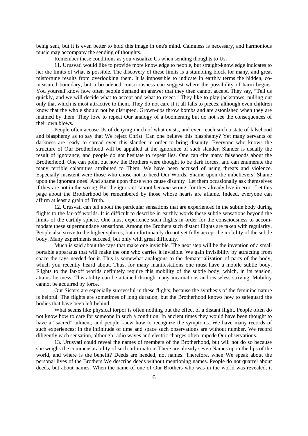being sent, but it is even better to hold this image in one's mind. Calmness is necessary, and harmonious music may accompany the sending of thoughts.

Remember these conditions as you visualize Us when sending thoughts to Us.

 11. Urusvati would like to provide more knowledge to people, but straight-knowledge indicates to her the limits of what is possible. The discovery of these limits is a stumbling block for many, and great misfortune results from overlooking them. It is impossible to indicate in earthly terms the hidden, comeasured boundary, but a broadened consciousness can suggest where the possibility of harm begins. You yourself know how often people demand an answer that they then cannot accept. They say, "Tell us quickly, and we will decide what to accept and what to reject." They like to play jackstraws, pulling out only that which is most attractive to them. They do not care if it all falls to pieces, although even children know that the whole should not be disrupted. Grown-ups throw bombs and are astonished when they are maimed by them. They love to repeat Our analogy of a boomerang but do not see the consequences of their own blows.

 People often accuse Us of denying much of what exists, and even reach such a state of falsehood and blasphemy as to say that We reject Christ. Can one believe this blasphemy? Yet many servants of darkness are ready to spread even this slander in order to bring disunity. Everyone who knows the structure of Our Brotherhood will be appalled at the ignorance of such slander. Slander is usually the result of ignorance, and people do not hesitate to repeat lies. One can cite many falsehoods about the Brotherhood. One can point out how the Brothers were thought to be dark forces, and can enumerate the many terrible calamities attributed to Them. We have been accused of using threats and violence. Especially insistent were those who chose not to heed Our Words. Shame upon the unbelievers! Shame upon the ignorant ones! And shame upon those who cause disunity! Let them occasionally ask themselves if they are not in the wrong. But the ignorant cannot *become* wrong, for they already live in error. Let this page about the Brotherhood be remembered by those whose hearts are aflame. Indeed, everyone can affirm at least a grain of Truth.

 12. Urusvati can tell about the particular sensations that are experienced in the subtle body during flights to the far-off worlds. It is difficult to describe in earthly words these subtle sensations beyond the limits of the earthly sphere. One must experience such flights in order for the consciousness to accommodate these supermundane sensations. Among the Brothers such distant flights are taken with regularity. People also strive to the higher spheres, but unfortunately do not yet fully accept the mobility of the subtle body. Many experiments succeed, but only with great difficulty.

 Much is said about the rays that make one invisible. The next step will be the invention of a small portable apparatus that will make the one who carries it invisible. We gain invisibility by attracting from space the rays needed for it. This is somewhat analogous to the dematerialization of parts of the body, which you recently heard about. Thus, for many manifestations one must have a mobile subtle body. Flights to the far-off worlds definitely require this mobility of the subtle body, which, in its tension, attains fieriness. This ability can be attained through many incarnations and ceaseless striving. Mobility cannot be acquired by force.

 Our Sisters are especially successful in these flights, because the synthesis of the feminine nature is helpful. The flights are sometimes of long duration, but the Brotherhood knows how to safeguard the bodies that have been left behind.

 What seems like physical torpor is often nothing but the effect of a distant flight. People often do not know how to care for someone in such a condition. In ancient times they would have been thought to have a "sacred" ailment, and people knew how to recognize the symptoms. We have many records of such experiences; in the infinitude of time and space such observations are without number. We record diligently each sensation, although radio waves and electric charges often impede Our observations.

 13. Urusvati could reveal the names of members of the Brotherhood, but will not do so because she weighs the commensurability of such information. There are already seven Names upon the lips of the world, and where is the benefit? Deeds are needed, not names. Therefore, when We speak about the personal lives of the Brothers We describe deeds without mentioning names. People do not quarrel about deeds, but about names. When the name of one of Our Brothers who was in the world was revealed, it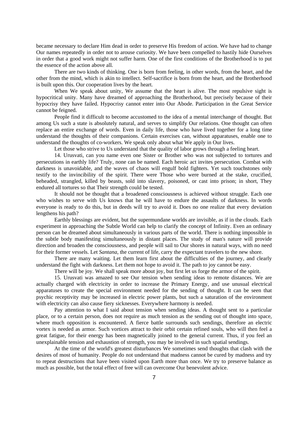became necessary to declare Him dead in order to preserve His freedom of action. We have had to change Our names repeatedly in order not to arouse curiosity. We have been compelled to hastily hide Ourselves in order that a good work might not suffer harm. One of the first conditions of the Brotherhood is to put the essence of the action above all.

 There are two kinds of thinking. One is born from feeling, in other words, from the heart, and the other from the mind, which is akin to intellect. Self-sacrifice is born from the heart, and the Brotherhood is built upon this. Our cooperation lives by the heart.

 When We speak about unity, We assume that the heart is alive. The most repulsive sight is hypocritical unity. Many have dreamed of approaching the Brotherhood, but precisely because of their hypocrisy they have failed. Hypocrisy cannot enter into Our Abode. Participation in the Great Service cannot be feigned.

 People find it difficult to become accustomed to the idea of a mental interchange of thought. But among Us such a state is absolutely natural, and serves to simplify Our relations. One thought can often replace an entire exchange of words. Even in daily life, those who have lived together for a long time understand the thoughts of their companions. Certain exercises can, without apparatuses, enable one to understand the thoughts of co-workers. We speak only about what We apply in Our lives.

Let those who strive to Us understand that the quality of labor grows through a feeling heart.

 14. Urusvati, can you name even one Sister or Brother who was not subjected to tortures and persecutions in earthly life? Truly, none can be named. Each heroic act invites persecution. Combat with darkness is unavoidable, and the waves of chaos will engulf bold fighters. Yet such touchstones only testify to the invincibility of the spirit. There were Those who were burned at the stake, crucified, beheaded, strangled, killed by beasts, sold into slavery, poisoned, or cast into prison; in short, They endured all tortures so that Their strength could be tested.

 It should not be thought that a broadened consciousness is achieved without struggle. Each one who wishes to serve with Us knows that he will have to endure the assaults of darkness. In words everyone is ready to do this, but in deeds will try to avoid it. Does no one realize that every deviation lengthens his path?

 Earthly blessings are evident, but the supermundane worlds are invisible, as if in the clouds. Each experiment in approaching the Subtle World can help to clarify the concept of Infinity. Even an ordinary person can be dreamed about simultaneously in various parts of the world. There is nothing impossible in the subtle body manifesting simultaneously in distant places. The study of man's nature will provide direction and broaden the consciousness, and people will sail to Our shores in natural ways, with no need for their former vessels. Let *Santana*, the current of life, carry the expectant travelers to the new shore.

 There are many waiting. Let them learn first about the difficulties of the journey, and clearly understand the fight with darkness. Let them not hope to avoid it. The path to joy cannot be easy.

There will be joy. We shall speak more about joy, but first let us forge the armor of the spirit.

 15. Urusvati was amazed to see Our tension when sending ideas to remote distances. We are actually charged with electricity in order to increase the Primary Energy, and use unusual electrical apparatuses to create the special environment needed for the sending of thought. It can be seen that psychic receptivity may be increased in electric power plants, but such a saturation of the environment with electricity can also cause fiery sicknesses. Everywhere harmony is needed.

 Pay attention to what I said about tension when sending ideas. A thought sent to a particular place, or to a certain person, does not require as much tension as the sending out of thought into space, where much opposition is encountered. A fierce battle surrounds such sendings, therefore an electric vortex is needed as armor. Such vortices attract to their orbit certain refined souls, who will then feel a great fatigue, for their energy has been magnetically joined to the general current. Thus, if you feel an unexplainable tension and exhaustion of strength, you may be involved in such spatial sendings.

 At the time of the world's greatest disturbances We sometimes send thoughts that clash with the desires of most of humanity. People do not understand that madness cannot be cured by madness and try to repeat destructions that have been visited upon Earth more than once. We try to preserve balance as much as possible, but the total effect of free will can overcome Our benevolent advice.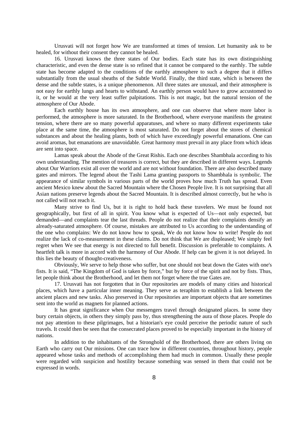Urusvati will not forget how We are transformed at times of tension. Let humanity ask to be healed, for without their consent they cannot be healed.

 16. Urusvati knows the three states of Our bodies. Each state has its own distinguishing characteristic, and even the dense state is so refined that it cannot be compared to the earthly. The subtle state has become adapted to the conditions of the earthly atmosphere to such a degree that it differs substantially from the usual sheaths of the Subtle World. Finally, the third state, which is between the dense and the subtle states, is a unique phenomenon. All three states are unusual, and their atmosphere is not easy for earthly lungs and hearts to withstand. An earthly person would have to grow accustomed to it, or he would at the very least suffer palpitations. This is not magic, but the natural tension of the atmosphere of Our Abode.

 Each earthly house has its own atmosphere, and one can observe that where more labor is performed, the atmosphere is more saturated. In the Brotherhood, where everyone manifests the greatest tension, where there are so many powerful apparatuses, and where so many different experiments take place at the same time, the atmosphere is most saturated. Do not forget about the stores of chemical substances and about the healing plants, both of which have exceedingly powerful emanations. One can avoid aromas, but emanations are unavoidable. Great harmony must prevail in any place from which ideas are sent into space.

 Lamas speak about the Abode of the Great Rishis. Each one describes Shambhala according to his own understanding. The mention of treasures is correct, but they are described in different ways. Legends about Our Warriors exist all over the world and are not without foundation. There are also described many gates and mirrors. The legend about the Tashi Lama granting passports to Shambhala is symbolic. The appearance of similar symbols in various parts of the world proves how much Truth has spread. Even ancient Mexico knew about the Sacred Mountain where the Chosen People live. It is not surprising that all Asian nations preserve legends about the Sacred Mountain. It is described almost correctly, but he who is not called will not reach it.

 Many strive to find Us, but it is right to hold back these travelers. We must be found not geographically, but first of all in spirit. You know what is expected of Us—not only expected, but demanded—and complaints tear the last threads. People do not realize that their complaints densify an already-saturated atmosphere. Of course, mistakes are attributed to Us according to the understanding of the one who complains: We do not know how to speak, We do not know how to write! People do not realize the lack of co-measurement in these claims. Do not think that We are displeased; We simply feel regret when We see that energy is not directed to full benefit. Discussion is preferable to complaints. A heartfelt talk is more in accord with the harmony of Our Abode. If help can be given it is not delayed. In this lies the beauty of thought-creativeness.

 Obviously, We serve to help those who suffer, but one should not beat down the Gates with one's fists. It is said, "The Kingdom of God is taken by force," but by force of the spirit and not by fists. Thus, let people think about the Brotherhood, and let them not forget where the true Gates are.

 17. Urusvati has not forgotten that in Our repositories are models of many cities and historical places, which have a particular inner meaning. They serve as teraphim to establish a link between the ancient places and new tasks. Also preserved in Our repositories are important objects that are sometimes sent into the world as magnets for planned actions.

 It has great significance when Our messengers travel through designated places. In some they bury certain objects, in others they simply pass by, thus strengthening the aura of those places. People do not pay attention to these pilgrimages, but a historian's eye could perceive the periodic nature of such travels. It could then be seen that the consecrated places proved to be especially important in the history of nations.

 In addition to the inhabitants of the Stronghold of the Brotherhood, there are others living on Earth who carry out Our missions. One can trace how in different countries, throughout history, people appeared whose tasks and methods of accomplishing them had much in common. Usually these people were regarded with suspicion and hostility because something was sensed in them that could not be expressed in words.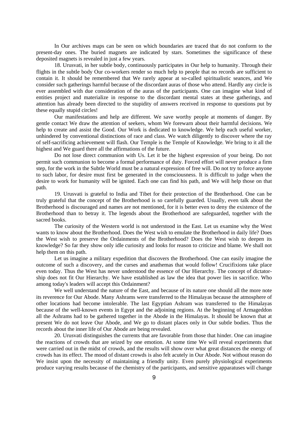In Our archives maps can be seen on which boundaries are traced that do not conform to the present-day ones. The buried magnets are indicated by stars. Sometimes the significance of these deposited magnets is revealed in just a few years.

 18. Urusvati, in her subtle body, continuously participates in Our help to humanity. Through their flights in the subtle body Our co-workers render so much help to people that no records are sufficient to contain it. It should be remembered that We rarely appear at so-called spiritualistic seances, and We consider such gatherings harmful because of the discordant auras of those who attend. Hardly any circle is ever assembled with due consideration of the auras of the participants. One can imagine what kind of entities project and materialize in response to the discordant mental states at these gatherings, and attention has already been directed to the stupidity of answers received in response to questions put by these equally stupid circles!

 Our manifestations and help are different. We save worthy people at moments of danger. By gentle contact We draw the attention of seekers, whom We forewarn about their harmful decisions. We help to create and assist the Good. Our Work is dedicated to knowledge. We help each useful worker, unhindered by conventional distinctions of race and class. We watch diligently to discover where the ray of self-sacrificing achievement will flash. Our Temple is the Temple of Knowledge. We bring to it all the highest and We guard there all the affirmations of the future.

 Do not lose direct communion with Us. Let it be the highest expression of your being. Do not permit such communion to become a formal performance of duty. Forced effort will never produce a firm step, for the work in the Subtle World must be a natural expression of free will. Do not try to force anyone to such labor, for desire must first be generated in the consciousness. It is difficult to judge when the desire to work for humanity will be ignited. Each one can find his path, and We will help those on that path.

 19. Urusvati is grateful to India and Tibet for their protection of the Brotherhood. One can be truly grateful that the concept of the Brotherhood is so carefully guarded. Usually, even talk about the Brotherhood is discouraged and names are not mentioned, for it is better even to deny the existence of the Brotherhood than to betray it. The legends about the Brotherhood are safeguarded, together with the sacred books.

 The curiosity of the Western world is not understood in the East. Let us examine why the West wants to know about the Brotherhood. Does the West wish to emulate the Brotherhood in daily life? Does the West wish to preserve the Ordainments of the Brotherhood? Does the West wish to deepen its knowledge? So far they show only idle curiosity and looks for reason to criticize and blame. We shall not help them on this path.

 Let us imagine a military expedition that discovers the Brotherhood. One can easily imagine the outcome of such a discovery, and the curses and anathemas that would follow! Crucifixions take place even today. Thus the West has never understood the essence of Our Hierarchy. The concept of dictatorship does not fit Our Hierarchy. We have established as law the idea that power lies in sacrifice. Who among today's leaders will accept this Ordainment?

 We well understand the nature of the East, and because of its nature one should all the more note its reverence for Our Abode. Many Ashrams were transferred to the Himalayas because the atmosphere of other locations had become intolerable. The last Egyptian Ashram was transferred to the Himalayas because of the well-known events in Egypt and the adjoining regions. At the beginning of Armageddon all the Ashrams had to be gathered together in the Abode in the Himalayas. It should be known that at present We do not leave Our Abode, and We go to distant places only in Our subtle bodies. Thus the records about the inner life of Our Abode are being revealed.

 20. Urusvati distinguishes the currents that are favorable from those that hinder. One can imagine the reactions of crowds that are seized by one emotion. At some time We will reveal experiments that were carried out in the midst of crowds, and the results will show over what great distances the energy of crowds has its effect. The mood of distant crowds is also felt acutely in Our Abode. Not without reason do We insist upon the necessity of maintaining a friendly unity. Even purely physiological experiments produce varying results because of the chemistry of the participants, and sensitive apparatuses will change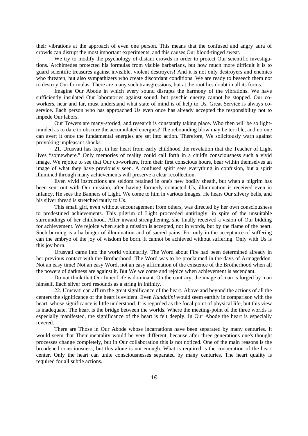their vibrations at the approach of even one person. This means that the confused and angry aura of crowds can disrupt the most important experiments, and this causes Our blood-tinged sweat.

We try to modify the psychology of distant crowds in order to protect Our scientific investigations. Archimedes protected his formulas from visible barbarians, but how much more difficult it is to guard scientific treasures against invisible, violent destroyers! And it is not only destroyers and enemies who threaten, but also sympathizers who create discordant conditions. We are ready to beseech them not to destroy Our formulas. There are many such transgressions, but at the root lies doubt in all its forms.

 Imagine Our Abode in which every sound disrupts the harmony of the vibrations. We have sufficiently insulated Our laboratories against sound, but psychic energy cannot be stopped. Our coworkers, near and far, must understand what state of mind is of help to Us. Great Service is always coservice. Each person who has approached Us even once has already accepted the responsibility not to impede Our labors.

 Our Towers are many-storied, and research is constantly taking place. Who then will be so lightminded as to dare to obscure the accumulated energies? The rebounding blow may be terrible, and no one can avert it once the fundamental energies are set into action. Therefore, We solicitously warn against provoking unpleasant shocks.

 21. Urusvati has kept in her heart from early childhood the revelation that the Teacher of Light lives "somewhere." Only memories of reality could call forth in a child's consciousness such a vivid image. We rejoice to see that Our co-workers, from their first conscious hours, bear within themselves an image of what they have previously seen. A confused spirit sees everything in confusion, but a spirit illumined through many achievements will preserve a clear recollection.

 Even vivid instructions are seldom retained in one's new bodily sheath, but when a pilgrim has been sent out with Our mission, after having formerly contacted Us, illumination is received even in infancy. He sees the Banners of Light. We come to him in various Images. He hears Our silvery bells, and his silver thread is stretched tautly to Us.

 This small girl, even without encouragement from others, was directed by her own consciousness to predestined achievements. This pilgrim of Light proceeded untiringly, in spite of the unsuitable surroundings of her childhood. After inward strengthening, she finally received a vision of Our bidding for achievement. We rejoice when such a mission is accepted, not in words, but by the flame of the heart. Such burning is a harbinger of illumination and of sacred pains. For only in the acceptance of suffering can the embryo of the joy of wisdom be born. It cannot be achieved without suffering. Only with Us is this joy born.

 Urusvati came into the world voluntarily. The Word about Fire had been determined already in her previous contact with the Brotherhood. The Word was to be proclaimed in the days of Armageddon. Not an easy time! Not an easy Word, not an easy affirmation of the existence of the Brotherhood when all the powers of darkness are against it. But We welcome and rejoice when achievement is ascendant.

 Do not think that Our Inner Life is dominant. On the contrary, the image of man is forged by man himself. Each silver cord resounds as a string in Infinity.

 22. Urusvati can affirm the great significance of the heart. Above and beyond the actions of all the centers the significance of the heart is evident. Even *Kundalini* would seem earthly in comparison with the heart, whose significance is little understood. It is regarded as the focal point of physical life, but this view is inadequate. The heart is the bridge between the worlds. Where the meeting-point of the three worlds is especially manifested, the significance of the heart is felt deeply. In Our Abode the heart is especially revered.

 There are Those in Our Abode whose incarnations have been separated by many centuries. It would seem that Their mentality would be very different, because after three generations one's thought processes change completely, but in Our collaboration this is not noticed. One of the main reasons is the broadened consciousness, but this alone is not enough. What is required is the cooperation of the heart center. Only the heart can unite consciousnesses separated by many centuries. The heart quality is required for all subtle actions.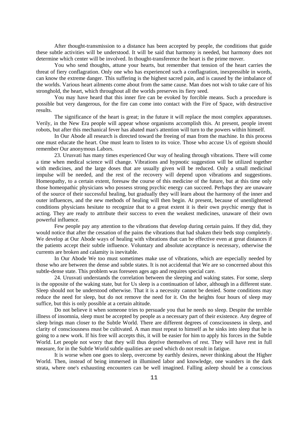After thought-transmission to a distance has been accepted by people, the conditions that guide these subtle activities will be understood. It will be said that harmony is needed, but harmony does not determine which center will be involved. In thought-transference the heart is the prime mover.

 You who send thoughts, attune your hearts, but remember that tension of the heart carries the threat of fiery conflagration. Only one who has experienced such a conflagration, inexpressible in words, can know the extreme danger. This suffering is the highest sacred pain, and is caused by the imbalance of the worlds. Various heart ailments come about from the same cause. Man does not wish to take care of his stronghold, the heart, which throughout all the worlds preserves its fiery seed.

 You may have heard that this inner fire can be evoked by forcible means. Such a procedure is possible but very dangerous, for the fire can come into contact with the Fire of Space, with destructive results.

 The significance of the heart is great; in the future it will replace the most complex apparatuses. Verily, in the New Era people will appear whose organisms accomplish this. At present, people invent robots, but after this mechanical fever has abated man's attention will turn to the powers within himself.

 In Our Abode all research is directed toward the freeing of man from the machine. In this process one must educate the heart. One must learn to listen to its voice. Those who accuse Us of egoism should remember Our anonymous Labors.

 23. Urusvati has many times experienced Our way of healing through vibrations. There will come a time when medical science will change. Vibrations and hypnotic suggestion will be utilized together with medicines, and the large doses that are usually given will be reduced. Only a small medicinal impulse will be needed, and the rest of the recovery will depend upon vibrations and suggestions. Homeopathy, to a certain extent, foresaw the course of this medicine of the future, but at this time only those homeopathic physicians who possess strong psychic energy can succeed. Perhaps they are unaware of the source of their successful healing, but gradually they will learn about the harmony of the inner and outer influences, and the new methods of healing will then begin. At present, because of unenlightened conditions physicians hesitate to recognize that to a great extent it is their own psychic energy that is acting. They are ready to attribute their success to even the weakest medicines, unaware of their own powerful influence.

 Few people pay any attention to the vibrations that develop during certain pains. If they did, they would notice that after the cessation of the pains the vibrations that had shaken their beds stop completely. We develop at Our Abode ways of healing with vibrations that can be effective even at great distances if the patients accept their subtle influence. Voluntary and absolute acceptance is necessary, otherwise the currents are broken and calamity is inevitable.

 In Our Abode We too must sometimes make use of vibrations, which are especially needed by those who are between the dense and subtle states. It is not accidental that We are so concerned about this subtle-dense state. This problem was foreseen ages ago and requires special care.

 24. Urusvati understands the correlation between the sleeping and waking states. For some, sleep is the opposite of the waking state, but for Us sleep is a continuation of labor, although in a different state. Sleep should not be understood otherwise. That it is a necessity cannot be denied. Some conditions may reduce the need for sleep, but do not remove the need for it. On the heights four hours of sleep may suffice, but this is only possible at a certain altitude.

 Do not believe it when someone tries to persuade you that he needs no sleep. Despite the terrible illness of insomnia, sleep must be accepted by people as a necessary part of their existence. Any degree of sleep brings man closer to the Subtle World. There are different degrees of consciousness in sleep, and clarity of consciousness must be cultivated. A man must repeat to himself as he sinks into sleep that he is going to a new work. If his free will accepts this, it will be easier for him to apply his forces in the Subtle World. Let people not worry that they will thus deprive themselves of rest. They will have rest in full measure, for in the Subtle World subtle qualities are used which do not result in fatigue.

 It is worse when one goes to sleep, overcome by earthly desires, never thinking about the Higher World. Then, instead of being immersed in illumined labor and knowledge, one wanders in the dark strata, where one's exhausting encounters can be well imagined. Falling asleep should be a conscious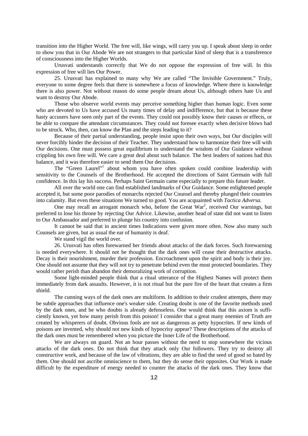transition into the Higher World. The free will, like wings, will carry you up. I speak about sleep in order to show you that in Our Abode We are not strangers to that particular kind of sleep that is a transference of consciousness into the Higher Worlds.

 Urusvati understands correctly that We do not oppose the expression of free will. In this expression of free will lies Our Power.

 25. Urusvati has explained to many why We are called "The Invisible Government." Truly, everyone to some degree feels that there is somewhere a focus of knowledge. Where there is knowledge there is also power. Not without reason do some people dream about Us, although others hate Us and want to destroy Our Abode.

 Those who observe world events may perceive something higher than human logic. Even some who are devoted to Us have accused Us many times of delay and indifference, but that is because these hasty accusers have seen only part of the events. They could not possibly know their causes or effects, or be able to compare the attendant circumstances. They could not foresee exactly when decisive blows had to be struck. Who, then, can know the Plan and the steps leading to it?

 Because of their partial understanding, people insist upon their own ways, but Our disciples will never forcibly hinder the decision of their Teacher. They understand how to harmonize their free will with Our decisions. One must possess great equilibrium to understand the wisdom of Our Guidance without crippling his own free will. We care a great deal about such balance. The best leaders of nations had this balance, and it was therefore easier to send them Our decisions.

The "Green Laurel"<sup>1</sup> about whom you have often spoken could combine leadership with sensitivity to the Counsels of the Brotherhood. He accepted the directions of Saint Germain with full confidence. In this lay his success. Perhaps Saint Germain came especially to prepare this future leader.

 All over the world one can find established landmarks of Our Guidance. Some enlightened people accepted it, but some poor parodies of monarchs rejected Our Counsel and thereby plunged their countries into calamity. But even these situations We turned to good. You are acquainted with *Tactica Adversa*.

One may recall an arrogant monarch who, before the Great War<sup>2</sup>, received Our warnings, but preferred to lose his throne by rejecting Our Advice. Likewise, another head of state did not want to listen to Our Ambassador and preferred to plunge his country into confusion.

 It cannot be said that in ancient times Indications were given more often. Now also many such Counsels are given, but as usual the ear of humanity is deaf.

We stand vigil the world over.

 26. Urusvati has often forewarned her friends about attacks of the dark forces. Such forewarning is needed everywhere. It should not be thought that the dark ones will cease their destructive attacks. Decay is their nourishment, murder their profession. Encroachment upon the spirit and body is their joy. One should not assume that they will not try to penetrate behind even the most protected boundaries. They would rather perish than abandon their demoralizing work of corruption.

 Some light-minded people think that a ritual utterance of the Highest Names will protect them immediately from dark assaults. However, it is not ritual but the pure fire of the heart that creates a firm shield.

 The cunning ways of the dark ones are multiform. In addition to their crudest attempts, there may be subtle approaches that influence one's weaker side. Creating doubt is one of the favorite methods used by the dark ones, and he who doubts is already defenseless. One would think that this axiom is sufficiently known, yet how many perish from this poison! I consider that a great many enemies of Truth are created by whisperers of doubt. Obvious fools are not as dangerous as petty hypocrites. If new kinds of poisons are invented, why should not new kinds of hypocrisy appear? These descriptions of the attacks of the dark ones must be remembered when you picture the Inner Life of the Brotherhood.

 We are always on guard. Not an hour passes without the need to stop somewhere the vicious attacks of the dark ones. Do not think that they attack only Our followers. They try to destroy all constructive work, and because of the law of vibrations, they are able to find the seed of good so hated by them. One should not ascribe omniscience to them, but they do sense their opposites. Our Work is made difficult by the expenditure of energy needed to counter the attacks of the dark ones. They know that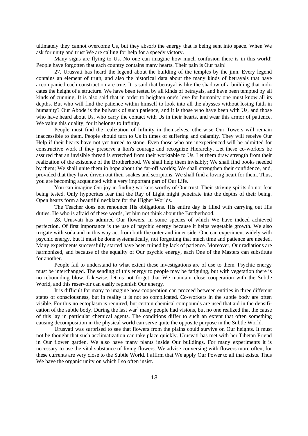ultimately they cannot overcome Us, but they absorb the energy that is being sent into space. When We ask for unity and trust We are calling for help for a speedy victory.

 Many signs are flying to Us. No one can imagine how much confusion there is in this world! People have forgotten that each country contains many hearts. Their pain is Our pain!

 27. Urusvati has heard the legend about the building of the temples by the jinn. Every legend contains an element of truth, and also the historical data about the many kinds of betrayals that have accompanied each construction are true. It is said that betrayal is like the shadow of a building that indicates the height of a structure. We have been tested by all kinds of betrayals, and have been tempted by all kinds of cunning. It is also said that in order to heighten one's love for humanity one must know all its depths. But who will find the patience within himself to look into all the abysses without losing faith in humanity? Our Abode is the bulwark of such patience, and it is those who have been with Us, and those who have heard about Us, who carry the contact with Us in their hearts, and wear this armor of patience. We value this quality, for it belongs to Infinity.

 People must find the realization of Infinity in themselves, otherwise Our Towers will remain inaccessible to them. People should turn to Us in times of suffering and calamity. They will receive Our Help if their hearts have not yet turned to stone. Even those who are inexperienced will be admitted for constructive work if they preserve a lion's courage and recognize Hierarchy. Let these co-workers be assured that an invisible thread is stretched from their worktable to Us. Let them draw strength from their realization of the existence of the Brotherhood. We shall help them invisibly; We shall find books needed by them; We shall unite them in hope about the far-off worlds; We shall strengthen their confidence, and, provided that they have driven out their snakes and scorpions, We shall find a loving heart for them. Thus, you are becoming acquainted with a very important part of Our Life.

 You can imagine Our joy in finding workers worthy of Our trust. Their striving spirits do not fear being tested. Only hypocrites fear that the Ray of Light might penetrate into the depths of their being. Open hearts form a beautiful necklace for the Higher Worlds.

 The Teacher does not renounce His obligations. His entire day is filled with carrying out His duties. He who is afraid of these words, let him not think about the Brotherhood.

 28. Urusvati has admired Our flowers, in some species of which We have indeed achieved perfection. Of first importance is the use of psychic energy because it helps vegetable growth. We also irrigate with soda and in this way act from both the outer and inner side. One can experiment widely with psychic energy, but it must be done systematically, not forgetting that much time and patience are needed. Many experiments successfully started have been ruined by lack of patience. Moreover, Our radiations are harmonized, and because of the equality of Our psychic energy, each One of the Masters can substitute for another.

 People fail to understand to what extent these investigations are of use to them. Psychic energy must be interchanged. The sending of this energy to people may be fatiguing, but with vegetation there is no rebounding blow. Likewise, let us not forget that We maintain close cooperation with the Subtle World, and this reservoir can easily replenish Our energy.

 It is difficult for many to imagine how cooperation can proceed between entities in three different states of consciousness, but in reality it is not so complicated. Co-workers in the subtle body are often visible. For this no ectoplasm is required, but certain chemical compounds are used that aid in the densification of the subtle body. During the last war<sup>3</sup> many people had visions, but no one realized that the cause of this lay in particular chemical agents. The conditions differ to such an extent that often something causing decomposition in the physical world can serve quite the opposite purpose in the Subtle World.

 Urusvati was surprised to see that flowers from the plains could survive on Our heights. It must not be thought that such acclimatization can take place quickly. Urusvati has met with her Tibetan Friend in Our flower garden. We also have many plants inside Our buildings. For many experiments it is necessary to use the vital substance of living flowers. We advise conversing with flowers more often, for these currents are very close to the Subtle World. I affirm that We apply Our Power to all that exists. Thus We have the organic unity on which I so often insist.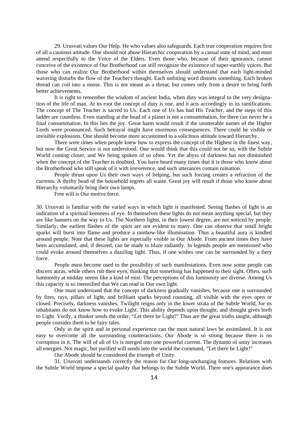29. Urusvati values Our Help. He who values also safeguards. Each true cooperation requires first of all a cautious attitude. One should not abuse Hierarchic cooperation by a casual state of mind, and must attend respectfully to the Voice of the Elders. Even those who, because of their ignorance, cannot conceive of the existence of Our Brotherhood can still recognize the existence of super-earthly voices. But those who can realize Our Brotherhood within themselves should understand that each light-minded wavering disturbs the flow of the Teacher's thought. Each unfitting word distorts something. Each broken thread can coil into a noose. This is not meant as a threat, but comes only from a desire to bring forth better achievements.

 It is right to remember the wisdom of ancient India, when duty was integral to the very designation of the life of man. At its root the concept of duty is one, and it acts accordingly in its ramifications. The concept of The Teacher is sacred to Us. Each one of Us has had His Teacher, and the steps of this ladder are countless. Even standing at the head of a planet is not a consummation, for there can never be a final consummation. In this lies the joy. Great harm would result if the unutterable names of the Higher Lords were pronounced. Such betrayal might have enormous consequences. There could be visible or invisible explosions. One should become more accustomed to a solicitous attitude toward Hierarchy.

 There were times when people knew how to express the concept of the Highest in the finest way, but now the Great Service is not understood. One would think that this could not be so, with the Subtle World coming closer, and We being spoken of so often. Yet the abyss of darkness has not diminished when the concept of the Teacher is doubted. You have heard many times that it is those who know about the Brotherhood who still speak of it with irreverence, and such utterances contain ruination.

 People thrust upon Us their own ways of helping, but such forcing creates a refraction of the currents. A thrifty head of the household regrets all waste. Great joy will result if those who know about Hierarchy voluntarily bring their own lamps.

Free will is Our motive force.

30. Urusvati is familiar with the varied ways in which light is manifested. Seeing flashes of light is an indication of a spiritual keenness of eye. In themselves these lights do not mean anything special, but they are like banners on the way to Us. The Northern lights, in their lowest degree, are not noticed by people. Similarly, the earliest flashes of the spirit are not evident to many. One can observe that small bright sparks will burst into flame and produce a rainbow-like illumination. Thus a beautiful aura is kindled around people. Note that these lights are especially visible in Our Abode. From ancient times they have been accumulated, and, if desired, can be made to blaze radiantly. In legends people are mentioned who could evoke around themselves a dazzling light. Thus, if one wishes one can be surrounded by a fiery force.

 People must become used to the possibility of such manifestations. Even now some people can discern auras, while others rub their eyes, thinking that something has happened to their sight. Often, such luminosity at midday seems like a kind of mist. The perceptions of this luminosity are diverse. Among Us this capacity is so intensified that We can read in Our own light.

 One must understand that the concept of darkness gradually vanishes, because one is surrounded by fires, rays, pillars of light, and brilliant sparks beyond counting, all visible with the eyes open or closed. Precisely, darkness vanishes. Twilight reigns only in the lower strata of the Subtle World, for its inhabitants do not know how to evoke Light. This ability depends upon thought, and thought gives birth to Light. Verily, a thinker sends the order, "Let there be Light!" Thus are the great truths taught, although people consider them to be fairy tales.

 Only in the spirit and in personal experience can the most natural laws be assimilated. It is not easy to overcome all the surrounding counteractions. Our Abode is so strong because there is no corruption in it. The will of all of Us is merged into one powerful current. The dynamo of unity increases all energies. Not magic, but purified will sends into the world the command, "Let there be Light!"

Our Abode should be considered the triumph of Unity.

 31. Urusvati understands correctly the reason for Our long-unchanging features. Relations with the Subtle World impose a special quality that belongs to the Subtle World. There one's appearance does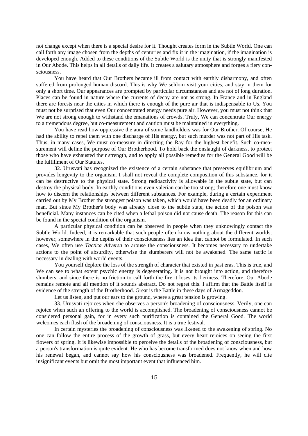not change except when there is a special desire for it. Thought creates form in the Subtle World. One can call forth any image chosen from the depths of centuries and fix it in the imagination, if the imagination is developed enough. Added to these conditions of the Subtle World is the unity that is strongly manifested in Our Abode. This helps in all details of daily life. It creates a salutary atmosphere and forges a fiery consciousness.

 You have heard that Our Brothers became ill from contact with earthly disharmony, and often suffered from prolonged human discord. This is why We seldom visit your cities, and stay in them for only a short time. Our appearances are prompted by particular circumstances and are not of long duration. Places can be found in nature where the currents of decay are not as strong. In France and in England there are forests near the cities in which there is enough of the pure air that is indispensable to Us. You must not be surprised that even Our concentrated energy needs pure air. However, you must not think that We are not strong enough to withstand the emanations of crowds. Truly, We can concentrate Our energy to a tremendous degree, but co-measurement and caution must be maintained in everything.

 You have read how oppressive the aura of some landholders was for Our Brother. Of course, He had the ability to repel them with one discharge of His energy, but such murder was not part of His task. Thus, in many cases, We must co-measure in directing the Ray for the highest benefit. Such co-measurement will define the purpose of Our Brotherhood. To hold back the onslaught of darkness, to protect those who have exhausted their strength, and to apply all possible remedies for the General Good will be the fulfillment of Our Statutes.

 32. Urusvati has recognized the existence of a certain substance that preserves equilibrium and provides longevity to the organism. I shall not reveal the complete composition of this substance, for it can be destructive to the physical state. Strong radioactivity is allowable in the subtle state, but can destroy the physical body. In earthly conditions even valerian can be too strong; therefore one must know how to discern the relationships between different substances. For example, during a certain experiment carried out by My Brother the strongest poison was taken, which would have been deadly for an ordinary man. But since My Brother's body was already close to the subtle state, the action of the poison was beneficial. Many instances can be cited when a lethal poison did not cause death. The reason for this can be found in the special condition of the organism.

 A particular physical condition can be observed in people when they unknowingly contact the Subtle World. Indeed, it is remarkable that such people often know nothing about the different worlds; however, somewhere in the depths of their consciousness lies an idea that cannot be formulated. In such cases, We often use *Tactica Adversa* to arouse the consciousness. It becomes necessary to undertake actions to the point of absurdity, otherwise the slumberers will not be awakened. The same tactic is necessary in dealing with world events.

 You yourself deplore the loss of the strength of character that existed in past eras. This is true, and We can see to what extent psychic energy is degenerating. It is not brought into action, and therefore slumbers, and since there is no friction to call forth the fire it loses its fieriness. Therefore, Our Abode remains remote and all mention of it sounds abstract. Do not regret this. I affirm that the Battle itself is evidence of the strength of the Brotherhood. Great is the Battle in these days of Armageddon.

Let us listen, and put our ears to the ground, where a great tension is growing.

 33. Urusvati rejoices when she observes a person's broadening of consciousness. Verily, one can rejoice when such an offering to the world is accomplished. The broadening of consciousness cannot be considered personal gain, for in every such purification is contained the General Good. The world welcomes each flash of the broadening of consciousness. It is a true festival.

 In certain mysteries the broadening of consciousness was likened to the awakening of spring. No one can follow the entire process of the growth of grass, but every heart rejoices on seeing the first flowers of spring. It is likewise impossible to perceive the details of the broadening of consciousness, but a person's transformation is quite evident. He who has become transformed does not know when and how his renewal began, and cannot say how his consciousness was broadened. Frequently, he will cite insignificant events but omit the most important event that influenced him.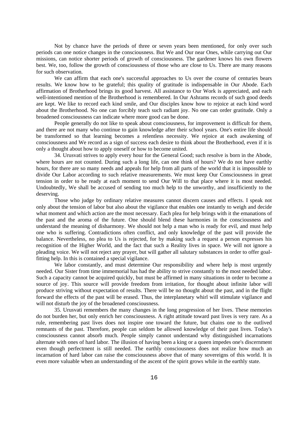Not by chance have the periods of three or seven years been mentioned, for only over such periods can one notice changes in the consciousness. But We and Our near Ones, while carrying out Our missions, can notice shorter periods of growth of consciousness. The gardener knows his own flowers best. We, too, follow the growth of consciousness of those who are close to Us. There are many reasons for such observation.

 We can affirm that each one's successful approaches to Us over the course of centuries bears results. We know how to be grateful; this quality of gratitude is indispensable in Our Abode. Each affirmation of Brotherhood brings its good harvest. All assistance to Our Work is appreciated, and each well-intentioned mention of the Brotherhood is remembered. In Our Ashrams records of such good deeds are kept. We like to record each kind smile, and Our disciples know how to rejoice at each kind word about the Brotherhood. No one can forcibly teach such radiant joy. No one can order gratitude. Only a broadened consciousness can indicate where more good can be done.

 People generally do not like to speak about consciousness, for improvement is difficult for them, and there are not many who continue to gain knowledge after their school years. One's entire life should be transformed so that learning becomes a relentless necessity. We rejoice at each awakening of consciousness and We record as a sign of success each desire to think about the Brotherhood, even if it is only a thought about how to apply oneself or how to become united.

 34. Urusvati strives to apply every hour for the General Good; such resolve is born in the Abode, where hours are not counted. During such a long life, can one think of hours? We do not have earthly hours, for there are so many needs and appeals for help from all parts of the world that it is impossible to divide Our Labor according to such relative measurements. We must keep Our Consciousness in great tension in order to be ready at each moment to send Our Will to that place where it is most needed. Undoubtedly, We shall be accused of sending too much help to the unworthy, and insufficiently to the deserving.

 Those who judge by ordinary relative measures cannot discern causes and effects. I speak not only about the tension of labor but also about the vigilance that enables one instantly to weigh and decide what moment and which action are the most necessary. Each plea for help brings with it the emanations of the past and the aroma of the future. One should blend these harmonies in the consciousness and understand the meaning of disharmony. We should not help a man who is ready for evil, and must help one who is suffering. Contradictions often conflict, and only knowledge of the past will provide the balance. Nevertheless, no plea to Us is rejected, for by making such a request a person expresses his recognition of the Higher World, and the fact that such a Reality lives in space. We will not ignore a pleading voice. We will not reject any prayer, but will gather all salutary substances in order to offer goalfitting help. In this is contained a special vigilance.

We labor constantly, and must determine Our responsibility and where help is most urgently needed. Our Sister from time immemorial has had the ability to strive constantly to the most needed labor. Such a capacity cannot be acquired quickly, but must be affirmed in many situations in order to become a source of joy. This source will provide freedom from irritation, for thought about infinite labor will produce striving without expectation of results. There will be no thought about the past, and in the flight forward the effects of the past will be erased. Thus, the interplanetary whirl will stimulate vigilance and will not disturb the joy of the broadened consciousness.

 35. Urusvati remembers the many changes in the long progression of her lives. These memories do not burden her, but only enrich her consciousness. A right attitude toward past lives is very rare. As a rule, remembering past lives does not inspire one toward the future, but chains one to the outlived remnants of the past. Therefore, people can seldom be allowed knowledge of their past lives. Today's consciousness cannot absorb much. People simply cannot understand why distinguished incarnations alternate with ones of hard labor. The illusion of having been a king or a queen impedes one's discernment even though perfectment is still needed. The earthly consciousness does not realize how much an incarnation of hard labor can raise the consciousness above that of many sovereigns of this world. It is even more valuable when an understanding of the ascent of the spirit grows while in the earthly state.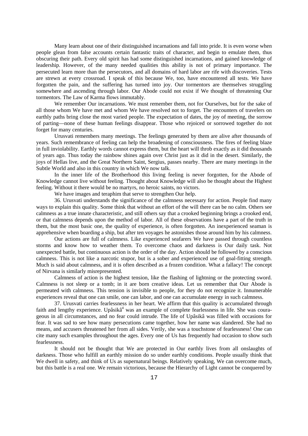Many learn about one of their distinguished incarnations and fall into pride. It is even worse when people glean from false accounts certain fantastic traits of character, and begin to emulate them, thus obscuring their path. Every old spirit has had some distinguished incarnations, and gained knowledge of leadership. However, of the many needed qualities this ability is not of primary importance. The persecuted learn more than the persecutors, and all domains of hard labor are rife with discoveries. Tests are strewn at every crossroad. I speak of this because We, too, have encountered all tests. We have forgotten the pain, and the suffering has turned into joy. Our tormentors are themselves struggling somewhere and ascending through labor. Our Abode could not exist if We thought of threatening Our tormentors. The Law of Karma flows immutably.

 We remember Our incarnations. We must remember them, not for Ourselves, but for the sake of all those whom We have met and whom We have resolved not to forget. The encounters of travelers on earthly paths bring close the most varied people. The expectation of dates, the joy of meeting, the sorrow of parting—none of these human feelings disappear. Those who rejoiced or sorrowed together do not forget for many centuries.

 Urusvati remembers many meetings. The feelings generated by them are alive after thousands of years. Such remembrance of feeling can help the broadening of consciousness. The fires of feeling blaze in full inviolability. Earthly words cannot express them, but the heart will throb exactly as it did thousands of years ago. Thus today the rainbow shines again over Christ just as it did in the desert. Similarly, the joys of Hellas live, and the Great Northern Saint, Sergius, passes nearby. There are many meetings in the Subtle World and also in this country in which We now talk.

 In the inner life of the Brotherhood this living feeling is never forgotten, for the Abode of Knowledge cannot live without feeling. Thought about Knowledge will also be thought about the Highest feeling. Without it there would be no martyrs, no heroic saints, no victors.

We have images and teraphim that serve to strengthen Our help.

 36. Urusvati understands the significance of the calmness necessary for action. People find many ways to explain this quality. Some think that without an effort of the will there can be no calm. Others see calmness as a true innate characteristic, and still others say that a crooked beginning brings a crooked end, or that calmness depends upon the method of labor. All of these observations have a part of the truth in them, but the most basic one, the quality of experience, is often forgotten. An inexperienced seaman is apprehensive when boarding a ship, but after ten voyages he astonishes those around him by his calmness.

 Our actions are full of calmness. Like experienced seafarers We have passed through countless storms and know how to weather them. To overcome chaos and darkness is Our daily task. Not unexpected battle, but continuous action is the order of the day. Action should be followed by a conscious calmness. This is not like a narcotic stupor, but is a sober and experienced use of goal-fitting strength. Much is said about calmness, and it is often described as a frozen condition. What a fallacy! The concept of Nirvana is similarly misrepresented.

 Calmness of action is the highest tension, like the flashing of lightning or the protecting sword. Calmness is not sleep or a tomb; in it are born creative ideas. Let us remember that Our Abode is permeated with calmness. This tension is invisible to people, for they do not recognize it. Innumerable experiences reveal that one can smile, one can labor, and one can accumulate energy in such calmness.

 37. Urusvati carries fearlessness in her heart. We affirm that this quality is accumulated through faith and lengthy experience. Upâsikâ<sup>4</sup> was an example of complete fearlessness in life. She was courageous in all circumstances, and no fear could intrude. The life of Upâsikâ was filled with occasions for fear. It was sad to see how many persecutions came together, how her name was slandered. She had no means, and accusers threatened her from all sides. Verily, she was a touchstone of fearlessness! One can cite many such examples throughout the ages. Every one of Us has frequently had occasion to show such fearlessness.

 It should not be thought that We are protected in Our earthly lives from all onslaughts of darkness. Those who fulfill an earthly mission do so under earthly conditions. People usually think that We dwell in safety, and think of Us as supernatural beings. Relatively speaking, We can overcome much, but this battle is a real one. We remain victorious, because the Hierarchy of Light cannot be conquered by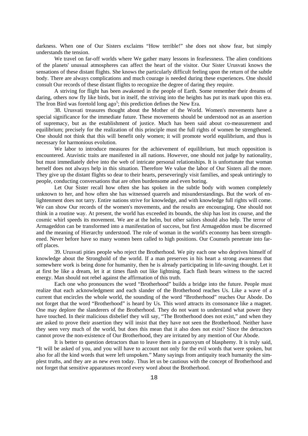darkness. When one of Our Sisters exclaims "How terrible!" she does not show fear, but simply understands the tension.

We travel on far-off worlds where We gather many lessons in fearlessness. The alien conditions of the planets' unusual atmospheres can affect the heart of the visitor. Our Sister Urusvati knows the sensations of these distant flights. She knows the particularly difficult feeling upon the return of the subtle body. There are always complications and much courage is needed during these experiences. One should consult Our records of these distant flights to recognize the degree of daring they require.

 A striving for flight has been awakened in the people of Earth. Some remember their dreams of daring, others now fly like birds, but in itself, the striving into the heights has put its mark upon this era. The Iron Bird was foretold long  $ago^5$ ; this prediction defines the New Era.

 38. Urusvati treasures thought about the Mother of the World. Women's movements have a special significance for the immediate future. These movements should be understood not as an assertion of supremacy, but as the establishment of justice. Much has been said about co-measurement and equilibrium; precisely for the realization of this principle must the full rights of women be strengthened. One should not think that this will benefit only women; it will promote world equilibrium, and thus is necessary for harmonious evolution.

 We labor to introduce measures for the achievement of equilibrium, but much opposition is encountered. Atavistic traits are manifested in all nations. However, one should not judge by nationality, but must immediately delve into the web of intricate personal relationships. It is unfortunate that woman herself does not always help in this situation. Therefore We value the labor of Our Sisters all the more. They give up the distant flights so dear to their hearts, perseveringly visit families, and speak untiringly to people, conducting conversations that are often burdensome and even boring.

 Let Our Sister recall how often she has spoken in the subtle body with women completely unknown to her, and how often she has witnessed quarrels and misunderstandings. But the work of enlightenment does not tarry. Entire nations strive for knowledge, and with knowledge full rights will come. We can show Our records of the women's movements, and the results are encouraging. One should not think in a routine way. At present, the world has exceeded its bounds, the ship has lost its course, and the cosmic whirl speeds its movement. We are at the helm, but other sailors should also help. The terror of Armageddon can be transformed into a manifestation of success, but first Armageddon must be discerned and the meaning of Hierarchy understood. The role of woman in the world's economy has been strengthened. Never before have so many women been called to high positions. Our Counsels penetrate into faroff places.

 39. Urusvati pities people who reject the Brotherhood. We pity each one who deprives himself of knowledge about the Stronghold of the world. If a man preserves in his heart a strong awareness that somewhere work is being done for humanity, then he is already participating in life-saving thought. Let it at first be like a dream, let it at times flash out like lightning. Each flash bears witness to the sacred energy. Man should not rebel against the affirmation of this truth.

 Each one who pronounces the word "Brotherhood" builds a bridge into the future. People must realize that each acknowledgment and each slander of the Brotherhood reaches Us. Like a wave of a current that encircles the whole world, the sounding of the word "Brotherhood" reaches Our Abode. Do not forget that the word "Brotherhood" is heard by Us. This word attracts its consonance like a magnet. One may deplore the slanderers of the Brotherhood. They do not want to understand what power they have touched. In their malicious disbelief they will say, "The Brotherhood does not exist," and when they are asked to prove their assertion they will insist that they have not seen the Brotherhood. Neither have they seen very much of the world, but does this mean that it also does not exist? Since the detractors cannot prove the non-existence of Our Brotherhood, they are irritated by any mention of Our Abode.

 It is better to question detractors than to leave them in a paroxysm of blasphemy. It is truly said, "It will be asked of you, and you will have to account not only for the evil words that were spoken, but also for all the kind words that were left unspoken." Many sayings from antiquity teach humanity the simplest truths, and they are as new even today. Thus let us be cautious with the concept of Brotherhood and not forget that sensitive apparatuses record every word about the Brotherhood.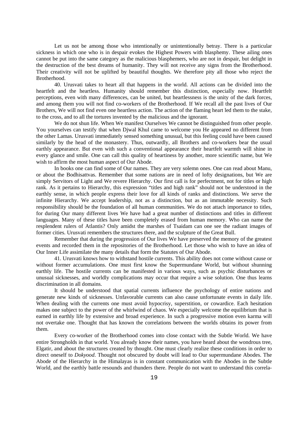Let us not be among those who intentionally or unintentionally betray. There is a particular sickness in which one who is in despair evokes the Highest Powers with blasphemy. These ailing ones cannot be put into the same category as the malicious blasphemers, who are not in despair, but delight in the destruction of the best dreams of humanity. They will not receive any signs from the Brotherhood. Their creativity will not be uplifted by beautiful thoughts. We therefore pity all those who reject the Brotherhood.

 40. Urusvati takes to heart all that happens in the world. All actions can be divided into the heartfelt and the heartless. Humanity should remember this distinction, especially now. Heartfelt perceptions, even with many differences, can be united, but heartlessness is the unity of the dark forces, and among them you will not find co-workers of the Brotherhood. If We recall all the past lives of Our Brothers, We will not find even one heartless action. The action of the flaming heart led them to the stake, to the cross, and to all the tortures invented by the malicious and the ignorant.

 We do not shun life. When We manifest Ourselves We cannot be distinguished from other people. You yourselves can testify that when Djwal Khul came to welcome you He appeared no different from the other Lamas. Urusvati immediately sensed something unusual, but this feeling could have been caused similarly by the head of the monastery. Thus, outwardly, all Brothers and co-workers bear the usual earthly appearance. But even with such a conventional appearance their heartfelt warmth will shine in every glance and smile. One can call this quality of heartiness by another, more scientific name, but We wish to affirm the most human aspect of Our Abode.

 In books one can find some of Our names. They are very solemn ones. One can read about Manu, or about the Bodhisattvas. Remember that some nations are in need of lofty designations, but We are simply Servitors of Light and We revere Hierarchy. Our first call is for perfectment, not for titles or high rank. As it pertains to Hierarchy, this expression "titles and high rank" should not be understood in the earthly sense, in which people express their love for all kinds of ranks and distinctions. We serve the infinite Hierarchy. We accept leadership, not as a distinction, but as an immutable necessity. Such responsibility should be the foundation of all human communities. We do not attach importance to titles, for during Our many different lives We have had a great number of distinctions and titles in different languages. Many of these titles have been completely erased from human memory. Who can name the resplendent rulers of Atlantis? Only amidst the marshes of Tsaidam can one see the radiant images of former cities. Urusvati remembers the structures there, and the sculpture of the Great Bull.

 Remember that during the progression of Our lives We have preserved the memory of the greatest events and recorded them in the repositories of the Brotherhood. Let those who wish to have an idea of Our Inner Life assimilate the many details that form the Statutes of Our Abode.

 41. Urusvati knows how to withstand hostile currents. This ability does not come without cause or without former accumulations. One must first know the Supermundane World, but without shunning earthly life. The hostile currents can be manifested in various ways, such as psychic disturbances or unusual sicknesses, and worldly complications may occur that require a wise solution. One thus learns discrimination in all domains.

 It should be understood that spatial currents influence the psychology of entire nations and generate new kinds of sicknesses. Unfavorable currents can also cause unfortunate events in daily life. When dealing with the currents one must avoid hypocrisy, superstition, or cowardice. Each hesitation makes one subject to the power of the whirlwind of chaos. We especially welcome the equilibrium that is earned in earthly life by extensive and broad experience. In such a progressive motion even karma will not overtake one. Thought that has known the correlations between the worlds obtains its power from them.

 Every co-worker of the Brotherhood comes into close contact with the Subtle World. We have entire Strongholds in that world. You already know their names, you have heard about the wondrous tree, Elgatir, and about the structures created by thought. One must clearly realize these conditions in order to direct oneself to *Dokyood*. Thought not obscured by doubt will lead to Our supermundane Abodes. The Abode of the Hierarchy in the Himalayas is in constant communication with the Abodes in the Subtle World, and the earthly battle resounds and thunders there. People do not want to understand this correla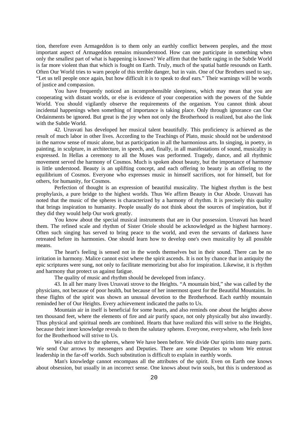tion, therefore even Armageddon is to them only an earthly conflict between peoples, and the most important aspect of Armageddon remains misunderstood. How can one participate in something when only the smallest part of what is happening is known? We affirm that the battle raging in the Subtle World is far more violent than that which is fought on Earth. Truly, much of the spatial battle resounds on Earth. Often Our World tries to warn people of this terrible danger, but in vain. One of Our Brothers used to say, "Let us tell people once again, but how difficult it is to speak to deaf ears." Their warnings will be words of justice and compassion.

 You have frequently noticed an incomprehensible sleepiness, which may mean that you are cooperating with distant worlds, or else is evidence of your cooperation with the powers of the Subtle World. You should vigilantly observe the requirements of the organism. You cannot think about incidental happenings when something of importance is taking place. Only through ignorance can Our Ordainments be ignored. But great is the joy when not only the Brotherhood is realized, but also the link with the Subtle World.

 42. Urusvati has developed her musical talent beautifully. This proficiency is achieved as the result of much labor in other lives. According to the Teachings of Plato, music should not be understood in the narrow sense of music alone, but as participation in all the harmonious arts. In singing, in poetry, in painting, in sculpture, in architecture, in speech, and, finally, in all manifestations of sound, musicality is expressed. In Hellas a ceremony to all the Muses was performed. Tragedy, dance, and all rhythmic movement served the harmony of Cosmos. Much is spoken about beauty, but the importance of harmony is little understood. Beauty is an uplifting concept, and each offering to beauty is an offering to the equilibrium of Cosmos. Everyone who expresses music in himself sacrifices, not for himself, but for others, for humanity, for Cosmos.

 Perfection of thought is an expression of beautiful musicality. The highest rhythm is the best prophylaxis, a pure bridge to the highest worlds. Thus We affirm Beauty in Our Abode. Urusvati has noted that the music of the spheres is characterized by a harmony of rhythm. It is precisely this quality that brings inspiration to humanity. People usually do not think about the sources of inspiration, but if they did they would help Our work greatly.

 You know about the special musical instruments that are in Our possession. Urusvati has heard them. The refined scale and rhythm of Sister Oriole should be acknowledged as the highest harmony. Often such singing has served to bring peace to the world, and even the servants of darkness have retreated before its harmonies. One should learn how to develop one's own musicality by all possible means.

 The heart's feeling is sensed not in the words themselves but in their sound. There can be no irritation in harmony. Malice cannot exist where the spirit ascends. It is not by chance that in antiquity the epic scriptures were sung, not only to facilitate memorizing but also for inspiration. Likewise, it is rhythm and harmony that protect us against fatigue.

The quality of music and rhythm should be developed from infancy.

 43. In all her many lives Urusvati strove to the Heights. "A mountain bird," she was called by the physicians, not because of poor health, but because of her innermost quest for the Beautiful Mountains. In these flights of the spirit was shown an unusual devotion to the Brotherhood. Each earthly mountain reminded her of Our Heights. Every achievement indicated the paths to Us.

 Mountain air in itself is beneficial for some hearts, and also reminds one about the heights above ten thousand feet, where the elements of fire and air purify space, not only physically but also inwardly. Thus physical and spiritual needs are combined. Hearts that have realized this will strive to the Heights, because their inner knowledge reveals to them the salutary spheres. Everyone, everywhere, who feels love for the Brotherhood will strive to Us.

We also strive to the spheres, where We have been before. We divide Our spirits into many parts. We send Our arrows by messengers and Deputies. There are some Deputies to whom We entrust leadership in the far-off worlds. Such substitution is difficult to explain in earthly words.

 Man's knowledge cannot encompass all the attributes of the spirit. Even on Earth one knows about obsession, but usually in an incorrect sense. One knows about twin souls, but this is understood as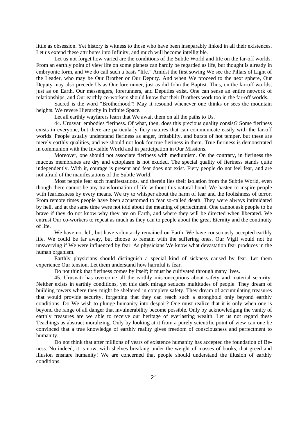little as obsession. Yet history is witness to those who have been inseparably linked in all their existences. Let us extend these attributes into Infinity, and much will become intelligible.

 Let us not forget how varied are the conditions of the Subtle World and life on the far-off worlds. From an earthly point of view life on some planets can hardly be regarded as life, but thought is already in embryonic form, and We do call such a basis "life." Amidst the first sowing We see the Pillars of Light of the Leader, who may be Our Brother or Our Deputy. And when We proceed to the next sphere, Our Deputy may also precede Us as Our forerunner, just as did John the Baptist. Thus, on the far-off worlds, just as on Earth, Our messengers, forerunners, and Deputies exist. One can sense an entire network of relationships, and Our earthly co-workers should know that their Brothers work too in the far-off worlds.

 Sacred is the word "Brotherhood"! May it resound whenever one thinks or sees the mountain heights. We revere Hierarchy in Infinite Space.

Let all earthly wayfarers learn that We await them on all the paths to Us.

 44. Urusvati embodies fieriness. Of what, then, does this precious quality consist? Some fieriness exists in everyone, but there are particularly fiery natures that can communicate easily with the far-off worlds. People usually understand fieriness as anger, irritability, and bursts of hot temper, but these are merely earthly qualities, and we should not look for true fieriness in them. True fieriness is demonstrated in communion with the Invisible World and in participation in Our Missions.

 Moreover, one should not associate fieriness with mediumism. On the contrary, in fieriness the mucous membranes are dry and ectoplasm is not exuded. The special quality of fieriness stands quite independently. With it, courage is present and fear does not exist. Fiery people do not feel fear, and are not afraid of the manifestations of the Subtle World.

 Most people fear such manifestations, and therein lies their isolation from the Subtle World, even though there cannot be any transformation of life without this natural bond. We hasten to inspire people with fearlessness by every means. We try to whisper about the harm of fear and the foolishness of terror. From remote times people have been accustomed to fear so-called death. They were always intimidated by hell, and at the same time were not told about the meaning of perfectment. One cannot ask people to be brave if they do not know why they are on Earth, and where they will be directed when liberated. We entrust Our co-workers to repeat as much as they can to people about the great Eternity and the continuity of life.

We have not left, but have voluntarily remained on Earth. We have consciously accepted earthly life. We could be far away, but choose to remain with the suffering ones. Our Vigil would not be unswerving if We were influenced by fear. As physicians We know what devastation fear produces in the human organism.

 Earthly physicians should distinguish a special kind of sickness caused by fear. Let them experience Our tension. Let them understand how harmful is fear.

Do not think that fieriness comes by itself; it must be cultivated through many lives.

 45. Urusvati has overcome all the earthly misconceptions about safety and material security. Neither exists in earthly conditions, yet this dark mirage seduces multitudes of people. They dream of building towers where they might be sheltered in complete safety. They dream of accumulating treasures that would provide security, forgetting that they can reach such a stronghold only beyond earthly conditions. Do We wish to plunge humanity into despair? One must realize that it is only when one is beyond the range of all danger that invulnerability become possible. Only by acknowledging the vanity of earthly treasures are we able to receive our heritage of everlasting wealth. Let us not regard these Teachings as abstract moralizing. Only by looking at it from a purely scientific point of view can one be convinced that a true knowledge of earthly reality gives freedom of consciousness and perfectment to humanity.

 Do not think that after millions of years of existence humanity has accepted the foundation of Beness. No indeed, it is now, with shelves breaking under the weight of masses of books, that greed and illusion ensnare humanity! We are concerned that people should understand the illusion of earthly conditions.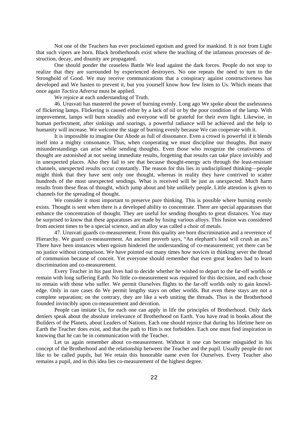Not one of the Teachers has ever proclaimed egotism and greed for mankind. It is not from Light that such vipers are born. Black brotherhoods exist where the teaching of the infamous processes of destruction, decay, and disunity are propagated.

 One should ponder the ceaseless Battle We lead against the dark forces. People do not stop to realize that they are surrounded by experienced destroyers. No one repeats the need to turn to the Stronghold of Good. We may receive communications that a conspiracy against constructiveness has developed and We hasten to prevent it, but you yourself know how few listen to Us. Which means that once again *Tactica Adversa* must be applied.

We rejoice at each understanding of Truth.

 46. Urusvati has mastered the power of burning evenly. Long ago We spoke about the uselessness of flickering lamps. Flickering is caused either by a lack of oil or by the poor condition of the lamp. With improvement, lamps will burn steadily and everyone will be grateful for their even light. Likewise, in human perfectment, after sinkings and soarings, a powerful radiance will be achieved and the help to humanity will increase. We welcome the stage of burning evenly because We can cooperate with it.

 It is impossible to imagine Our Abode as full of dissonance. Even a crowd is powerful if it blends itself into a mighty consonance. Thus, when cooperating we must discipline our thoughts. But many misunderstandings can arise while sending thoughts. Even those who recognize the creativeness of thought are astonished at not seeing immediate results, forgetting that results can take place invisibly and in unexpected places. Also they fail to see that because thought-energy acts through the least-resistant channels, unexpected results occur constantly. The reason for this lies in undisciplined thinking—people might think that they have sent only one thought, whereas in reality they have contrived to scatter hundreds of the most unexpected sendings. What is received will be just as unexpected. Much harm results from these fleas of thought, which jump about and bite unlikely people. Little attention is given to channels for the spreading of thought.

We consider it most important to preserve pure thinking. This is possible where burning evenly exists. Thought is sent when there is a developed ability to concentrate. There are special apparatuses that enhance the concentration of thought. They are useful for sending thoughts to great distances. You may be surprised to know that these apparatuses are made by fusing various alloys. This fusion was considered from ancient times to be a special science, and an alloy was called a choir of metals.

 47. Urusvati guards co-measurement. From this quality are born discrimination and a reverence of Hierarchy. We guard co-measurement. An ancient proverb says, "An elephant's load will crush an ass." There have been instances when egoism hindered the understanding of co-measurement; yet there can be no justice without comparison. We have pointed out many times how novices in thinking sever the thread of communion because of conceit. Yet everyone should remember that even great leaders had to learn discrimination and co-measurement.

 Every Teacher in his past lives had to decide whether he wished to depart to the far-off worlds or remain with long suffering Earth. No little co-measurement was required for this decision, and each chose to remain with those who suffer. We permit Ourselves flights to the far-off worlds only to gain knowledge. Only in rare cases do We permit lengthy stays on other worlds. But even these stays are not a complete separation; on the contrary, they are like a web uniting the threads. Thus is the Brotherhood founded invincibly upon co-measurement and devotion.

 People can imitate Us, for each one can apply in life the principles of Brotherhood. Only dark deniers speak about the absolute irrelevance of Brotherhood on Earth. You have read in books about the Builders of the Planets, about Leaders of Nations. Each one should rejoice that during his lifetime here on Earth the Teacher does exist, and that the path to Him is not forbidden. Each one must find inspiration in knowing that he can be in communication with the Teacher.

 Let us again remember about co-measurement. Without it one can become misguided in his concept of the Brotherhood and the relationship between the Teacher and the pupil. Usually people do not like to be called pupils, but We retain this honorable name even for Ourselves. Every Teacher also remains a pupil, and in this idea lies co-measurement of the highest degree.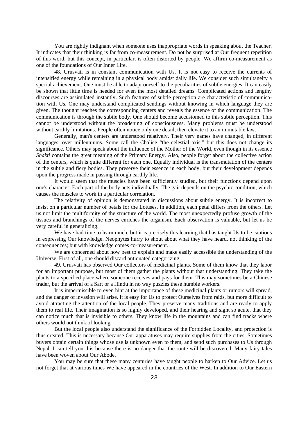You are rightly indignant when someone uses inappropriate words in speaking about the Teacher. It indicates that their thinking is far from co-measurement. Do not be surprised at Our frequent repetition of this word, but this concept, in particular, is often distorted by people. We affirm co-measurement as one of the foundations of Our Inner Life.

 48. Urusvati is in constant communication with Us. It is not easy to receive the currents of intensified energy while remaining in a physical body amidst daily life. We consider such simultaneity a special achievement. One must be able to adapt oneself to the peculiarities of subtle energies. It can easily be shown that little time is needed for even the most detailed dreams. Complicated actions and lengthy discourses are assimilated instantly. Such features of subtle perception are characteristic of communication with Us. One may understand complicated sendings without knowing in which language they are given. The thought reaches the corresponding centers and reveals the essence of the communication. The communication is through the subtle body. One should become accustomed to this subtle perception. This cannot be understood without the broadening of consciousness. Many problems must be understood without earthly limitations. People often notice only one detail, then elevate it to an immutable law.

 Generally, man's centers are understood relatively. Their very names have changed, in different languages, over millenniums. Some call the Chalice "the celestial axis," but this does not change its significance. Others may speak about the influence of the Mother of the World, even though in its essence *Shakti* contains the great meaning of the Primary Energy. Also, people forget about the collective action of the centers, which is quite different for each one. Equally individual is the transmutation of the centers in the subtle and fiery bodies. They preserve their essence in each body, but their development depends upon the progress made in passing through earthly life.

 It would seem that the muscles have been sufficiently studied, but their functions depend upon one's character. Each part of the body acts individually. The gait depends on the psychic condition, which causes the muscles to work in a particular correlation.

 The relativity of opinion is demonstrated in discussions about subtle energy. It is incorrect to insist on a particular number of petals for the Lotuses. In addition, each petal differs from the others. Let us not limit the multiformity of the structure of the world. The most unexpectedly profuse growth of the tissues and branchings of the nerves enriches the organism. Each observation is valuable, but let us be very careful in generalizing.

We have had time to learn much, but it is precisely this learning that has taught Us to be cautious in expressing Our knowledge. Neophytes hurry to shout about what they have heard, not thinking of the consequences; but with knowledge comes co-measurement.

 We are concerned about how best to explain and make easily accessible the understanding of the Universe. First of all, one should discard antiquated categorizing.

 49. Urusvati has observed Our collectors of medicinal plants. Some of them know that they labor for an important purpose, but most of them gather the plants without that understanding. They take the plants to a specified place where someone receives and pays for them. This may sometimes be a Chinese trader, but the arrival of a Sart or a Hindu in no way puzzles these humble workers.

 It is impermissible to even hint at the importance of these medicinal plants or rumors will spread, and the danger of invasion will arise. It is easy for Us to protect Ourselves from raids, but more difficult to avoid attracting the attention of the local people. They preserve many traditions and are ready to apply them to real life. Their imagination is so highly developed, and their hearing and sight so acute, that they can notice much that is invisible to others. They know life in the mountains and can find tracks where others would not think of looking.

 But the local people also understand the significance of the Forbidden Locality, and protection is thus created. This is necessary because Our apparatuses may require supplies from the cities. Sometimes buyers obtain certain things whose use is unknown even to them, and send such purchases to Us through Nepal. I can tell you this because there is no danger that the route will be discovered. Many fairy tales have been woven about Our Abode.

 You may be sure that these many centuries have taught people to harken to Our Advice. Let us not forget that at various times We have appeared in the countries of the West. In addition to Our Eastern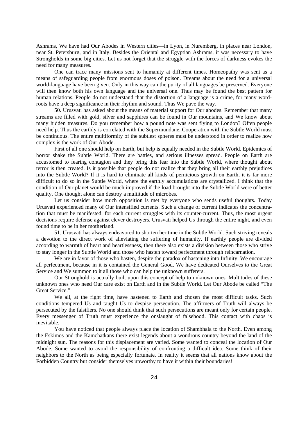Ashrams, We have had Our Abodes in Western cities—in Lyon, in Nuremberg, in places near London, near St. Petersburg, and in Italy. Besides the Oriental and Egyptian Ashrams, it was necessary to have Strongholds in some big cities. Let us not forget that the struggle with the forces of darkness evokes the need for many measures.

 One can trace many missions sent to humanity at different times. Homeopathy was sent as a means of safeguarding people from enormous doses of poison. Dreams about the need for a universal world-language have been given. Only in this way can the purity of all languages be preserved. Everyone will then know both his own language and the universal one. Thus may be found the best pattern for human relations. People do not understand that the distortion of a language is a crime, for many wordroots have a deep significance in their rhythm and sound. Thus We pave the way.

 50. Urusvati has asked about the means of material support for Our abodes. Remember that many streams are filled with gold, silver and sapphires can be found in Our mountains, and We know about many hidden treasures. Do you remember how a pound note was sent flying to London? Often people need help. Thus the earthly is correlated with the Supermundane. Cooperation with the Subtle World must be continuous. The entire multiformity of the subtlest spheres must be understood in order to realize how complex is the work of Our Abode.

 First of all one should help on Earth, but help is equally needed in the Subtle World. Epidemics of horror shake the Subtle World. There are battles, and serious illnesses spread. People on Earth are accustomed to fearing contagion and they bring this fear into the Subtle World, where thought about terror is then created. Is it possible that people do not realize that they bring all their earthly prejudices into the Subtle World? If it is hard to eliminate all kinds of pernicious growth on Earth, it is far more difficult to do so in the Subtle World, where the earthly accumulations are crystallized. I think that the condition of Our planet would be much improved if the load brought into the Subtle World were of better quality. One thought alone can destroy a multitude of microbes.

 Let us consider how much opposition is met by everyone who sends useful thoughts. Today Urusvati experienced many of Our intensified currents. Such a change of current indicates the concentration that must be manifested, for each current struggles with its counter-current. Thus, the most urgent decisions require defense against clever destroyers. Urusvati helped Us through the entire night, and even found time to be in her motherland.

 51. Urusvati has always endeavored to shorten her time in the Subtle World. Such striving reveals a devotion to the direct work of alleviating the suffering of humanity. If earthly people are divided according to warmth of heart and heartlessness, then there also exists a division between those who strive to stay longer in the Subtle World and those who hasten toward perfectment through reincarnation.

We are in favor of those who hasten, despite the paradox of hastening into Infinity. We encourage all perfectment, because in it is contained the General Good. We have dedicated Ourselves to the Great Service and We summon to it all those who can help the unknown sufferers.

 Our Stronghold is actually built upon this concept of help to unknown ones. Multitudes of these unknown ones who need Our care exist on Earth and in the Subtle World. Let Our Abode be called "The Great Service."

 We all, at the right time, have hastened to Earth and chosen the most difficult tasks. Such conditions tempered Us and taught Us to despise persecution. The affirmers of Truth will always be persecuted by the falsifiers. No one should think that such persecutions are meant only for certain people. Every messenger of Truth must experience the onslaught of falsehood. This contact with chaos is inevitable.

 You have noticed that people always place the location of Shambhala to the North. Even among the Eskimos and the Kamchatkans there exist legends about a wondrous country beyond the land of the midnight sun. The reasons for this displacement are varied. Some wanted to conceal the location of Our Abode. Some wanted to avoid the responsibility of confronting a difficult idea. Some think of their neighbors to the North as being especially fortunate. In reality it seems that all nations know about the Forbidden Country but consider themselves unworthy to have it within their boundaries!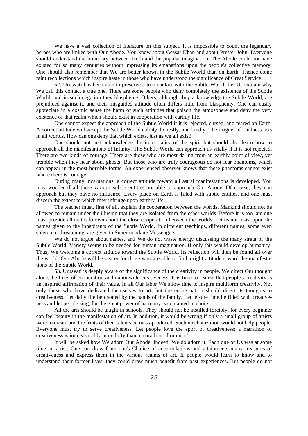We have a vast collection of literature on this subject. It is impossible to count the legendary heroes who are linked with Our Abode. You know about Gessar Khan and about Prester John. Everyone should understand the boundary between Truth and the popular imagination. The Abode could not have existed for so many centuries without impressing its emanations upon the people's collective memory. One should also remember that We are better known in the Subtle World than on Earth. Thence come faint recollections which inspire haste in those who have understood the significance of Great Service.

 52. Urusvati has been able to preserve a true contact with the Subtle World. Let Us explain why We call this contact a true one. There are some people who deny completely the existence of the Subtle World, and in such negation they blaspheme. Others, although they acknowledge the Subtle World, are prejudiced against it, and their misguided attitude often differs little from blasphemy. One can easily appreciate in a cosmic sense the harm of such attitudes that poison the atmosphere and deny the very existence of that realm which should exist in cooperation with earthly life.

 One cannot expect the approach of the Subtle World if it is rejected, cursed, and feared on Earth. A correct attitude will accept the Subtle World calmly, honestly, and kindly. The magnet of kindness acts in all worlds. How can one deny that which exists, just as we all exist!

 One should not just acknowledge the immortality of the spirit but should also learn how to approach all the manifestations of Infinity. The Subtle World can approach us vitally if it is not rejected. There are two kinds of courage. There are those who are most daring from an earthly point of view, yet tremble when they hear about ghosts! But those who are truly courageous do not fear phantoms, which can appear in the most horrible forms. An experienced observer knows that these phantoms cannot exist where there is courage.

 During many incarnations, a correct attitude toward all astral manifestations is developed. You may wonder if all these various subtle entities are able to approach Our Abode. Of course, they can approach but they have no influence. Every place on Earth is filled with subtle entities, and one must discern the extent to which they infringe upon earthly life.

 The teacher must, first of all, explain the cooperation between the worlds. Mankind should not be allowed to remain under the illusion that they are isolated from the other worlds. Before it is too late one must provide all that is known about the close cooperation between the worlds. Let us not insist upon the names given to the inhabitants of the Subtle World. In different teachings, different names, some even solemn or threatening, are given to Supermundane Messengers.

 We do not argue about names, and We do not waste energy discussing the many strata of the Subtle World. Variety seems to be needed for human imagination. If only this would develop humanity! Thus, We welcome a correct attitude toward the Subtle World. Its reflection will then be found all over the world. Our Abode will be nearer for those who are able to find a right attitude toward the manifestations of the Subtle World.

 53. Urusvati is deeply aware of the significance of the creativity in people. We direct Our thought along the lines of cooperation and nationwide creativeness. It is time to realize that people's creativity is an inspired affirmation of their value. In all Our labor We allow time to inspire multiform creativity. Not only those who have dedicated themselves to art, but the entire nation should direct its thoughts to creativeness. Let daily life be created by the hands of the family. Let leisure time be filled with creativeness and let people sing, for the great power of harmony is contained in choirs.

 All the arts should be taught in schools. They should not be instilled forcibly, for every beginner can feel beauty in the manifestation of art. In addition, it would be wrong if only a small group of artists were to create and the fruits of their talents be mass-produced. Such mechanization would not help people. Everyone must try to serve creativeness. Let people love the sport of creativeness; a marathon of creativeness is immeasurably more lofty than a marathon of runners!

 It will be asked how We adorn Our Abode. Indeed, We do adorn it. Each one of Us was at some time an artist. One can draw from one's Chalice of accumulations and attainments many treasures of creativeness and express them in the various realms of art. If people would learn to know and to understand their former lives, they could draw much benefit from past experiences. But people do not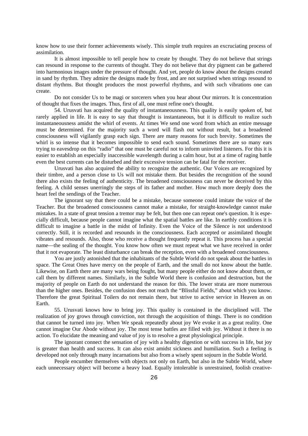know how to use their former achievements wisely. This simple truth requires an excruciating process of assimilation.

 It is almost impossible to tell people how to create by thought. They do not believe that strings can resound in response to the currents of thought. They do not believe that dry pigment can be gathered into harmonious images under the pressure of thought. And yet, people do know about the designs created in sand by rhythm. They admire the designs made by frost, and are not surprised when strings resound to distant rhythms. But thought produces the most powerful rhythms, and with such vibrations one can create.

 Do not consider Us to be magi or sorcerers when you hear about Our mirrors. It is concentration of thought that fixes the images. Thus, first of all, one must refine one's thought.

 54. Urusvati has acquired the quality of instantaneousness. This quality is easily spoken of, but rarely applied in life. It is easy to say that thought is instantaneous, but it is difficult to realize such instantaneousness amidst the whirl of events. At times We send one word from which an entire message must be determined. For the majority such a word will flash out without result, but a broadened consciousness will vigilantly grasp each sign. There are many reasons for such brevity. Sometimes the whirl is so intense that it becomes impossible to send each sound. Sometimes there are so many ears trying to eavesdrop on this "radio" that one must be careful not to inform uninvited listeners. For this it is easier to establish an especially inaccessible wavelength during a calm hour, but at a time of raging battle even the best currents can be disturbed and their excessive tension can be fatal for the receiver.

 Urusvati has also acquired the ability to recognize the authentic. Our Voices are recognized by their timbre, and a person close to Us will not mistake them. But besides the recognition of the sound there also exists the feeling of authenticity. The broadened consciousness can never be deceived by this feeling. A child senses unerringly the steps of its father and mother. How much more deeply does the heart feel the sendings of the Teacher.

 The ignorant say that there could be a mistake, because someone could imitate the voice of the Teacher. But the broadened consciousness cannot make a mistake, for straight-knowledge cannot make mistakes. In a state of great tension a tremor may be felt, but then one can repeat one's question. It is especially difficult, because people cannot imagine what the spatial battles are like. In earthly conditions it is difficult to imagine a battle in the midst of Infinity. Even the Voice of the Silence is not understood correctly. Still, it is recorded and resounds in the consciousness. Each accepted or assimilated thought vibrates and resounds. Also, those who receive a thought frequently repeat it. This process has a special name—the sealing of the thought. You know how often we must repeat what we have received in order that it not evaporate. The least disturbance can break the reception, even with a broadened consciousness.

 You are justly astonished that the inhabitants of the Subtle World do not speak about the battles in space. The Great Ones have mercy on the people of Earth, and the small do not know about the battle. Likewise, on Earth there are many wars being fought, but many people either do not know about them, or call them by different names. Similarly, in the Subtle World there is confusion and destruction, but the majority of people on Earth do not understand the reason for this. The lower strata are more numerous than the higher ones. Besides, the confusion does not reach the "Blissful Fields," about which you know. Therefore the great Spiritual Toilers do not remain there, but strive to active service in Heaven as on Earth.

 55. Urusvati knows how to bring joy. This quality is contained in the disciplined will. The realization of joy grows through conviction, not through the acquisition of things. There is no condition that cannot be turned into joy. When We speak repeatedly about joy We evoke it as a great reality. One cannot imagine Our Abode without joy. The most tense battles are filled with joy. Without it there is no action. To elucidate the meaning and value of joy is to resolve a great physiological principle.

 The ignorant connect the sensation of joy with a healthy digestion or with success in life, but joy is greater than health and success. It can also exist amidst sickness and humiliation. Such a feeling is developed not only through many incarnations but also from a wisely spent sojourn in the Subtle World.

People encumber themselves with objects not only on Earth, but also in the Subtle World, where each unnecessary object will become a heavy load. Equally intolerable is unrestrained, foolish creative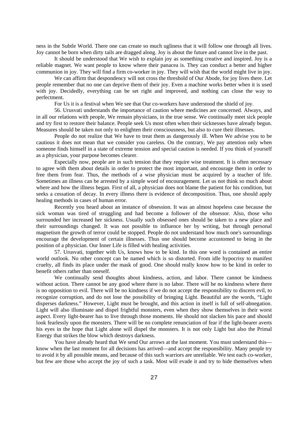ness in the Subtle World. There one can create so much ugliness that it will follow one through all lives. Joy cannot be born when dirty tails are dragged along. Joy is about the future and cannot live in the past.

 It should be understood that We wish to explain joy as something creative and inspired. Joy is a reliable magnet. We want people to know where their panacea is. They can conduct a better and higher communion in joy. They will find a firm co-worker in joy. They will wish that the world might live in joy.

We can affirm that despondency will not cross the threshold of Our Abode, for joy lives there. Let people remember that no one can deprive them of their joy. Even a machine works better when it is used with joy. Decidedly, everything can be set right and improved, and nothing can close the way to perfectment.

For Us it is a festival when We see that Our co-workers have understood the shield of joy.

 56. Urusvati understands the importance of caution where medicines are concerned. Always, and in all our relations with people, We remain physicians, in the true sense. We continually meet sick people and try first to restore their balance. People seek Us most often when their sicknesses have already begun. Measures should be taken not only to enlighten their consciousness, but also to cure their illnesses.

 People do not realize that We have to treat them as dangerously ill. When We advise you to be cautious it does not mean that we consider you careless. On the contrary, We pay attention only when someone finds himself in a state of extreme tension and special caution is needed. If you think of yourself as a physician, your purpose becomes clearer.

 Especially now, people are in such tension that they require wise treatment. It is often necessary to agree with them about details in order to protect the most important, and encourage them in order to free them from fear. Thus, the methods of a wise physician must be acquired by a teacher of life. Sometimes an illness can be arrested by a simple word of encouragement. Let us not think so much about where and how the illness began. First of all, a physician does not blame the patient for his condition, but seeks a cessation of decay. In every illness there is evidence of decomposition. Thus, one should apply healing methods in cases of human error.

 Recently you heard about an instance of obsession. It was an almost hopeless case because the sick woman was tired of struggling and had become a follower of the obsessor. Also, those who surrounded her increased her sickness. Usually such obsessed ones should be taken to a new place and their surroundings changed. It was not possible to influence her by writing, but through personal magnetism the growth of terror could be stopped. People do not understand how much one's surroundings encourage the development of certain illnesses. Thus one should become accustomed to being in the position of a physician. Our Inner Life is filled with healing activities.

 57. Urusvati, together with Us, knows how to be kind. In this one word is contained an entire world outlook. No other concept can be named which is so distorted. From idle hypocrisy to manifest cruelty, all finds its place under the mask of good. One should really know how to be kind in order to benefit others rather than oneself.

 We continually send thoughts about kindness, action, and labor. There cannot be kindness without action. There cannot be any good where there is no labor. There will be no kindness where there is no opposition to evil. There will be no kindness if we do not accept the responsibility to discern evil, to recognize corruption, and do not lose the possibility of bringing Light. Beautiful are the words, "Light disperses darkness." However, Light must be brought, and this action in itself is full of self-abnegation. Light will also illuminate and dispel frightful monsters, even when they show themselves in their worst aspect. Every light-bearer has to live through those moments. He should not slacken his pace and should look fearlessly upon the monsters. There will be no complete renunciation of fear if the light-bearer averts his eyes in the hope that Light alone will dispel the monsters. It is not only Light but also the Primal Energy that strikes the blow which destroys darkness.

 You have already heard that We send Our arrows at the last moment. You must understand this know when the last moment for all decisions has arrived—and accept the responsibility. Many people try to avoid it by all possible means, and because of this such warriors are unreliable. We test each co-worker, but few are those who accept the joy of such a task. Most will evade it and try to hide themselves when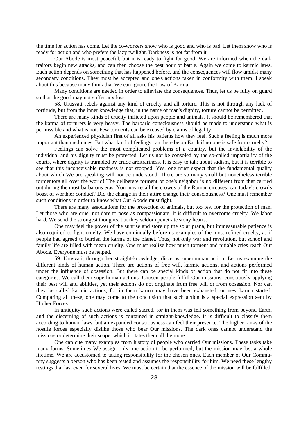the time for action has come. Let the co-workers show who is good and who is bad. Let them show who is ready for action and who prefers the lazy twilight. Darkness is not far from it.

 Our Abode is most peaceful, but it is ready to fight for good. We are informed when the dark traitors begin new attacks, and can then choose the best hour of battle. Again we come to karmic laws. Each action depends on something that has happened before, and the consequences will flow amidst many secondary conditions. They must be accepted and one's actions taken in conformity with them. I speak about this because many think that We can ignore the Law of Karma.

 Many conditions are needed in order to alleviate the consequences. Thus, let us be fully on guard so that the good may not suffer any loss.

 58. Urusvati rebels against any kind of cruelty and all torture. This is not through any lack of fortitude, but from the inner knowledge that, in the name of man's dignity, torture cannot be permitted.

 There are many kinds of cruelty inflicted upon people and animals. It should be remembered that the karma of torturers is very heavy. The barbaric consciousness should be made to understand what is permissible and what is not. Few torments can be excused by claims of legality.

 An experienced physician first of all asks his patients how they feel. Such a feeling is much more important than medicines. But what kind of feelings can there be on Earth if no one is safe from cruelty?

 Feelings can solve the most complicated problems of a country, but the inviolability of the individual and his dignity must be protected. Let us not be consoled by the so-called impartiality of the courts, where dignity is trampled by crude arbitrariness. It is easy to talk about sadism, but it is terrible to see that this inconceivable madness is not stopped. Yes, one must expect that the fundamental quality about which We are speaking will not be understood. There are so many small but nonetheless terrible tormentors all over the world! The deliberate torment of one's neighbor is no different from that carried out during the most barbarous eras. You may recall the crowds of the Roman circuses; can today's crowds boast of worthier conduct? Did the change in their attire change their consciousness? One must remember such conditions in order to know what Our Abode must fight.

 There are many associations for the protection of animals, but too few for the protection of man. Let those who are cruel not dare to pose as compassionate. It is difficult to overcome cruelty. We labor hard, We send the strongest thoughts, but they seldom penetrate stony hearts.

 One may feel the power of the sunrise and store up the solar prana, but immeasurable patience is also required to fight cruelty. We have continually before us examples of the most refined cruelty, as if people had agreed to burden the karma of the planet. Thus, not only war and revolution, but school and family life are filled with mean cruelty. One must realize how much torment and pitiable cries reach Our Abode. Everyone must be helped.

 59. Urusvati, through her straight-knowledge, discerns superhuman action. Let us examine the different kinds of human action. There are actions of free will, karmic actions, and actions performed under the influence of obsession. But there can be special kinds of action that do not fit into these categories. We call them superhuman actions. Chosen people fulfill Our missions, consciously applying their best will and abilities, yet their actions do not originate from free will or from obsession. Nor can they be called karmic actions, for in them karma may have been exhausted, or new karma started. Comparing all these, one may come to the conclusion that such action is a special expression sent by Higher Forces.

 In antiquity such actions were called sacred, for in them was felt something from beyond Earth, and the discerning of such actions is contained in straight-knowledge. It is difficult to classify them according to human laws, but an expanded consciousness can feel their presence. The higher ranks of the hostile forces especially dislike those who bear Our missions. The dark ones cannot understand the missions or determine their scope, which irritates them all the more.

 One can cite many examples from history of people who carried Our missions. These tasks take many forms. Sometimes We assign only one action to be performed, but the mission may last a whole lifetime. We are accustomed to taking responsibility for the chosen ones. Each member of Our Community suggests a person who has been tested and assumes the responsibility for him. We need these lengthy testings that last even for several lives. We must be certain that the essence of the mission will be fulfilled.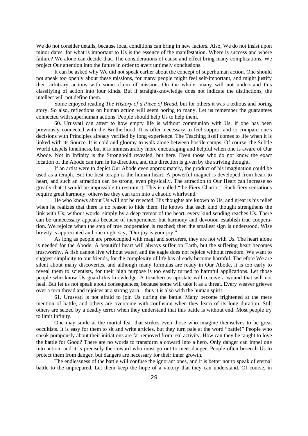We do not consider details, because local conditions can bring in new factors. Also, We do not insist upon minor dates, for what is important to Us is the essence of the manifestation. Where is success and where failure? We alone can decide that. The considerations of cause and effect bring many complications. We project Our attention into the future in order to avert untimely conclusions.

 It can be asked why We did not speak earlier about the concept of superhuman action. One should not speak too openly about these missions, for many people might feel self-important, and might justify their arbitrary actions with some claim of mission. On the whole, many will not understand this classifying of action into four kinds. But if straight-knowledge does not indicate the distinctions, the intellect will not define them.

 Some enjoyed reading *The History of a Piece of Bread*, but for others it was a tedious and boring story. So also, reflections on human action will seem boring to many. Let us remember the guarantees connected with superhuman actions. People should help Us to help them.

 60. Urusvati can attest to how empty life is without communion with Us, if one has been previously connected with the Brotherhood. It is often necessary to feel support and to compare one's decisions with Principles already verified by long experience. The Teaching itself comes to life when it is linked with its Source. It is cold and gloomy to walk alone between hostile camps. Of course, the Subtle World dispels loneliness, but it is immeasurably more encouraging and helpful when one is aware of Our Abode. Not in Infinity is the Stronghold revealed, but here. Even those who do not know the exact location of the Abode can turn in its direction, and this direction is given by the striving thought.

 If an artist were to depict Our Abode even approximately, the product of his imagination could be used as a teraph. But the best teraph is the human heart. A powerful magnet is developed from heart to heart, and such an attraction can be strong, even physically. The attraction to Our Heart can increase so greatly that it would be impossible to restrain it. This is called "the Fiery Chariot." Such fiery sensations require great harmony, otherwise they can turn into a chaotic whirlwind.

 He who knows about Us will not be rejected. His thoughts are known to Us, and great is his relief when he realizes that there is no reason to hide them. He knows that each kind thought strengthens the link with Us; without words, simply by a deep tremor of the heart, every kind sending reaches Us. There can be unnecessary appeals because of inexperience, but harmony and devotion establish true cooperation. We rejoice when the step of true cooperation is reached; then the smallest sign is understood. Wise brevity is appreciated and one might say, "Our joy is your joy."

 As long as people are preoccupied with magi and sorcerers, they are not with Us. The heart alone is needed for the Abode. A beautiful heart will always suffer on Earth, but the suffering heart becomes trustworthy. A fish cannot live without water, and the eagle does not rejoice without freedom. We want to suggest simplicity to our friends, for the complexity of life has already become harmful. Therefore We are silent about many discoveries, and although many formulas are ready in Our Abode, it is too early to reveal them to scientists, for their high purpose is too easily turned to harmful applications. Let those people who know Us guard this knowledge. A treacherous apostate will receive a wound that will not heal. But let us not speak about consequences, because some will take it as a threat. Every weaver grieves over a torn thread and rejoices at a strong yarn—thus it is also with the human spirit.

 61. Urusvati is not afraid to join Us during the battle. Many become frightened at the mere mention of battle, and others are overcome with confusion when they learn of its long duration. Still others are seized by a deadly terror when they understand that this battle is without end. Most people try to limit Infinity.

 One may smile at the mortal fear that strikes even those who imagine themselves to be great occultists. It is easy for them to sit and write articles, but they turn pale at the word "battle!" People who speak pompously about their initiations are far removed from real activity. How can they be taught to love the battle for Good? There are no words to transform a coward into a hero. Only danger can impel one into action, and it is precisely the coward who must go out to meet danger. People often beseech Us to protect them from danger, but dangers are necessary for their inner growth.

 The endlessness of the battle will confuse the ignorant ones, and it is better not to speak of eternal battle to the unprepared. Let them keep the hope of a victory that they can understand. Of course, in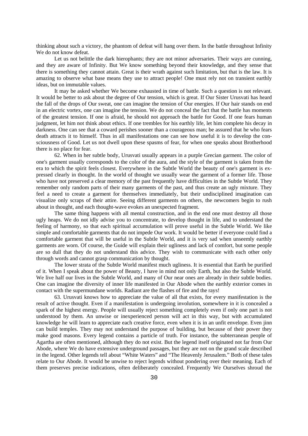thinking about such a victory, the phantom of defeat will hang over them. In the battle throughout Infinity We do not know defeat.

Let us not belittle the dark hierophants; they are not minor adversaries. Their ways are cunning, and they are aware of Infinity. But We know something beyond their knowledge, and they sense that there is something they cannot attain. Great is their wrath against such limitation, but that is the law. It is amazing to observe what base means they use to attract people! One must rely not on transient earthly ideas, but on immutable values.

 It may be asked whether We become exhausted in time of battle. Such a question is not relevant. It would be better to ask about the degree of Our tension, which is great. If Our Sister Urusvati has heard the fall of the drops of Our sweat, one can imagine the tension of Our energies. If Our hair stands on end in an electric vortex, one can imagine the tension. We do not conceal the fact that the battle has moments of the greatest tension. If one is afraid, he should not approach the battle for Good. If one fears human judgment, let him not think about ethics. If one trembles for his earthly life, let him complete his decay in darkness. One can see that a coward perishes sooner than a courageous man; be assured that he who fears death attracts it to himself. Thus in all manifestations one can see how useful it is to develop the consciousness of Good. Let us not dwell upon these spasms of fear, for when one speaks about Brotherhood there is no place for fear.

 62. When in her subtle body, Urusvati usually appears in a purple Grecian garment. The color of one's garment usually corresponds to the color of the aura, and the style of the garment is taken from the era to which the spirit feels closest. Everywhere in the Subtle World the beauty of one's garment is expressed clearly in thought. In the world of thought we usually wear the garment of a former life. Those who have not preserved a clear memory of the past frequently have difficulties in the Subtle World. They remember only random parts of their many garments of the past, and thus create an ugly mixture. They feel a need to create a garment for themselves immediately, but their undisciplined imagination can visualize only scraps of their attire. Seeing different garments on others, the newcomers begin to rush about in thought, and each thought-wave evokes an unexpected fragment.

 The same thing happens with all mental construction, and in the end one must destroy all those ugly heaps. We do not idly advise you to concentrate, to develop thought in life, and to understand the feeling of harmony, so that each spiritual accumulation will prove useful in the Subtle World. We like simple and comfortable garments that do not impede Our work. It would be better if everyone could find a comfortable garment that will be useful in the Subtle World, and it is very sad when unseemly earthly garments are worn. Of course, the Guide will explain their ugliness and lack of comfort, but some people are so dull that they do not understand this advice. They wish to communicate with each other only through words and cannot grasp communication by thought.

 The lower strata of the Subtle World manifest much ugliness. It is essential that Earth be purified of it. When I speak about the power of Beauty, I have in mind not only Earth, but also the Subtle World. We live half our lives in the Subtle World, and many of Our near ones are already in their subtle bodies. One can imagine the diversity of inner life manifested in Our Abode when the earthly exterior comes in contact with the supermundane worlds. Radiant are the flashes of fire and the rays!

 63. Urusvati knows how to appreciate the value of all that exists, for every manifestation is the result of active thought. Even if a manifestation is undergoing involution, somewhere in it is concealed a spark of the highest energy. People will usually reject something completely even if only one part is not understood by them. An unwise or inexperienced person will act in this way, but with accumulated knowledge he will learn to appreciate each creative force, even when it is in an unfit envelope. Even jinn can build temples. They may not understand the purpose of building, but because of their power they make good masons. Every legend contains a particle of truth. For instance, the subterranean people of Agartha are often mentioned, although they do not exist. But the legend itself originated not far from Our Abode, where We do have extensive underground passages, but they are not on the grand scale described in the legend. Other legends tell about "White Waters" and "The Heavenly Jerusalem." Both of these tales relate to Our Abode. It would be unwise to reject legends without pondering over their meaning. Each of them preserves precise indications, often deliberately concealed. Frequently We Ourselves shroud the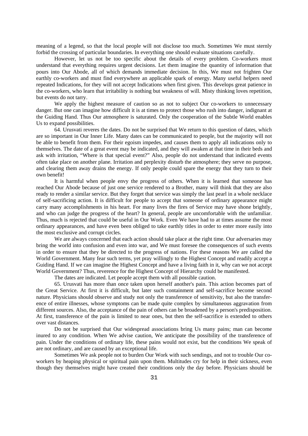meaning of a legend, so that the local people will not disclose too much. Sometimes We must sternly forbid the crossing of particular boundaries. In everything one should evaluate situations carefully.

 However, let us not be too specific about the details of every problem. Co-workers must understand that everything requires urgent decisions. Let them imagine the quantity of information that pours into Our Abode, all of which demands immediate decision. In this, We must not frighten Our earthly co-workers and must find everywhere an applicable spark of energy. Many useful helpers need repeated Indications, for they will not accept Indications when first given. This develops great patience in the co-workers, who learn that irritability is nothing but weakness of will. Misty thinking loves repetition, but events do not tarry.

We apply the highest measure of caution so as not to subject Our co-workers to unnecessary danger. But one can imagine how difficult it is at times to protect those who rush into danger, indignant at the Guiding Hand. Thus Our atmosphere is saturated. Only the cooperation of the Subtle World enables Us to expand possibilities.

 64. Urusvati reveres the dates. Do not be surprised that We return to this question of dates, which are so important in Our Inner Life. Many dates can be communicated to people, but the majority will not be able to benefit from them. For their egoism impedes, and causes them to apply all indications only to themselves. The date of a great event may be indicated, and they will awaken at that time in their beds and ask with irritation, "Where is that special event?" Also, people do not understand that indicated events often take place on another plane. Irritation and perplexity disturb the atmosphere; they serve no purpose, and clearing them away drains the energy. If only people could spare the energy that they turn to their own benefit!

 It is harmful when people envy the progress of others. When it is learned that someone has reached Our Abode because of just one service rendered to a Brother, many will think that they are also ready to render a similar service. But they forget that service was simply the last pearl in a whole necklace of self-sacrificing action. It is difficult for people to accept that someone of ordinary appearance might carry many accomplishments in his heart. For many lives the fires of Service may have shone brightly, and who can judge the progress of the heart? In general, people are uncomfortable with the unfamiliar. Thus, much is rejected that could be useful in Our Work. Even We have had to at times assume the most ordinary appearances, and have even been obliged to take earthly titles in order to enter more easily into the most exclusive and corrupt circles.

 We are always concerned that each action should take place at the right time. Our adversaries may bring the world into confusion and even into war, and We must foresee the consequences of such events in order to ensure that they be directed to the progress of nations. For these reasons We are called the World Government. Many fear such terms, yet pray willingly to the Highest Concept and readily accept a Guiding Hand. If we can imagine the Highest Concept and have a living faith in it, why can we not accept World Government? Thus, reverence for the Highest Concept of Hierarchy could be manifested.

The dates are indicated. Let people accept them with all possible caution.

 65. Urusvati has more than once taken upon herself another's pain. This action becomes part of the Great Service. At first it is difficult, but later such containment and self-sacrifice become second nature. Physicians should observe and study not only the transference of sensitivity, but also the transference of entire illnesses, whose symptoms can be made quite complex by simultaneous aggravation from different sources. Also, the acceptance of the pain of others can be broadened by a person's predisposition. At first, transference of the pain is limited to near ones, but then the self-sacrifice is extended to others over vast distances.

 Do not be surprised that Our widespread associations bring Us many pains; man can become inured to any condition. When We advise caution, We anticipate the possibility of the transference of pain. Under the conditions of ordinary life, these pains would not exist, but the conditions We speak of are not ordinary, and are caused by an exceptional life.

 Sometimes We ask people not to burden Our Work with such sendings, and not to trouble Our coworkers by heaping physical or spiritual pain upon them. Multitudes cry for help in their sickness, even though they themselves might have created their conditions only the day before. Physicians should be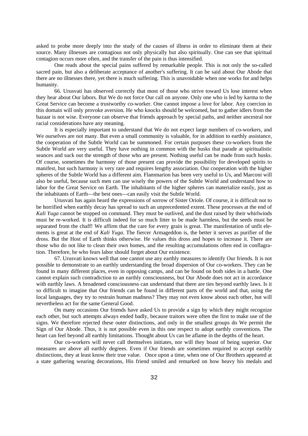asked to probe more deeply into the study of the causes of illness in order to eliminate them at their source. Many illnesses are contagious not only physically but also spiritually. One can see that spiritual contagion occurs more often, and the transfer of the pain is thus intensified.

 One reads about the special pains suffered by remarkable people. This is not only the so-called sacred pain, but also a deliberate acceptance of another's suffering. It can be said about Our Abode that there are no illnesses there, yet there is much suffering. This is unavoidable when one works for and helps humanity.

 66. Urusvati has observed correctly that most of those who strive toward Us lose interest when they hear about Our labors. But We do not force Our call on anyone. Only one who is led by karma to the Great Service can become a trustworthy co-worker. One cannot impose a love for labor. Any coercion in this domain will only provoke aversion. He who knocks should be welcomed, but to gather idlers from the bazaar is not wise. Everyone can observe that friends approach by special paths, and neither ancestral nor racial considerations have any meaning.

 It is especially important to understand that We do not expect large numbers of co-workers, and We ourselves are not many. But even a small community is valuable, for in addition to earthly assistance, the cooperation of the Subtle World can be summoned. For certain purposes these co-workers from the Subtle World are very useful. They have nothing in common with the husks that parade at spiritualistic seances and suck out the strength of those who are present. Nothing useful can be made from such husks. Of course, sometimes the harmony of those present can provide the possibility for developed spirits to manifest, but such harmony is very rare and requires lengthy association. Our cooperation with the higher spheres of the Subtle World has a different aim. Flammarion has been very useful to Us, and Marconi will also be useful, because such men can use wisely the powers of the Subtle World and understand how to labor for the Great Service on Earth. The inhabitants of the higher spheres can materialize easily, just as the inhabitants of Earth—the best ones—can easily visit the Subtle World.

 Urusvati has again heard the expressions of sorrow of Sister Oriole. Of course, it is difficult not to be horrified when earthly decay has spread to such an unprecedented extent. These processes at the end of *Kali Yuga* cannot be stopped on command. They must be outlived, and the dust raised by their whirlwinds must be re-worked. It is difficult indeed for so much litter to be made harmless, but the seeds must be separated from the chaff! We affirm that the care for every grain is great. The manifestation of unfit elements is great at the end of *Kali Yuga*. The fiercer Armageddon is, the better it serves as purifier of the dross. But the Host of Earth thinks otherwise. He values this dross and hopes to increase it. There are those who do not like to clean their own homes, and the resulting accumulations often end in conflagration. Therefore, he who fears labor should forget about Our existence.

 67. Urusvati knows well that one cannot use any earthly measures to identify Our friends. It is not possible to demonstrate to an earthly understanding the broad dispersion of Our co-workers. They can be found in many different places, even in opposing camps, and can be found on both sides in a battle. One cannot explain such contradiction to an earthly consciousness, but Our Abode does not act in accordance with earthly laws. A broadened consciousness can understand that there are ties beyond earthly laws. Is it so difficult to imagine that Our friends can be found in different parts of the world and that, using the local languages, they try to restrain human madness? They may not even know about each other, but will nevertheless act for the same General Good.

 On many occasions Our friends have asked Us to provide a sign by which they might recognize each other, but such attempts always ended badly, because traitors were often the first to make use of the signs. We therefore rejected these outer distinctions, and only in the smallest groups do We permit the Sign of Our Abode. Thus, it is not possible even in this one respect to adopt earthly conventions. The heart can feel beyond all earthly limitations. Thought about Us can be aflame in the depths of the heart.

 Our co-workers will never call themselves initiates, nor will they boast of being superior. Our measures are above all earthly degrees. Even if Our friends are sometimes required to accept earthly distinctions, they at least know their true value. Once upon a time, when one of Our Brothers appeared at a state gathering wearing decorations, His friend smiled and remarked on how heavy his medals and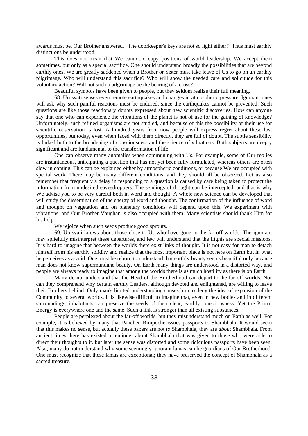awards must be. Our Brother answered, "The doorkeeper's keys are not so light either!" Thus must earthly distinctions be understood.

 This does not mean that We cannot occupy positions of world leadership. We accept them sometimes, but only as a special sacrifice. One should understand broadly the possibilities that are beyond earthly ones. We are greatly saddened when a Brother or Sister must take leave of Us to go on an earthly pilgrimage. Who will understand this sacrifice? Who will show the needed care and solicitude for this voluntary action? Will not such a pilgrimage be the bearing of a cross?

Beautiful symbols have been given to people, but they seldom realize their full meaning.

 68. Urusvati senses even remote earthquakes and changes in atmospheric pressure. Ignorant ones will ask why such painful reactions must be endured, since the earthquakes cannot be prevented. Such questions are like those reactionary doubts expressed about new scientific discoveries. How can anyone say that one who can experience the vibrations of the planet is not of use for the gaining of knowledge? Unfortunately, such refined organisms are not studied, and because of this the possibility of their use for scientific observation is lost. A hundred years from now people will express regret about these lost opportunities, but today, even when faced with them directly, they are full of doubt. The subtle sensibility is linked both to the broadening of consciousness and the science of vibrations. Both subjects are deeply significant and are fundamental to the transformation of life.

 One can observe many anomalies when communing with Us. For example, some of Our replies are instantaneous, anticipating a question that has not yet been fully formulated, whereas others are often slow in coming. This can be explained either by atmospheric conditions, or because We are occupied with special work. There may be many different conditions, and they should all be observed. Let us also remember that frequently a delay in responding to a question is caused by care being taken to protect the information from undesired eavesdroppers. The sendings of thought can be intercepted, and that is why We advise you to be very careful both in word and thought. A whole new science can be developed that will study the dissemination of the energy of word and thought. The confirmation of the influence of word and thought on vegetation and on planetary conditions will depend upon this. We experiment with vibrations, and Our Brother Vaughan is also occupied with them. Many scientists should thank Him for his help.

We rejoice when such seeds produce good sprouts.

 69. Urusvati knows about those close to Us who have gone to the far-off worlds. The ignorant may spitefully misinterpret these departures, and few will understand that the flights are special missions. It is hard to imagine that between the worlds there exist links of thought. It is not easy for man to detach himself from his earthly solidity and realize that the most important place is not here on Earth but in what he perceives as a void. One must be reborn to understand that earthly beauty seems beautiful only because man does not know supermundane beauty. On Earth many things are understood in a distorted way, and people are always ready to imagine that among the worlds there is as much hostility as there is on Earth.

 Many do not understand that the Head of the Brotherhood can depart to the far-off worlds. Nor can they comprehend why certain earthly Leaders, although devoted and enlightened, are willing to leave their Brothers behind. Only man's limited understanding causes him to deny the idea of expansion of the Community to several worlds. It is likewise difficult to imagine that, even in new bodies and in different surroundings, inhabitants can preserve the seeds of their clear, earthly consciousness. Yet the Primal Energy is everywhere one and the same. Such a link is stronger than all existing substances.

 People are perplexed about the far-off worlds, but they misunderstand much on Earth as well. For example, it is believed by many that Panchen Rimpoche issues passports to Shambhala. It would seem that this makes no sense, but actually these papers are not *to* Shambhala, they are *about* Shambhala. From ancient times there has existed a reminder about Shambhala that was given to those who were able to direct their thoughts to it, but later the sense was distorted and some ridiculous passports have been seen. Also, many do not understand why some seemingly ignorant lamas can be guardians of Our Brotherhood. One must recognize that these lamas are exceptional; they have preserved the concept of Shambhala as a sacred treasure.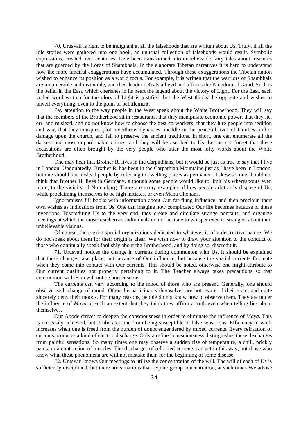70. Urusvati is right to be indignant at all the falsehoods that are written about Us. Truly, if all the idle stories were gathered into one book, an unusual collection of falsehoods would result. Symbolic expressions, created over centuries, have been transformed into unbelievable fairy tales about treasures that are guarded by the Lords of Shambhala. In the elaborate Tibetan narratives it is hard to understand how the more fanciful exaggerations have accumulated. Through these exaggerations the Tibetan nation wished to enhance its position as a world focus. For example, it is written that the warriors of Shambhala are innumerable and invincible, and their leader defeats all evil and affirms the Kingdom of Good. Such is the belief in the East, which cherishes in its heart the legend about the victory of Light. For the East, each veiled word written for the glory of Light is justified, but the West thinks the opposite and wishes to unveil everything, even to the point of belittlement.

 Pay attention to the way people in the West speak about the White Brotherhood. They will say that the members of the Brotherhood sit in restaurants, that they manipulate economic power, that they lie, err, and mislead, and do not know how to choose the best co-workers; that they lure people into sedition and war, that they conspire, plot, overthrow dynasties, meddle in the peaceful lives of families, inflict damage upon the church, and fail to preserve the ancient traditions. In short, one can enumerate all the darkest and most unpardonable crimes, and they will be ascribed to Us. Let us not forget that these accusations are often brought by the very people who utter the most lofty words about the White Brotherhood.

 One may hear that Brother R. lives in the Carpathians, but it would be just as true to say that I live in London. Undoubtedly, Brother R. has been in the Carpathian Mountains just as I have been in London, but one should not mislead people by referring to dwelling places as permanent. Likewise, one should not think that Brother H. lives in Germany, although some people would like to limit his whereabouts even more, to the vicinity of Nuremburg. There are many examples of how people arbitrarily dispose of Us, while proclaiming themselves to be high initiates, or even Maha Chohans.

 Ignoramuses fill books with information about Our far-flung influence, and then proclaim their own wishes as Indications from Us. One can imagine how complicated Our life becomes because of these inventions. Discrediting Us to the very end, they create and circulate strange portraits, and organize meetings at which the most treacherous individuals do not hesitate to whisper even to strangers about their unbelievable visions.

 Of course, there exist special organizations dedicated to whatever is of a destructive nature. We do not speak about them for their origin is clear. We wish now to draw your attention to the conduct of those who continually speak foolishly about the Brotherhood, and by doing so, discredit it.

 71. Urusvati notices the change in currents during communion with Us. It should be explained that these changes take place, not because of Our influence, but because the spatial currents fluctuate when they come into contact with Our currents. This should be noted, otherwise one might attribute to Our current qualities not properly pertaining to it. The Teacher always takes precautions so that communion with Him will not be burdensome.

 The currents can vary according to the mood of those who are present. Generally, one should observe each change of mood. Often the participants themselves are not aware of their state, and quite sincerely deny their moods. For many reasons, people do not know how to observe them. They are under the influence of *Maya* to such an extent that they think they affirm a truth even when telling lies about themselves.

 Our Abode strives to deepen the consciousness in order to eliminate the influence of *Maya*. This is not easily achieved, but it liberates one from being susceptible to false sensations. Efficiency in work increases when one is freed from the burden of doubt engendered by mixed currents. Every refraction of currents produces a kind of electric discharge. Only a refined consciousness distinguishes these discharges from painful sensations. So many times one may observe a sudden rise of temperature, a chill, prickly pains, or a contraction of muscles. The discharges of refracted currents can act in this way, but those who know what these phenomena are will not mistake them for the beginning of some disease.

 72. Urusvati knows Our meetings to utilize the concentration of the will. The will of each of Us is sufficiently disciplined, but there are situations that require group concentration; at such times We advise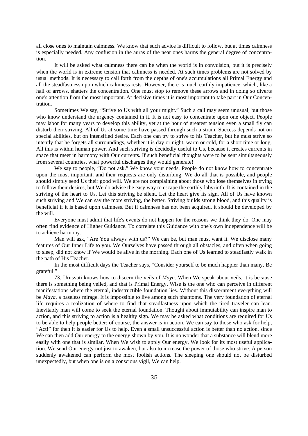all close ones to maintain calmness. We know that such advice is difficult to follow, but at times calmness is especially needed. Any confusion in the auras of the near ones harms the general degree of concentration.

 It will be asked what calmness there can be when the world is in convulsion, but it is precisely when the world is in extreme tension that calmness is needed. At such times problems are not solved by usual methods. It is necessary to call forth from the depths of one's accumulations all Primal Energy and all the steadfastness upon which calmness rests. However, there is much earthly impatience, which, like a hail of arrows, shatters the concentration. One must stop to remove these arrows and in doing so diverts one's attention from the most important. At decisive times it is most important to take part in Our Concentration.

 Sometimes We say, "Strive to Us with all your might." Such a call may seem unusual, but those who know understand the urgency contained in it. It is not easy to concentrate upon one object. People may labor for many years to develop this ability, yet at the hour of greatest tension even a small fly can disturb their striving. All of Us at some time have passed through such a strain. Success depends not on special abilities, but on intensified desire. Each one can try to strive to his Teacher, but he must strive so intently that he forgets all surroundings, whether it is day or night, warm or cold, for a short time or long. All this is within human power. And such striving is decidedly useful to Us, because it creates currents in space that meet in harmony with Our currents. If such beneficial thoughts were to be sent simultaneously from several countries, what powerful discharges they would generate!

We say to people, "Do not ask." We know your needs. People do not know how to concentrate upon the most important, and their requests are only disturbing. We do all that is possible, and people should simply send Us their good will. We are not complaining about those who lose themselves in trying to follow their desires, but We do advise the easy way to escape the earthly labyrinth. It is contained in the striving of the heart to Us. Let this striving be silent. Let the heart give its sign. All of Us have known such striving and We can say the more striving, the better. Striving builds strong blood, and this quality is beneficial if it is based upon calmness. But if calmness has not been acquired, it should be developed by the will.

 Everyone must admit that life's events do not happen for the reasons we think they do. One may often find evidence of Higher Guidance. To correlate this Guidance with one's own independence will be to achieve harmony.

 Man will ask, "Are You always with us?" We can be, but man must want it. We disclose many features of Our Inner Life to you. We Ourselves have passed through all obstacles, and often when going to sleep, did not know if We would be alive in the morning. Each one of Us learned to steadfastly walk in the path of His Teacher.

 In the most difficult days the Teacher says, "Consider yourself to be much happier than many. Be grateful."

 73. Urusvati knows how to discern the veils of *Maya*. When We speak about veils, it is because there is something being veiled, and that is Primal Energy. Wise is the one who can perceive in different manifestations where the eternal, indestructible foundation lies. Without this discernment everything will be *Maya*, a baseless mirage. It is impossible to live among such phantoms. The very foundation of eternal life requires a realization of where to find that steadfastness upon which the tired traveler can lean. Inevitably man will come to seek the eternal foundation. Thought about immutability can inspire man to action, and this striving to action is a healthy sign. We may be asked what conditions are required for Us to be able to help people better: of course, the answer is in action. We can say to those who ask for help, "Act!" for then it is easier for Us to help. Even a small unsuccessful action is better than no action, since We can then add Our energy to the energy shown by you. It is no wonder that a substance will blend more easily with one that is similar. When We wish to apply Our energy, We look for its most useful application. We send Our energy not just to awaken, but also to increase the power of those who strive. A person suddenly awakened can perform the most foolish actions. The sleeping one should not be disturbed unexpectedly, but when one is on a conscious vigil, We can help.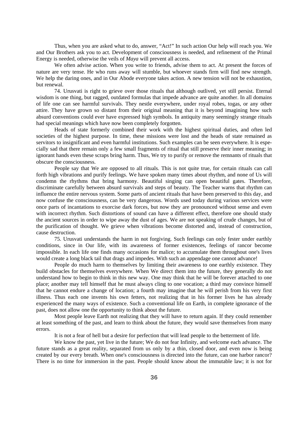Thus, when you are asked what to do, answer, "Act!" In such action Our help will reach you. We and Our Brothers ask you to act. Development of consciousness is needed, and refinement of the Primal Energy is needed, otherwise the veils of *Maya* will prevent all access.

We often advise action. When you write to friends, advise them to act. At present the forces of nature are very tense. He who runs away will stumble, but whoever stands firm will find new strength. We help the daring ones, and in Our Abode everyone takes action. A new tension will not be exhaustion, but renewal.

 74. Urusvati is right to grieve over those rituals that although outlived, yet still persist. Eternal wisdom is one thing, but ragged, outdated formulas that impede advance are quite another. In all domains of life one can see harmful survivals. They nestle everywhere, under royal robes, togas, or any other attire. They have grown so distant from their original meaning that it is beyond imagining how such absurd conventions could ever have expressed high symbols. In antiquity many seemingly strange rituals had special meanings which have now been completely forgotten.

 Heads of state formerly combined their work with the highest spiritual duties, and often led societies of the highest purpose. In time, these missions were lost and the heads of state remained as servitors to insignificant and even harmful institutions. Such examples can be seen everywhere. It is especially sad that there remain only a few small fragments of ritual that still preserve their inner meaning; in ignorant hands even these scraps bring harm. Thus, We try to purify or remove the remnants of rituals that obscure the consciousness.

 People say that We are opposed to all rituals. This is not quite true, for certain rituals can call forth high vibrations and purify feelings. We have spoken many times about rhythm, and none of Us will condemn the rhythms that bring harmony. Beautiful singing can open beautiful gates. Therefore, discriminate carefully between absurd survivals and steps of beauty. The Teacher warns that rhythm can influence the entire nervous system. Some parts of ancient rituals that have been preserved to this day, and now confuse the consciousness, can be very dangerous. Words used today during various services were once parts of incantations to exorcise dark forces, but now they are pronounced without sense and even with incorrect rhythm. Such distortions of sound can have a different effect, therefore one should study the ancient sources in order to wipe away the dust of ages. We are not speaking of crude changes, but of the purification of thought. We grieve when vibrations become distorted and, instead of construction, cause destruction.

 75. Urusvati understands the harm in not forgiving. Such feelings can only fester under earthly conditions, since in Our life, with its awareness of former existences, feelings of rancor become impossible. In each life one finds many occasions for malice; to accumulate them throughout one's lives would create a long black tail that drags and impedes. With such an appendage one cannot advance!

 People do much harm to themselves by limiting their awareness to one earthly existence. They build obstacles for themselves everywhere. When We direct them into the future, they generally do not understand how to begin to think in this new way. One may think that he will be forever attached to one place; another may tell himself that he must always cling to one vocation; a third may convince himself that he cannot endure a change of location; a fourth may imagine that he will perish from his very first illness. Thus each one invents his own fetters, not realizing that in his former lives he has already experienced the many ways of existence. Such a conventional life on Earth, in complete ignorance of the past, does not allow one the opportunity to think about the future.

 Most people leave Earth not realizing that they will have to return again. If they could remember at least something of the past, and learn to think about the future, they would save themselves from many errors.

It is not a fear of hell but a desire for perfection that will lead people to the betterment of life.

 We know the past, yet live in the future; We do not fear Infinity, and welcome each advance. The future stands as a great reality, separated from us only by a thin, closed door, and even now is being created by our every breath. When one's consciousness is directed into the future, can one harbor rancor? There is no time for immersion in the past. People should know about the immutable law; it is not for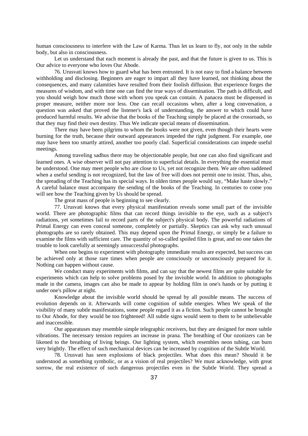human consciousness to interfere with the Law of Karma. Thus let us learn to fly, not only in the subtle body, but also in consciousness.

 Let us understand that each moment is already the past, and that the future is given to us. This is Our advice to everyone who loves Our Abode.

 76. Urusvati knows how to guard what has been entrusted. It is not easy to find a balance between withholding and disclosing. Beginners are eager to impart all they have learned, not thinking about the consequences, and many calamities have resulted from their foolish diffusion. But experience forges the measures of wisdom, and with time one can find the true ways of dissemination. The path is difficult, and you should weigh how much those with whom you speak can contain. A panacea must be dispensed in proper measure, neither more nor less. One can recall occasions when, after a long conversation, a question was asked that proved the listener's lack of understanding, the answer to which could have produced harmful results. We advise that the books of the Teaching simply be placed at the crossroads, so that they may find their own destiny. Thus We indicate special means of dissemination.

 There may have been pilgrims to whom the books were not given, even though their hearts were burning for the truth, because their outward appearances impeded the right judgment. For example, one may have been too smartly attired, another too poorly clad. Superficial considerations can impede useful meetings.

 Among traveling sadhus there may be objectionable people, but one can also find significant and learned ones. A wise observer will not pay attention to superficial details. In everything the essential must be understood. One may meet people who are close to Us, yet not recognize them. We are often saddened when a useful sending is not recognized, but the law of free will does not permit one to insist. Thus, also, the spreading of the Teaching has its special ways. In olden times people would say, "Make haste slowly." A careful balance must accompany the sending of the books of the Teaching. In centuries to come you will see how the Teaching given by Us should be spread.

The great mass of people is beginning to see clearly.

 77. Urusvati knows that every physical manifestation reveals some small part of the invisible world. There are photographic films that can record things invisible to the eye, such as a subject's radiations, yet sometimes fail to record parts of the subject's physical body. The powerful radiations of Primal Energy can even conceal someone, completely or partially. Skeptics can ask why such unusual photographs are so rarely obtained. This may depend upon the Primal Energy, or simply be a failure to examine the films with sufficient care. The quantity of so-called spoiled film is great, and no one takes the trouble to look carefully at seemingly unsuccessful photographs.

When one begins to experiment with photography immediate results are expected, but success can be achieved only at those rare times when people are consciously or unconsciously prepared for it. Nothing can happen without cause.

We conduct many experiments with films, and can say that the newest films are quite suitable for experiments which can help to solve problems posed by the invisible world. In addition to photographs made in the camera, images can also be made to appear by holding film in one's hands or by putting it under one's pillow at night.

 Knowledge about the invisible world should be spread by all possible means. The success of evolution depends on it. Afterwards will come cognition of subtle energies. When We speak of the visibility of many subtle manifestations, some people regard it as a fiction. Such people cannot be brought to Our Abode, for they would be too frightened! All subtle signs would seem to them to be unbelievable and inaccessible.

 Our apparatuses may resemble simple telegraphic receivers, but they are designed for more subtle vibrations. The necessary tension requires an increase in prana. The breathing of Our ozonizers can be likened to the breathing of living beings. Our lighting system, which resembles neon tubing, can burn very brightly. The effect of such mechanical devices can be increased by cognition of the Subtle World.

 78. Urusvati has seen explosions of black projectiles. What does this mean? Should it be understood as something symbolic, or as a vision of real projectiles? We must acknowledge, with great sorrow, the real existence of such dangerous projectiles even in the Subtle World. They spread a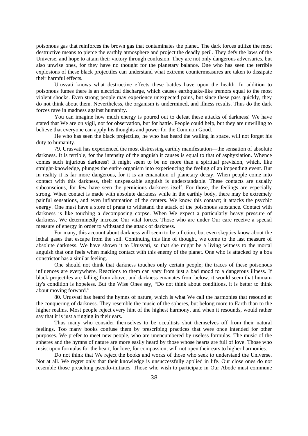poisonous gas that reinforces the brown gas that contaminates the planet. The dark forces utilize the most destructive means to pierce the earthly atmosphere and project the deadly peril. They defy the laws of the Universe, and hope to attain their victory through confusion. They are not only dangerous adversaries, but also unwise ones, for they have no thought for the planetary balance. One who has seen the terrible explosions of these black projectiles can understand what extreme countermeasures are taken to dissipate their harmful effects.

 Urusvati knows what destructive effects these battles have upon the health. In addition to poisonous fumes there is an electrical discharge, which causes earthquake-like tremors equal to the most violent shocks. Even strong people may experience unexpected pains, but since these pass quickly, they do not think about them. Nevertheless, the organism is undermined, and illness results. Thus do the dark forces rave in madness against humanity.

 You can imagine how much energy is poured out to defeat these attacks of darkness! We have stated that We are on vigil, not for observation, but for battle. People could help, but they are unwilling to believe that everyone can apply his thoughts and power for the Common Good.

 He who has seen the black projectiles, he who has heard the wailing in space, will not forget his duty to humanity.

 79. Urusvati has experienced the most distressing earthly manifestation—the sensation of absolute darkness. It is terrible, for the intensity of the anguish it causes is equal to that of asphyxiation. Whence comes such injurious darkness? It might seem to be no more than a spiritual prevision, which, like straight-knowledge, plunges the entire organism into experiencing the feeling of an impending event. But in reality it is far more dangerous, for it is an emanation of planetary decay. When people come into contact with this darkness, their unspeakable anguish is understandable. These contacts are usually subconscious, for few have seen the pernicious darkness itself. For those, the feelings are especially strong. When contact is made with absolute darkness while in the earthly body, there may be extremely painful sensations, and even inflammation of the centers. We know this contact; it attacks the psychic energy. One must have a store of prana to withstand the attack of the poisonous substance. Contact with darkness is like touching a decomposing corpse. When We expect a particularly heavy pressure of darkness, We determinedly increase Our vital forces. Those who are under Our care receive a special measure of energy in order to withstand the attack of darkness.

 For many, this account about darkness will seem to be a fiction, but even skeptics know about the lethal gases that escape from the soil. Continuing this line of thought, we come to the last measure of absolute darkness. We have shown it to Urusvati, so that she might be a living witness to the mortal anguish that one feels when making contact with this enemy of the planet. One who is attacked by a boa constrictor has a similar feeling.

 One should not think that darkness touches only certain people; the traces of these poisonous influences are everywhere. Reactions to them can vary from just a bad mood to a dangerous illness. If black projectiles are falling from above, and darkness emanates from below, it would seem that humanity's condition is hopeless. But the Wise Ones say, "Do not think about conditions, it is better to think about moving forward."

 80. Urusvati has heard the hymns of nature, which is what We call the harmonies that resound at the conquering of darkness. They resemble the music of the spheres, but belong more to Earth than to the higher realms. Most people reject every hint of the highest harmony, and when it resounds, would rather say that it is just a ringing in their ears.

 Thus many who consider themselves to be occultists shut themselves off from their natural feelings. Too many books confuse them by prescribing practices that were once intended for other purposes. We prefer to meet new people, who are unencumbered by useless formulas. The music of the spheres and the hymns of nature are more easily heard by those whose hearts are full of love. Those who insist upon formulas for the heart, for love, for compassion, will not open their ears to higher harmonies.

 Do not think that We reject the books and works of those who seek to understand the Universe. Not at all. We regret only that their knowledge is unsuccessfully applied in life. Our close ones do not resemble those preaching pseudo-initiates. Those who wish to participate in Our Abode must commune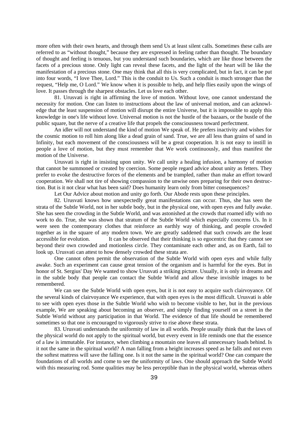more often with their own hearts, and through them send Us at least silent calls. Sometimes these calls are referred to as "without thought," because they are expressed in feeling rather than thought. The boundary of thought and feeling is tenuous, but you understand such boundaries, which are like those between the facets of a precious stone. Only light can reveal these facets, and the light of the heart will be like the manifestation of a precious stone. One may think that all this is very complicated, but in fact, it can be put into four words, "I love Thee, Lord." This is the conduit to Us. Such a conduit is much stronger than the request, "Help me, O Lord." We know when it is possible to help, and help flies easily upon the wings of love. It passes through the sharpest obstacles. Let us love each other.

 81. Urusvati is right in affirming the love of motion. Without love, one cannot understand the necessity for motion. One can listen to instructions about the law of universal motion, and can acknowledge that the least suspension of motion will disrupt the entire Universe, but it is impossible to apply this knowledge in one's life without love. Universal motion is not the hustle of the bazaars, or the bustle of the public square, but the nerve of a creative life that propels the consciousness toward perfectment.

 An idler will not understand the kind of motion We speak of. He prefers inactivity and wishes for the cosmic motion to roll him along like a dead grain of sand. True, we are all less than grains of sand in Infinity, but each movement of the consciousness will be a great cooperation. It is not easy to instill in people a love of motion, but they must remember that We work continuously, and thus manifest the motion of the Universe.

 Urusvati is right in insisting upon unity. We call unity a healing infusion, a harmony of motion that cannot be summoned or created by coercion. Some people regard advice about unity as fetters. They prefer to evoke the destructive forces of the elements and be trampled, rather than make an effort toward cooperation. We shall not tire of showing compassion to the unwise ones preparing for their own destruction. But is it not clear what has been said? Does humanity learn only from bitter consequences?

Let Our Advice about motion and unity go forth. Our Abode rests upon these principles.

 82. Urusvati knows how unexpectedly great manifestations can occur. Thus, she has seen the strata of the Subtle World, not in her subtle body, but in the physical one, with open eyes and fully awake. She has seen the crowding in the Subtle World, and was astonished at the crowds that roamed idly with no work to do. True, she was shown that stratum of the Subtle World which especially concerns Us. In it were seen the contemporary clothes that reinforce an earthly way of thinking, and people crowded together as in the square of any modern town. We are greatly saddened that such crowds are the least accessible for evolution. It can be observed that their thinking is so egocentric that they cannot see beyond their own crowded and motionless circle. They contaminate each other and, as on Earth, fail to look up. Urusvati can attest to how densely crowded these strata are.

 One cannot often permit the observation of the Subtle World with open eyes and while fully awake. Such an experiment can cause great tension of the organism and is harmful for the eyes. But in honor of St. Sergius' Day We wanted to show Urusvati a striking picture. Usually, it is only in dreams and in the subtle body that people can contact the Subtle World and allow these invisible images to be remembered.

We can see the Subtle World with open eyes, but it is not easy to acquire such clairvoyance. Of the several kinds of clairvoyance We experience, that with open eyes is the most difficult. Urusvati is able to see with open eyes those in the Subtle World who wish to become visible to her, but in the previous example, We are speaking about becoming an observer, and simply finding yourself on a street in the Subtle World without any participation in that World. The evidence of that life should be remembered sometimes so that one is encouraged to vigorously strive to rise above these strata.

 83. Urusvati understands the uniformity of law in all worlds. People usually think that the laws of the physical world do not apply to the spiritual world, but every event in life reminds one that the essence of a law is immutable. For instance, when climbing a mountain one leaves all unnecessary loads behind. Is it not the same in the spiritual world? A man falling from a height increases speed as he falls and not even the softest mattress will save the falling one. Is it not the same in the spiritual world? One can compare the foundations of all worlds and come to see the uniformity of laws. One should approach the Subtle World with this measuring rod. Some qualities may be less perceptible than in the physical world, whereas others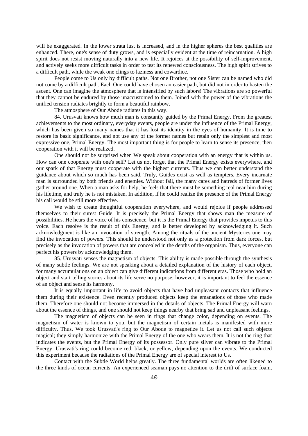will be exaggerated. In the lower strata lust is increased, and in the higher spheres the best qualities are enhanced. There, one's sense of duty grows, and is especially evident at the time of reincarnation. A high spirit does not resist moving naturally into a new life. It rejoices at the possibility of self-improvement, and actively seeks more difficult tasks in order to test its renewed consciousness. The high spirit strives to a difficult path, while the weak one clings to laziness and cowardice.

 People come to Us only by difficult paths. Not one Brother, not one Sister can be named who did not come by a difficult path. Each One could have chosen an easier path, but did not in order to hasten the ascent. One can imagine the atmosphere that is intensified by such labors! The vibrations are so powerful that they cannot be endured by those unaccustomed to them. Joined with the power of the vibrations the unified tension radiates brightly to form a beautiful rainbow.

The atmosphere of Our Abode radiates in this way.

 84. Urusvati knows how much man is constantly guided by the Primal Energy. From the greatest achievements to the most ordinary, everyday events, people are under the influence of the Primal Energy, which has been given so many names that it has lost its identity in the eyes of humanity. It is time to restore its basic significance, and not use any of the former names but retain only the simplest and most expressive one, Primal Energy. The most important thing is for people to learn to sense its presence, then cooperation with it will be realized.

 One should not be surprised when We speak about cooperation with an energy that is within us. How can one cooperate with one's self? Let us not forget that the Primal Energy exists everywhere, and our spark of that Energy must cooperate with the highest currents. Thus we can better understand the guidance about which so much has been said. Truly, Guides exist as well as tempters. Every incarnate man is surrounded by both friends and enemies. Without fail, the many cares and hatreds of former lives gather around one. When a man asks for help, he feels that there must be something real near him during his lifetime, and truly he is not mistaken. In addition, if he could realize the presence of the Primal Energy his call would be still more effective.

 We wish to create thoughtful cooperation everywhere, and would rejoice if people addressed themselves to their surest Guide. It is precisely the Primal Energy that shows man the measure of possibilities. He hears the voice of his conscience, but it is the Primal Energy that provides impetus to this voice. Each resolve is the result of this Energy, and is better developed by acknowledging it. Such acknowledgment is like an invocation of strength. Among the rituals of the ancient Mysteries one may find the invocation of powers. This should be understood not only as a protection from dark forces, but precisely as the invocation of powers that are concealed in the depths of the organism. Thus, everyone can perfect his powers by acknowledging them.

 85. Urusvati senses the magnetism of objects. This ability is made possible through the synthesis of many subtle feelings. We are not speaking about a detailed explanation of the history of each object, for many accumulations on an object can give different indications from different eras. Those who hold an object and start telling stories about its life serve no purpose; however, it is important to feel the essence of an object and sense its harmony.

 It is equally important in life to avoid objects that have had unpleasant contacts that influence them during their existence. Even recently produced objects keep the emanations of those who made them. Therefore one should not become immersed in the details of objects. The Primal Energy will warn about the essence of things, and one should not keep things nearby that bring sad and unpleasant feelings.

 The magnetism of objects can be seen in rings that change color, depending on events. The magnetism of water is known to you, but the magnetism of certain metals is manifested with more difficulty. Thus, We took Urusvati's ring to Our Abode to magnetize it. Let us not call such objects magical; they simply harmonize with the Primal Energy of the one who wears them. It is not the ring that indicates the events, but the Primal Energy of its possessor. Only pure silver can vibrate to the Primal Energy. Urusvati's ring could become red, black, or yellow, depending upon the events. We conducted this experiment because the radiations of the Primal Energy are of special interest to Us.

 Contact with the Subtle World helps greatly. The three fundamental worlds are often likened to the three kinds of ocean currents. An experienced seaman pays no attention to the drift of surface foam,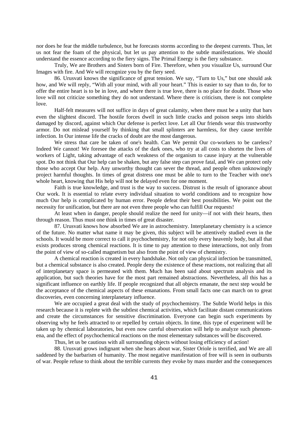nor does he fear the middle turbulence, but he forecasts storms according to the deepest currents. Thus, let us not fear the foam of the physical, but let us pay attention to the subtle manifestations. We should understand the essence according to the fiery signs. The Primal Energy is the fiery substance.

 Truly, We are Brothers and Sisters born of Fire. Therefore, when you visualize Us, surround Our Images with fire. And We will recognize you by the fiery seed.

 86. Urusvati knows the significance of great tension. We say, "Turn to Us," but one should ask how, and We will reply, "With all your mind, with all your heart." This is easier to say than to do, for to offer the entire heart is to be in love, and where there is true love, there is no place for doubt. Those who love will not criticize something they do not understand. Where there is criticism, there is not complete love.

 Half-felt measures will not suffice in days of great calamity, when there must be a unity that bars even the slightest discord. The hostile forces dwell in such little cracks and poison seeps into shields damaged by discord, against which Our defense is perfect love. Let all Our friends wear this trustworthy armor. Do not mislead yourself by thinking that small splinters are harmless, for they cause terrible infection. In Our intense life the cracks of doubt are the most dangerous.

 We stress that care be taken of one's health. Can We permit Our co-workers to be careless? Indeed We cannot! We foresee the attacks of the dark ones, who try at all costs to shorten the lives of workers of Light, taking advantage of each weakness of the organism to cause injury at the vulnerable spot. Do not think that Our help can be shaken, but any false step can prove fatal, and We can protect only those who accept Our help. Any unworthy thought can sever the thread, and people often unknowingly project harmful thoughts. In times of great distress one must be able to turn to the Teacher with one's whole heart, knowing that His help will not be delayed even for one moment.

 Faith is true knowledge, and trust is the way to success. Distrust is the result of ignorance about Our work. It is essential to relate every individual situation to world conditions and to recognize how much Our help is complicated by human error. People defeat their best possibilities. We point out the necessity for unification, but there are not even three people who can fulfill Our requests!

 At least when in danger, people should realize the need for unity—if not with their hearts, then through reason. Thus must one think in times of great disaster.

 87. Urusvati knows how absorbed We are in astrochemistry. Interplanetary chemistry is a science of the future. No matter what name it may be given, this subject will be attentively studied even in the schools. It would be more correct to call it psychochemistry, for not only every heavenly body, but all that exists produces strong chemical reactions. It is time to pay attention to these interactions, not only from the point of view of so-called magnetism but also from the point of view of chemistry.

 A chemical reaction is created in every handshake. Not only can physical infection be transmitted, but a chemical substance is also created. People deny the existence of these reactions, not realizing that all of interplanetary space is permeated with them. Much has been said about spectrum analysis and its application, but such theories have for the most part remained abstractions. Nevertheless, all this has a significant influence on earthly life. If people recognized that all objects emanate, the next step would be the acceptance of the chemical aspects of these emanations. From small facts one can march on to great discoveries, even concerning interplanetary influence.

We are occupied a great deal with the study of psychochemistry. The Subtle World helps in this research because it is replete with the subtlest chemical activities, which facilitate distant communications and create the circumstances for sensitive discrimination. Everyone can begin such experiments by observing why he feels attracted to or repelled by certain objects. In time, this type of experiment will be taken up by chemical laboratories, but even now careful observation will help to analyze such phenomena, and the effect of psychochemical reactions on the most elementary substances will be discovered.

Thus, let us be cautious with all surrounding objects without losing efficiency of action!

 88. Urusvati grows indignant when she hears about war, Sister Oriole is terrified, and We are all saddened by the barbarism of humanity. The most negative manifestation of free will is seen in outbursts of war. People refuse to think about the terrible currents they evoke by mass murder and the consequences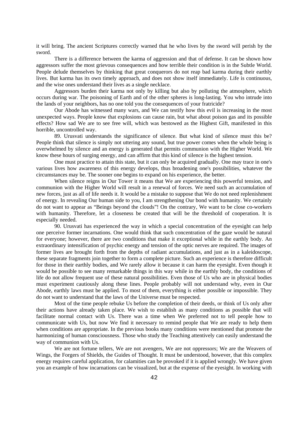it will bring. The ancient Scriptures correctly warned that he who lives by the sword will perish by the sword.

 There is a difference between the karma of aggression and that of defense. It can be shown how aggressors suffer the most grievous consequences and how terrible their condition is in the Subtle World. People delude themselves by thinking that great conquerors do not reap bad karma during their earthly lives. But karma has its own timely approach, and does not show itself immediately. Life is continuous, and the wise ones understand their lives as a single necklace.

 Aggressors burden their karma not only by killing but also by polluting the atmosphere, which occurs during war. The poisoning of Earth and of the other spheres is long-lasting. You who intrude into the lands of your neighbors, has no one told you the consequences of your fratricide?

 Our Abode has witnessed many wars, and We can testify how this evil is increasing in the most unexpected ways. People know that explosions can cause rain, but what about poison gas and its possible effects? How sad We are to see free will, which was bestowed as the Highest Gift, manifested in this horrible, uncontrolled way.

 89. Urusvati understands the significance of silence. But what kind of silence must this be? People think that silence is simply not uttering any sound, but true power comes when the whole being is overwhelmed by silence and an energy is generated that permits communion with the Higher World. We know these hours of surging energy, and can affirm that this kind of silence is the highest tension.

 One must practice to attain this state, but it can only be acquired gradually. One may trace in one's various lives how awareness of this energy develops, thus broadening one's possibilities, whatever the circumstances may be. The sooner one begins to expand on his experience, the better.

 When silence reigns in Our Tower it means that We are experiencing this powerful tension, and communion with the Higher World will result in a renewal of forces. We need such an accumulation of new forces, just as all of life needs it. It would be a mistake to suppose that We do not need replenishment of energy. In revealing Our human side to you, I am strengthening Our bond with humanity. We certainly do not want to appear as "Beings beyond the clouds"! On the contrary, We want to be close co-workers with humanity. Therefore, let a closeness be created that will be the threshold of cooperation. It is especially needed.

 90. Urusvati has experienced the way in which a special concentration of the eyesight can help one perceive former incarnations. One would think that such concentration of the gaze would be natural for everyone; however, there are two conditions that make it exceptional while in the earthly body. An extraordinary intensification of psychic energy and tension of the optic nerves are required. The images of former lives are brought forth from the depths of radiant accumulations, and just as in a kaleidoscope, these separate fragments join together to form a complete picture. Such an experience is therefore difficult for those in their earthly bodies, and We rarely allow it because it can harm the eyesight. Even though it would be possible to see many remarkable things in this way while in the earthly body, the conditions of life do not allow frequent use of these natural possibilities. Even those of Us who are in physical bodies must experiment cautiously along these lines. People probably will not understand why, even in Our Abode, earthly laws must be applied. To most of them, everything is either possible or impossible. They do not want to understand that the laws of the Universe must be respected.

 Most of the time people rebuke Us before the completion of their deeds, or think of Us only after their actions have already taken place. We wish to establish as many conditions as possible that will facilitate normal contact with Us. There was a time when We preferred not to tell people how to communicate with Us, but now We find it necessary to remind people that We are ready to help them when conditions are appropriate. In the previous books many conditions were mentioned that promote the harmonizing of human consciousness. Those who study the Teaching attentively can easily understand the way of communion with Us.

 We are not fortune tellers, We are not avengers, We are not oppressors; We are the Weavers of Wings, the Forgers of Shields, the Guides of Thought. It must be understood, however, that this complex energy requires careful application, for calamities can be provoked if it is applied wrongly. We have given you an example of how incarnations can be visualized, but at the expense of the eyesight. In working with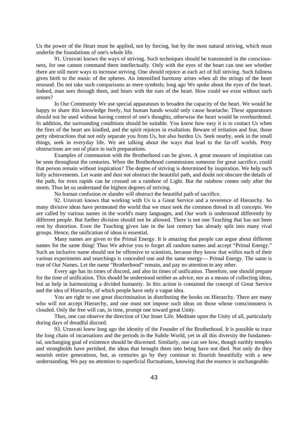Us the power of the Heart must be applied, not by forcing, but by the most natural striving, which must underlie the foundations of one's whole life.

 91. Urusvati knows the ways of striving. Such techniques should be transmuted in the consciousness, for one cannot command them intellectually. Only with the eyes of the heart can one see whether there are still more ways to increase striving. One should rejoice at each act of full striving. Such fullness gives birth to the music of the spheres. An intensified harmony arises when all the strings of the heart resound. Do not take such comparisons as mere symbols; long ago We spoke about the eyes of the heart. Indeed, man sees through them, and hears with the ears of the heart. How could we exist without such senses?

 In Our Community We use special apparatuses to broaden the capacity of the heart. We would be happy to share this knowledge freely, but human hands would only cause heartache. These apparatuses should not be used without having control of one's thoughts, otherwise the heart would be overburdened. In addition, the surrounding conditions should be suitable. You know how easy it is to contact Us when the fires of the heart are kindled, and the spirit rejoices in exaltation. Beware of irritation and fear, those petty obstructions that not only separate you from Us, but also burden Us. Seek nearby, seek in the small things, seek in everyday life. We are talking about the ways that lead to the far-off worlds. Petty obstructions are out of place in such preparations.

 Examples of communion with the Brotherhood can be given. A great measure of inspiration can be seen throughout the centuries. When the Brotherhood commissions someone for great sacrifice, could that person remain without inspiration? The degree of striving is determined by inspiration. We help such lofty achievements. Let waste and dust not obstruct the beautiful path, and doubt not obscure the details of the path, for even rapids can be crossed on a rainbow of Light. But the rainbow comes only after the storm. Thus let us understand the highest degrees of striving.

No human confusion or slander will obstruct the beautiful path of sacrifice.

 92. Urusvati knows that working with Us is a Great Service and a reverence of Hierarchy. So many divisive ideas have permeated the world that we must seek the common thread in all concepts. We are called by various names in the world's many languages, and Our work is understood differently by different people. But further division should not be allowed. There is not one Teaching that has not been rent by distortion. Even the Teaching given late in the last century has already split into many rival groups. Hence, the unification of ideas is essential.

 Many names are given to the Primal Energy. It is amazing that people can argue about different names for the same thing! Thus We advise you to forget all random names and accept "Primal Energy." Such an inclusive name should not be offensive to scientists, because they know that within each of their various experiments and searchings is concealed one and the same energy— Primal Energy. The same is true of Our Names. Let the name "Brotherhood" remain, and pay no attention to any other.

 Every age has its times of discord, and also its times of unification. Therefore, one should prepare for the time of unification. This should be understood neither as advice, nor as a means of collecting ideas, but as help in harmonizing a divided humanity. In this action is contained the concept of Great Service and the idea of Hierarchy, of which people have only a vague idea.

 You are right to use great discrimination in distributing the books on Hierarchy. There are many who will not accept Hierarchy, and one must not impose such ideas on those whose consciousness is clouded. Only the free will can, in time, prompt one toward great Unity.

 Thus, one can observe the direction of Our Inner Life. Meditate upon the Unity of all, particularly during days of dreadful discord.

 93. Urusvati knew long ago the identity of the Founder of the Brotherhood. It is possible to trace the long chain of incarnations and the periods in the Subtle World, yet in all this diversity the fundamental, unchanging goal of existence should be discerned. Similarly, one can see how, though earthly temples and strongholds have perished, the ideas that brought them into being have not died. Not only do they nourish entire generations, but, as centuries go by they continue to flourish beautifully with a new understanding. We pay no attention to superficial fluctuations, knowing that the essence is unchangeable.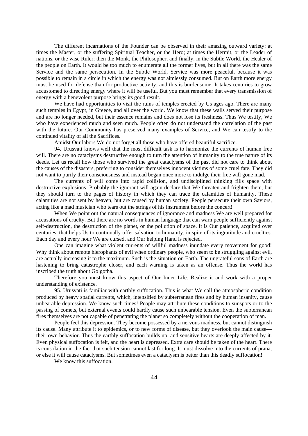The different incarnations of the Founder can be observed in their amazing outward variety: at times the Master, or the suffering Spiritual Teacher, or the Hero; at times the Hermit, or the Leader of nations, or the wise Ruler; then the Monk, the Philosopher, and finally, in the Subtle World, the Healer of the people on Earth. It would be too much to enumerate all the former lives, but in all there was the same Service and the same persecution. In the Subtle World, Service was more peaceful, because it was possible to remain in a circle in which the energy was not aimlessly consumed. But on Earth more energy must be used for defense than for productive activity, and this is burdensome. It takes centuries to grow accustomed to directing energy where it will be useful. But you must remember that every transmission of energy with a benevolent purpose brings its good result.

We have had opportunities to visit the ruins of temples erected by Us ages ago. There are many such temples in Egypt, in Greece, and all over the world. We know that these walls served their purpose and are no longer needed, but their essence remains and does not lose its freshness. Thus We testify, We who have experienced much and seen much. People often do not understand the correlation of the past with the future. Our Community has preserved many examples of Service, and We can testify to the continued vitality of all the Sacrifices.

Amidst Our labors We do not forget all those who have offered beautiful sacrifice.

 94. Urusvati knows well that the most difficult task is to harmonize the currents of human free will. There are no cataclysms destructive enough to turn the attention of humanity to the true nature of its deeds. Let us recall how those who survived the great cataclysms of the past did not care to think about the causes of the disasters, preferring to consider themselves innocent victims of some cruel fate. They did not want to purify their consciousness and instead began once more to indulge their free will gone mad.

 The currents of will come into rapid collision, and undisciplined thinking fills space with destructive explosions. Probably the ignorant will again declare that We threaten and frighten them, but they should turn to the pages of history in which they can trace the calamities of humanity. These calamities are not sent by heaven, but are caused by human society. People persecute their own Saviors, acting like a mad musician who tears out the strings of his instrument before the concert!

 When We point out the natural consequences of ignorance and madness We are well prepared for accusations of cruelty. But there are no words in human language that can warn people sufficiently against self-destruction, the destruction of the planet, or the pollution of space. It is Our patience, acquired over centuries, that helps Us to continually offer salvation to humanity, in spite of its ingratitude and cruelties. Each day and every hour We are cursed, and Our helping Hand is rejected.

 One can imagine what violent currents of willful madness inundate every movement for good! Why think about remote hierophants of evil when ordinary people, who seem to be struggling against evil, are actually increasing it to the maximum. Such is the situation on Earth. The ungrateful sons of Earth are hastening to bring catastrophe closer, and each warning is taken as an offense. Thus the world has inscribed the truth about Golgotha.

 Therefore you must know this aspect of Our Inner Life. Realize it and work with a proper understanding of existence.

 95. Urusvati is familiar with earthly suffocation. This is what We call the atmospheric condition produced by heavy spatial currents, which, intensified by subterranean fires and by human insanity, cause unbearable depression. We know such times! People may attribute these conditions to sunspots or to the passing of comets, but external events could hardly cause such unbearable tension. Even the subterranean fires themselves are not capable of penetrating the planet so completely without the cooperation of man.

 People feel this depression. They become possessed by a nervous madness, but cannot distinguish its cause. Many attribute it to epidemics, or to new forms of disease, but they overlook the main cause their own behavior. Thus the earthly suffocation builds up, and sensitive hearts are deeply affected by it. Even physical suffocation is felt, and the heart is depressed. Extra care should be taken of the heart. There is consolation in the fact that such tension cannot last for long. It must dissolve into the currents of prana, or else it will cause cataclysms. But sometimes even a cataclysm is better than this deadly suffocation!

We know this suffocation.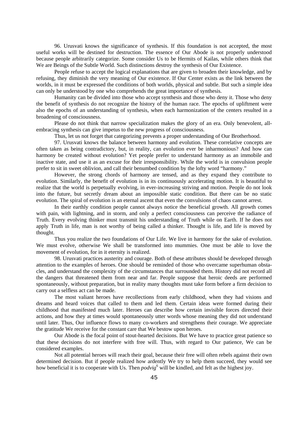96. Urusvati knows the significance of synthesis. If this foundation is not accepted, the most useful works will be destined for destruction. The essence of Our Abode is not properly understood because people arbitrarily categorize. Some consider Us to be Hermits of Kailas, while others think that We are Beings of the Subtle World. Such distinctions destroy the synthesis of Our Existence.

 People refuse to accept the logical explanations that are given to broaden their knowledge, and by refusing, they diminish the very meaning of Our existence. If Our Center exists as the link between the worlds, in it must be expressed the conditions of both worlds, physical and subtle. But such a simple idea can only be understood by one who comprehends the great importance of synthesis.

 Humanity can be divided into those who accept synthesis and those who deny it. Those who deny the benefit of synthesis do not recognize the history of the human race. The epochs of upliftment were also the epochs of an understanding of synthesis, when each harmonization of the centers resulted in a broadening of consciousness.

 Please do not think that narrow specialization makes the glory of an era. Only benevolent, allembracing synthesis can give impetus to the new progress of consciousness.

Thus, let us not forget that categorizing prevents a proper understanding of Our Brotherhood.

 97. Urusvati knows the balance between harmony and evolution. These correlative concepts are often taken as being contradictory, but, in reality, can evolution ever be inharmonious? And how can harmony be created without evolution? Yet people prefer to understand harmony as an immobile and inactive state, and use it as an excuse for their irresponsibility. While the world is in convulsion people prefer to sit in sweet oblivion, and call their benumbed condition by the lofty word "harmony."

 However, the strong chords of harmony are tensed, and as they expand they contribute to evolution. Similarly, the benefit of evolution is in its continuously accelerating motion. It is beautiful to realize that the world is perpetually evolving, in ever-increasing striving and motion. People do not look into the future, but secretly dream about an impossible static condition. But there can be no static evolution. The spiral of evolution is an eternal ascent that even the convulsions of chaos cannot arrest.

 In their earthly condition people cannot always notice the beneficial growth. All growth comes with pain, with lightning, and in storm, and only a perfect consciousness can perceive the radiance of Truth. Every evolving thinker must transmit his understanding of Truth while on Earth. If he does not apply Truth in life, man is not worthy of being called a thinker. Thought is life, and life is moved by thought.

 Thus you realize the two foundations of Our Life. We live in harmony for the sake of evolution. We must evolve, otherwise We shall be transformed into mummies. One must be able to love the movement of evolution, for in it eternity is realized.

 98. Urusvati practices austerity and courage. Both of these attributes should be developed through attention to the examples of heroes. One should be reminded of those who overcame superhuman obstacles, and understand the complexity of the circumstances that surrounded them. History did not record all the dangers that threatened them from near and far. People suppose that heroic deeds are performed spontaneously, without preparation, but in reality many thoughts must take form before a firm decision to carry out a selfless act can be made.

 The most valiant heroes have recollections from early childhood, when they had visions and dreams and heard voices that called to them and led them. Certain ideas were formed during their childhood that manifested much later. Heroes can describe how certain invisible forces directed their actions, and how they at times would spontaneously utter words whose meaning they did not understand until later. Thus, Our influence flows to many co-workers and strengthens their courage. We appreciate the gratitude We receive for the constant care that We bestow upon heroes.

 Our Abode is the focal point of stout-hearted decisions. But We have to practice great patience so that these decisions do not interfere with free will. Thus, with regard to Our patience, We can be considered examples.

 Not all potential heroes will reach their goal, because their free will often rebels against their own determined decision. But if people realized how ardently We try to help them succeed, they would see how beneficial it is to cooperate with Us. Then *podvig*<sup>6</sup> will be kindled, and felt as the highest joy.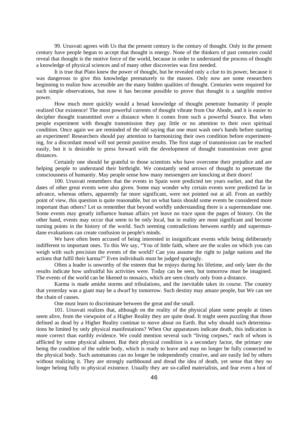99. Urusvati agrees with Us that the present century is the century of thought. Only in the present century have people begun to accept that thought is energy. None of the thinkers of past centuries could reveal that thought is the motive force of the world, because in order to understand the process of thought a knowledge of physical sciences and of many other discoveries was first needed.

 It is true that Plato knew the power of thought, but he revealed only a clue to its power, because it was dangerous to give this knowledge prematurely to the masses. Only now are some researchers beginning to realize how accessible are the many hidden qualities of thought. Centuries were required for such simple observations, but now it has become possible to prove that thought is a tangible motive power.

 How much more quickly would a broad knowledge of thought penetrate humanity if people realized Our existence! The most powerful currents of thought vibrate from Our Abode, and it is easier to decipher thought transmitted over a distance when it comes from such a powerful Source. But when people experiment with thought transmission they pay little or no attention to their own spiritual condition. Once again we are reminded of the old saying that one must wash one's hands before starting an experiment! Researchers should pay attention to harmonizing their own condition before experimenting, for a discordant mood will not permit positive results. The first stage of transmission can be reached easily, but it is desirable to press forward with the development of thought transmission over great distances.

 Certainly one should be grateful to those scientists who have overcome their prejudice and are helping people to understand their birthright. We constantly send arrows of thought to penetrate the consciousness of humanity. May people sense how many messengers are knocking at their doors!

 100. Urusvati remembers that the events in Spain were predicted ten years earlier, and that the dates of other great events were also given. Some may wonder why certain events were predicted far in advance, whereas others, apparently far more significant, were not pointed out at all. From an earthly point of view, this question is quite reasonable, but on what basis should some events be considered more important than others? Let us remember that beyond worldly understanding there is a supermundane one. Some events may greatly influence human affairs yet leave no trace upon the pages of history. On the other hand, events may occur that seem to be only local, but in reality are most significant and become turning points in the history of the world. Such seeming contradictions between earthly and supermundane evaluations can create confusion in people's minds.

 We have often been accused of being interested in insignificant events while being deliberately indifferent to important ones. To this We say, "You of little faith, where are the scales on which you can weigh with such precision the events of the world? Can you assume the right to judge nations and the actions that fulfil their karma?" Even individuals must be judged sparingly.

 Often a leader is unworthy of the esteem that he enjoys during his lifetime, and only later do the results indicate how unfruitful his activities were. Today can be seen, but tomorrow must be imagined. The events of the world can be likened to mosaics, which are seen clearly only from a distance.

 Karma is made amidst storms and tribulations, and the inevitable takes its course. The country that yesterday was a giant may be a dwarf by tomorrow. Such destiny may amaze people, but We can see the chain of causes.

One must learn to discriminate between the great and the small.

 101. Urusvati realizes that, although on the reality of the physical plane some people at times seem alive, from the viewpoint of a Higher Reality they are quite dead. It might seem puzzling that those defined as dead by a Higher Reality continue to move about on Earth. But why should such determinations be limited by only physical manifestations? When Our apparatuses indicate death, this indication is more correct than earthly evidence. We could mention several such "living corpses," each of whom is afflicted by some physical ailment. But their physical condition is a secondary factor, the primary one being the condition of the subtle body, which is ready to leave and may no longer be fully connected to the physical body. Such automatons can no longer be independently creative, and are easily led by others without realizing it. They are strongly earthbound and dread the idea of death, yet sense that they no longer belong fully to physical existence. Usually they are so-called materialists, and fear even a hint of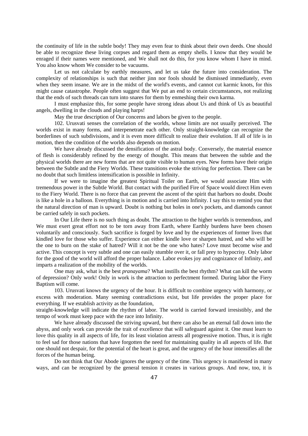the continuity of life in the subtle body! They may even fear to think about their own deeds. One should be able to recognize these living corpses and regard them as empty shells. I know that they would be enraged if their names were mentioned, and We shall not do this, for you know whom I have in mind. You also know whom We consider to be vacuums.

 Let us not calculate by earthly measures, and let us take the future into consideration. The complexity of relationships is such that neither jinn nor fools should be dismissed immediately, even when they seem insane. We are in the midst of the world's events, and cannot cut karmic knots, for this might cause catastrophe. People often suggest that We put an end to certain circumstances, not realizing that the ends of such threads can turn into snares for them by enmeshing their own karma.

 I must emphasize this, for some people have strong ideas about Us and think of Us as beautiful angels, dwelling in the clouds and playing harps!

May the true description of Our concerns and labors be given to the people.

 102. Urusvati senses the correlation of the worlds, whose limits are not usually perceived. The worlds exist in many forms, and interpenetrate each other. Only straight-knowledge can recognize the borderlines of such subdivisions, and it is even more difficult to realize their evolution. If all of life is in motion, then the condition of the worlds also depends on motion.

 We have already discussed the densification of the astral body. Conversely, the material essence of flesh is considerably refined by the energy of thought. This means that between the subtle and the physical worlds there are new forms that are not quite visible to human eyes. New forms have their origin between the Subtle and the Fiery Worlds. These transitions evoke the striving for perfection. There can be no doubt that such limitless intensification is possible in Infinity.

 If we were to imagine the greatest Spiritual Toiler on Earth, we would associate Him with tremendous power in the Subtle World. But contact with the purified Fire of Space would direct Him even to the Fiery World. There is no force that can prevent the ascent of the spirit that harbors no doubt. Doubt is like a hole in a balloon. Everything is in motion and is carried into Infinity. I say this to remind you that the natural direction of man is upward. Doubt is nothing but holes in one's pockets, and diamonds cannot be carried safely in such pockets.

 In Our Life there is no such thing as doubt. The attraction to the higher worlds is tremendous, and We must exert great effort not to be torn away from Earth, where Earthly burdens have been chosen voluntarily and consciously. Such sacrifice is forged by love and by the experiences of former lives that kindled love for those who suffer. Experience can either kindle love or sharpen hatred, and who will be the one to burn on the stake of hatred? Will it not be the one who hates? Love must become wise and active. This concept is very subtle and one can easily stumble over it, or fall prey to hypocrisy. Only labor for the good of the world will afford the proper balance. Labor evokes joy and cognizance of Infinity, and imparts a realization of the mobility of the worlds.

 One may ask, what is the best *pranayama*? What instills the best rhythm? What can kill the worm of depression? Only work! Only in work is the attraction to perfectment formed. During labor the Fiery Baptism will come.

 103. Urusvati knows the urgency of the hour. It is difficult to combine urgency with harmony, or excess with moderation. Many seeming contradictions exist, but life provides the proper place for everything. If we establish activity as the foundation,

straight-knowledge will indicate the rhythm of labor. The world is carried forward irresistibly, and the tempo of work must keep pace with the race into Infinity.

We have already discussed the striving upward, but there can also be an eternal fall down into the abyss, and only work can provide the trait of excellence that will safeguard against it. One must learn to love this quality in all aspects of life, for its least violation arrests all progressive motion. Thus, it is right to feel sad for those nations that have forgotten the need for maintaining quality in all aspects of life. But one should not despair, for the potential of the heart is great, and the urgency of the hour intensifies all the forces of the human being.

 Do not think that Our Abode ignores the urgency of the time. This urgency is manifested in many ways, and can be recognized by the general tension it creates in various groups. And now, too, it is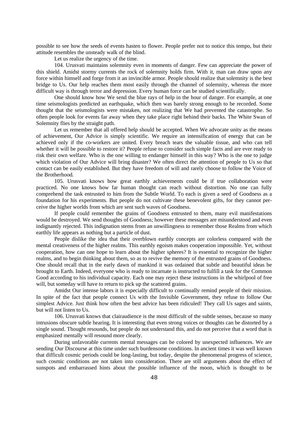possible to see how the seeds of events hasten to flower. People prefer not to notice this tempo, but their attitude resembles the unsteady walk of the blind.

Let us realize the urgency of the time.

 104. Urusvati maintains solemnity even in moments of danger. Few can appreciate the power of this shield. Amidst stormy currents the rock of solemnity holds firm. With it, man can draw upon any force within himself and forge from it an invincible armor. People should realize that solemnity is the best bridge to Us. Our help reaches them most easily through the channel of solemnity, whereas the more difficult way is through terror and depression. Every human force can be studied scientifically.

 One should know how We send the blue rays of help in the hour of danger. For example, at one time seismologists predicted an earthquake, which then was barely strong enough to be recorded. Some thought that the seismologists were mistaken, not realizing that We had prevented the catastrophe. So often people look for events far away when they take place right behind their backs. The White Swan of Solemnity flies by the straight path.

 Let us remember that all offered help should be accepted. When We advocate unity as the means of achievement, Our Advice is simply scientific. We require an intensification of energy that can be achieved only if the co-workers are united. Every breach tears the valuable tissue, and who can tell whether it will be possible to restore it? People refuse to consider such simple facts and are ever ready to risk their own welfare. Who is the one willing to endanger himself in this way? Who is the one to judge which violation of Our Advice will bring disaster? We often direct the attention of people to Us so that contact can be easily established. But they have freedom of will and rarely choose to follow the Voice of the Brotherhood.

 105. Urusvati knows how great earthly achievements could be if true collaboration were practiced. No one knows how far human thought can reach without distortion. No one can fully comprehend the task entrusted to him from the Subtle World. To each is given a seed of Goodness as a foundation for his experiments. But people do not cultivate these benevolent gifts, for they cannot perceive the higher worlds from which are sent such waves of Goodness.

 If people could remember the grains of Goodness entrusted to them, many evil manifestations would be destroyed. We send thoughts of Goodness; however these messages are misunderstood and even indignantly rejected. This indignation stems from an unwillingness to remember those Realms from which earthly life appears as nothing but a particle of dust.

 People dislike the idea that their overblown earthly concepts are colorless compared with the mental creativeness of the higher realms. This earthly egoism makes cooperation impossible. Yet, without cooperation, how can one hope to learn about the higher spheres? It is essential to recognize the higher realms, and to begin thinking about them, so as to revive the memory of the entrusted grains of Goodness. One should recall that in the early dawn of mankind it was ordained that subtle and beautiful ideas be brought to Earth. Indeed, everyone who is ready to incarnate is instructed to fulfill a task for the Common Good according to his individual capacity. Each one may reject these instructions in the whirlpool of free will, but someday will have to return to pick up the scattered grains.

 Amidst Our intense labors it is especially difficult to continually remind people of their mission. In spite of the fact that people connect Us with the Invisible Government, they refuse to follow Our simplest Advice. Just think how often the best advice has been ridiculed! They call Us sages and saints, but will not listen to Us.

 106. Urusvati knows that clairaudience is the most difficult of the subtle senses, because so many intrusions obscure subtle hearing. It is interesting that even strong voices or thoughts can be distorted by a single sound. Thought resounds, but people do not understand this, and do not perceive that a word that is emphasized mentally will resound more clearly.

 During unfavorable currents mental messages can be colored by unexpected influences. We are sending Our Discourse at this time under such burdensome conditions. In ancient times it was well known that difficult cosmic periods could be long-lasting, but today, despite the phenomenal progress of science, such cosmic conditions are not taken into consideration. There are still arguments about the effect of sunspots and embarrassed hints about the possible influence of the moon, which is thought to be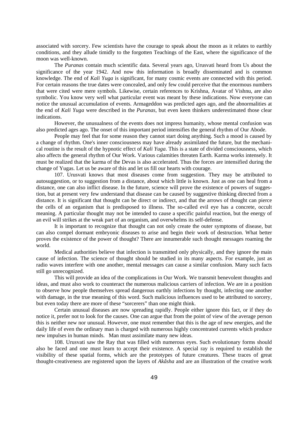associated with sorcery. Few scientists have the courage to speak about the moon as it relates to earthly conditions, and they allude timidly to the forgotten Teachings of the East, where the significance of the moon was well-known.

 The *Puranas* contain much scientific data. Several years ago, Urusvati heard from Us about the significance of the year 1942. And now this information is broadly disseminated and is common knowledge. The end of *Kali Yuga* is significant, for many cosmic events are connected with this period. For certain reasons the true dates were concealed, and only few could perceive that the enormous numbers that were cited were mere symbols. Likewise, certain references to Krishna, Avatar of Vishnu, are also symbolic. You know very well what particular event was meant by these indications. Now everyone can notice the unusual accumulation of events. Armageddon was predicted ages ago, and the abnormalities at the end of *Kali Yuga* were described in the *Puranas*, but even keen thinkers underestimated those clear indications.

 However, the unusualness of the events does not impress humanity, whose mental confusion was also predicted ages ago. The onset of this important period intensifies the general rhythm of Our Abode.

 People may feel that for some reason they cannot start doing anything. Such a mood is caused by a change of rhythm. One's inner consciousness may have already assimilated the future, but the mechanical routine is the result of the hypnotic effect of *Kali Yuga*. This is a state of divided consciousness, which also affects the general rhythm of Our Work. Various calamities threaten Earth. Karma works intensely. It must be realized that the karma of the Devas is also accelerated. Thus the forces are intensified during the change of Yugas. Let us be aware of this and let us fill our hearts with courage.

 107. Urusvati knows that most diseases come from suggestion. They may be attributed to autosuggestion, or to suggestion from a distance, about which little is known. Just as one can heal from a distance, one can also inflict disease. In the future, science will prove the existence of powers of suggestion, but at present very few understand that disease can be caused by suggestive thinking directed from a distance. It is significant that thought can be direct or indirect, and that the arrows of thought can pierce the cells of an organism that is predisposed to illness. The so-called evil eye has a concrete, occult meaning. A particular thought may not be intended to cause a specific painful reaction, but the energy of an evil will strikes at the weak part of an organism, and overwhelms its self-defense.

 It is important to recognize that thought can not only create the outer symptoms of disease, but can also compel dormant embryonic diseases to arise and begin their work of destruction. What better proves the existence of the power of thought? There are innumerable such thought messages roaming the world.

 Medical authorities believe that infection is transmitted only physically, and they ignore the main cause of infection. The science of thought should be studied in its many aspects. For example, just as radio waves interfere with one another, mental messages can cause a similar confusion. Many such facts still go unrecognized.

 This will provide an idea of the complications in Our Work. We transmit benevolent thoughts and ideas, and must also work to counteract the numerous malicious carriers of infection. We are in a position to observe how people themselves spread dangerous earthly infections by thought, infecting one another with damage, in the true meaning of this word. Such malicious influences used to be attributed to sorcery, but even today there are more of these "sorcerers" than one might think.

 Certain unusual diseases are now spreading rapidly. People either ignore this fact, or if they do notice it, prefer not to look for the causes. One can argue that from the point of view of the average person this is neither new nor unusual. However, one must remember that this is the age of new energies, and the daily life of even the ordinary man is charged with numerous highly concentrated currents which produce new impulses in human minds. Man must assimilate many new ideas.

 108. Urusvati saw the Ray that was filled with numerous eyes. Such evolutionary forms should also be faced and one must learn to accept their existence. A special ray is required to establish the visibility of these spatial forms, which are the prototypes of future creatures. These traces of great thought-creativeness are registered upon the layers of *Akâsha* and are an illustration of the creative work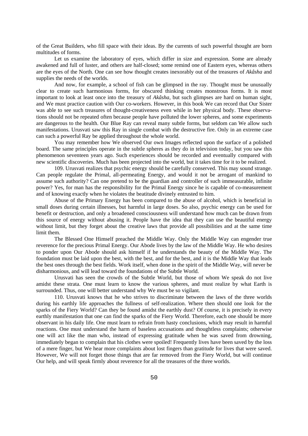of the Great Builders, who fill space with their ideas. By the currents of such powerful thought are born multitudes of forms.

 Let us examine the laboratory of eyes, which differ in size and expression. Some are already awakened and full of luster, and others are half-closed; some remind one of Eastern eyes, whereas others are the eyes of the North. One can see how thought creates inexorably out of the treasures of *Akâsha* and supplies the needs of the worlds.

 And now, for example, a school of fish can be glimpsed in the ray. Thought must be unusually clear to create such harmonious forms, for obscured thinking creates monstrous forms. It is most important to look at least once into the treasury of *Akâsha*, but such glimpses are hard on human sight, and We must practice caution with Our co-workers. However, in this book We can record that Our Sister was able to see such treasures of thought-creativeness even while in her physical body. These observations should not be repeated often because people have polluted the lower spheres, and some experiments are dangerous to the health. Our Blue Ray can reveal many subtle forms, but seldom can We allow such manifestations. Urusvati saw this Ray in single combat with the destructive fire. Only in an extreme case can such a powerful Ray be applied throughout the whole world.

 You may remember how We observed Our own Images reflected upon the surface of a polished board. The same principles operate in the subtle spheres as they do in television today, but you saw this phenomenon seventeen years ago. Such experiences should be recorded and eventually compared with new scientific discoveries. Much has been projected into the world, but it takes time for it to be realized.

 109. Urusvati realizes that psychic energy should be carefully conserved. This may sound strange. Can people regulate the Primal, all-permeating Energy, and would it not be arrogant of mankind to assume such authority? Can one pretend to be the guardian and controller of such immeasurable, infinite power? Yes, for man has the responsibility for the Primal Energy since he is capable of co-measurement and of knowing exactly when he violates the beatitude divinely entrusted to him.

 Abuse of the Primary Energy has been compared to the abuse of alcohol, which is beneficial in small doses during certain illnesses, but harmful in large doses. So also, psychic energy can be used for benefit or destruction, and only a broadened consciousness will understand how much can be drawn from this source of energy without abusing it. People have the idea that they can use the beautiful energy without limit, but they forget about the creative laws that provide all possibilities and at the same time limit them.

 The Blessed One Himself preached the Middle Way. Only the Middle Way can engender true reverence for the precious Primal Energy. Our Abode lives by the law of the Middle Way. He who desires to ponder upon Our Abode should ask himself if he understands the beauty of the Middle Way. The foundation must be laid upon the best, with the best, and for the best, and it is the Middle Way that leads the best ones through the best fields. Work itself, when done in the spirit of the Middle Way, will never be disharmonious, and will lead toward the foundations of the Subtle World.

 Urusvati has seen the crowds of the Subtle World, but those of whom We speak do not live amidst these strata. One must learn to know the various spheres, and must realize by what Earth is surrounded. Thus, one will better understand why We must be so vigilant.

 110. Urusvati knows that he who strives to discriminate between the laws of the three worlds during his earthly life approaches the fullness of self-realization. Where then should one look for the sparks of the Fiery World? Can they be found amidst the earthly dust? Of course, it is precisely in every earthly manifestation that one can find the sparks of the Fiery World. Therefore, each one should be more observant in his daily life. One must learn to refrain from hasty conclusions, which may result in harmful reactions. One must understand the harm of baseless accusations and thoughtless complaints; otherwise one will act like the man who, instead of expressing gratitude when he was saved from drowning, immediately began to complain that his clothes were spoiled! Frequently lives have been saved by the loss of a mere finger, but We hear more complaints about lost fingers than gratitude for lives that were saved. However, We will not forget those things that are far removed from the Fiery World, but will continue Our help, and will speak firmly about reverence for all the treasures of the three worlds.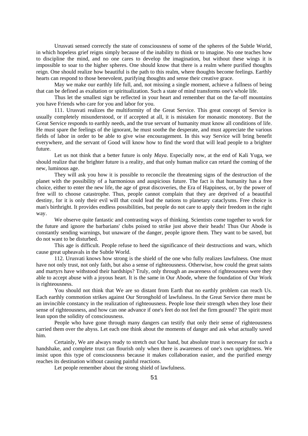Urusvati sensed correctly the state of consciousness of some of the spheres of the Subtle World, in which hopeless grief reigns simply because of the inability to think or to imagine. No one teaches how to discipline the mind, and no one cares to develop the imagination, but without these wings it is impossible to soar to the higher spheres. One should know that there is a realm where purified thoughts reign. One should realize how beautiful is the path to this realm, where thoughts become feelings. Earthly hearts can respond to those benevolent, purifying thoughts and sense their creative grace.

 May we make our earthly life full, and, not missing a single moment, achieve a fullness of being that can be defined as exaltation or spiritualization. Such a state of mind transforms one's whole life.

 Thus let the smallest sign be reflected in your heart and remember that on the far-off mountains you have Friends who care for you and labor for you.

 111. Urusvati realizes the multiformity of the Great Service. This great concept of Service is usually completely misunderstood, or if accepted at all, it is mistaken for monastic monotony. But the Great Service responds to earthly needs, and the true servant of humanity must know all conditions of life. He must spare the feelings of the ignorant, he must soothe the desperate, and must appreciate the various fields of labor in order to be able to give wise encouragement. In this way Service will bring benefit everywhere, and the servant of Good will know how to find the word that will lead people to a brighter future.

 Let us not think that a better future is only *Maya*. Especially now, at the end of Kali Yuga, we should realize that the brighter future is a reality, and that only human malice can retard the coming of the new, luminous age.

 They will ask you how it is possible to reconcile the threatening signs of the destruction of the planet with the possibility of a harmonious and auspicious future. The fact is that humanity has a free choice, either to enter the new life, the age of great discoveries, the Era of Happiness, or, by the power of free will to choose catastrophe. Thus, people cannot complain that they are deprived of a beautiful destiny, for it is only their evil will that could lead the nations to planetary cataclysms. Free choice is man's birthright. It provides endless possibilities, but people do not care to apply their freedom in the right way.

 We observe quite fantastic and contrasting ways of thinking. Scientists come together to work for the future and ignore the barbarians' clubs poised to strike just above their heads! Thus Our Abode is constantly sending warnings, but unaware of the danger, people ignore them. They want to be saved, but do not want to be disturbed.

 This age is difficult. People refuse to heed the significance of their destructions and wars, which cause great upheavals in the Subtle World.

 112. Urusvati knows how strong is the shield of the one who fully realizes lawfulness. One must have not only trust, not only faith, but also a sense of righteousness. Otherwise, how could the great saints and martyrs have withstood their hardships? Truly, only through an awareness of righteousness were they able to accept abuse with a joyous heart. It is the same in Our Abode, where the foundation of Our Work is righteousness.

 You should not think that We are so distant from Earth that no earthly problem can reach Us. Each earthly commotion strikes against Our Stronghold of lawfulness. In the Great Service there must be an invincible constancy in the realization of righteousness. People lose their strength when they lose their sense of righteousness, and how can one advance if one's feet do not feel the firm ground? The spirit must lean upon the solidity of consciousness.

 People who have gone through many dangers can testify that only their sense of righteousness carried them over the abyss. Let each one think about the moments of danger and ask what actually saved him.

 Certainly, We are always ready to stretch out Our hand, but absolute trust is necessary for such a handshake, and complete trust can flourish only when there is awareness of one's own uprightness. We insist upon this type of consciousness because it makes collaboration easier, and the purified energy reaches its destination without causing painful reactions.

Let people remember about the strong shield of lawfulness.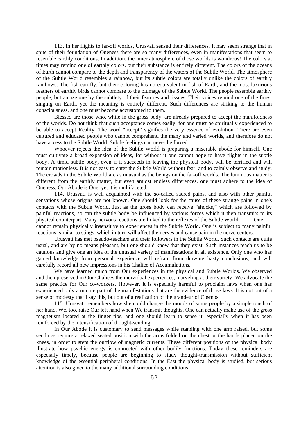113. In her flights to far-off worlds, Urusvati sensed their differences. It may seem strange that in spite of their foundation of Oneness there are so many differences, even in manifestations that seem to resemble earthly conditions. In addition, the inner atmosphere of those worlds is wondrous! The colors at times may remind one of earthly colors, but their substance is entirely different. The colors of the oceans of Earth cannot compare to the depth and transparency of the waters of the Subtle World. The atmosphere of the Subtle World resembles a rainbow, but its subtle colors are totally unlike the colors of earthly rainbows. The fish can fly, but their coloring has no equivalent in fish of Earth, and the most luxurious feathers of earthly birds cannot compare to the plumage of the Subtle World. The people resemble earthly people, but amaze one by the subtlety of their features and tissues. Their voices remind one of the finest singing on Earth, yet the meaning is entirely different. Such differences are striking to the human consciousness, and one must become accustomed to them.

 Blessed are those who, while in the gross body, are already prepared to accept the manifoldness of the worlds. Do not think that such acceptance comes easily, for one must be spiritually experienced to be able to accept Reality. The word "accept" signifies the very essence of evolution. There are even cultured and educated people who cannot comprehend the many and varied worlds, and therefore do not have access to the Subtle World. Subtle feelings can never be forced.

 Whoever rejects the idea of the Subtle World is preparing a miserable abode for himself. One must cultivate a broad expansion of ideas, for without it one cannot hope to have flights in the subtle body. A timid subtle body, even if it succeeds in leaving the physical body, will be terrified and will remain motionless. It is not easy to enter the Subtle World without fear, and to calmly observe and study. The crowds in the Subtle World are as unusual as the beings on the far-off worlds. The luminous matter is different from the earthly matter, but even amidst endless differences, one must adhere to the idea of Oneness. Our Abode is One, yet it is multifaceted.

 114. Urusvati is well acquainted with the so-called sacred pains, and also with other painful sensations whose origins are not known. One should look for the cause of these strange pains in one's contacts with the Subtle World. Just as the gross body can receive "shocks," which are followed by painful reactions, so can the subtle body be influenced by various forces which it then transmits to its physical counterpart. Many nervous reactions are linked to the reflexes of the Subtle World. One cannot remain physically insensitive to experiences in the Subtle World. One is subject to many painful reactions, similar to stings, which in turn will affect the nerves and cause pain in the nerve centers.

 Urusvati has met pseudo-teachers and their followers in the Subtle World. Such contacts are quite usual, and are by no means pleasant, but one should know that they exist. Such instances teach us to be cautious and give one an idea of the unusual variety of manifestations in all existence. Only one who has gained knowledge from personal experience will refrain from drawing hasty conclusions, and will carefully record all new impressions in his Chalice of Accumulations.

 We have learned much from Our experiences in the physical and Subtle Worlds. We observed and then preserved in Our Chalices the individual experiences, marveling at their variety. We advocate the same practice for Our co-workers. However, it is especially harmful to proclaim laws when one has experienced only a minute part of the manifestations that are the evidence of those laws. It is not out of a sense of modesty that I say this, but out of a realization of the grandeur of Cosmos.

 115. Urusvati remembers how she could change the moods of some people by a simple touch of her hand. We, too, raise Our left hand when We transmit thoughts. One can actually make use of the gross magnetism located at the finger tips, and one should learn to sense it, especially when it has been reinforced by the intensification of thought-sending.

 In Our Abode it is customary to send messages while standing with one arm raised, but some sendings require a relaxed seated position with the arms folded on the chest or the hands placed on the knees, in order to stem the outflow of magnetic currents. These different positions of the physical body illustrate how psychic energy is connected with other bodily functions. Today these reminders are especially timely, because people are beginning to study thought-transmission without sufficient knowledge of the essential peripheral conditions. In the East the physical body is studied, but serious attention is also given to the many additional surrounding conditions.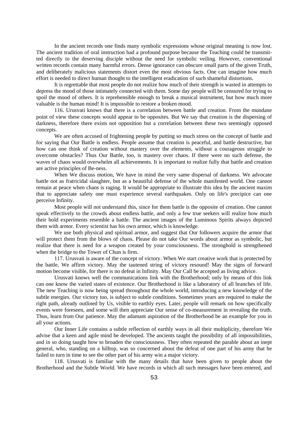In the ancient records one finds many symbolic expressions whose original meaning is now lost. The ancient tradition of oral instruction had a profound purpose because the Teaching could be transmitted directly to the deserving disciple without the need for symbolic veiling. However, conventional written records contain many harmful errors. Dense ignorance can obscure small parts of the given Truth, and deliberately malicious statements distort even the most obvious facts. One can imagine how much effort is needed to direct human thought to the intelligent eradication of such shameful distortions.

 It is regrettable that most people do not realize how much of their strength is wasted in attempts to depress the mood of those intimately connected with them. Some day people will be censured for trying to spoil the mood of others. It is reprehensible enough to break a musical instrument, but how much more valuable is the human mind! It is impossible to restore a broken mood.

 116. Urusvati knows that there is a correlation between battle and creation. From the mundane point of view these concepts would appear to be opposites. But We say that creation is the dispersing of darkness, therefore there exists not opposition but a correlation between these two seemingly opposed concepts.

 We are often accused of frightening people by putting so much stress on the concept of battle and for saying that Our Battle is endless. People assume that creation is peaceful, and battle destructive, but how can one think of creation without mastery over the elements, without a courageous struggle to overcome obstacles? Thus Our Battle, too, is mastery over chaos. If there were no such defense, the waves of chaos would overwhelm all achievements. It is important to realize fully that battle and creation are active principles of Be-ness.

 When We discuss motion, We have in mind the very same dispersal of darkness. We advocate battle not as fratricidal slaughter, but as a beautiful defense of the whole manifested world. One cannot remain at peace when chaos is raging. It would be appropriate to illustrate this idea by the ancient maxim that to appreciate safety one must experience several earthquakes. Only on life's precipice can one perceive Infinity.

 Most people will not understand this, since for them battle is the opposite of creation. One cannot speak effectively to the crowds about endless battle, and only a few true seekers will realize how much their bold experiments resemble a battle. The ancient images of the Luminous Spirits always depicted them with armor. Every scientist has his own armor, which is knowledge.

 We use both physical and spiritual armor, and suggest that Our followers acquire the armor that will protect them from the blows of chaos. Please do not take Our words about armor as symbolic, but realize that there is need for a weapon created by your consciousness. The stronghold is strengthened when the bridge to the Tower of Chun is firm.

 117. Urusvati is aware of the concept of victory. When We start creative work that is protected by the battle, We affirm victory. May the tautened string of victory resound! May the signs of forward motion become visible, for there is no defeat in Infinity. May Our Call be accepted as living advice.

 Urusvati knows well the communications link with the Brotherhood; only by means of this link can one know the varied states of existence. Our Brotherhood is like a laboratory of all branches of life. The new Teaching is now being spread throughout the whole world, introducing a new knowledge of the subtle energies. Our victory too, is subject to subtle conditions. Sometimes years are required to make the right path, already outlined by Us, visible to earthly eyes. Later, people will remark on how specifically events were foreseen, and some will then appreciate Our sense of co-measurement in revealing the truth. Thus, learn from Our patience. May the adamant aspiration of the Brotherhood be an example for you in all your actions.

 Our Inner Life contains a subtle reflection of earthly ways in all their multiplicity, therefore We advise that a keen and agile mind be developed. The ancients taught the possibility of all impossibilities, and in so doing taught how to broaden the consciousness. They often repeated the parable about an inept general, who, standing on a hilltop, was so concerned about the defeat of one part of his army that he failed to turn in time to see the other part of his army win a major victory.

 118. Urusvati is familiar with the many details that have been given to people about the Brotherhood and the Subtle World. We have records in which all such messages have been entered, and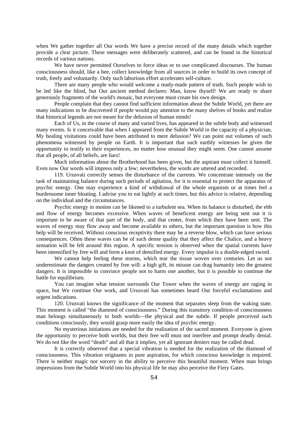when We gather together all Our words We have a precise record of the many details which together provide a clear picture. These messages were deliberately scattered, and can be found in the historical records of various nations.

 We have never permitted Ourselves to force ideas or to use complicated discourses. The human consciousness should, like a bee, collect knowledge from all sources in order to build its own concept of truth, freely and voluntarily. Only such laborious effort accelerates self-culture.

 There are many people who would welcome a ready-made pattern of truth. Such people wish to be led like the blind, but Our ancient method declares: Man, know thyself! We are ready to share generously fragments of the world's mosaic, but everyone must create his own design.

 People complain that they cannot find sufficient information about the Subtle World, yet there are many indications to be discovered if people would pay attention to the many shelves of books and realize that historical legends are not meant for the delusion of human minds!

 Each of Us, in the course of many and varied lives, has appeared in the subtle body and witnessed many events. Is it conceivable that when I appeared from the Subtle World in the capacity of a physician, My healing visitations could have been attributed to mere delusion? We can point out volumes of such phenomena witnessed by people on Earth. It is important that such earthly witnesses be given the opportunity to testify to their experiences, no matter how unusual they might seem. One cannot assume that all people, of all beliefs, are liars!

 Much information about the Brotherhood has been given, but the aspirant must collect it himself. Even now Our words will impress only a few; nevertheless, the words are uttered and recorded.

 119. Urusvati correctly senses the disturbance of the currents. We concentrate intensely on the task of maintaining balance during such periods of agitation, for it is essential to protect the apparatus of psychic energy. One may experience a kind of withdrawal of the whole organism or at times feel a burdensome inner bloating. I advise you to eat lightly at such times, but this advice is relative, depending on the individual and the circumstances.

 Psychic energy in motion can be likened to a turbulent sea. When its balance is disturbed, the ebb and flow of energy becomes excessive. When waves of beneficent energy are being sent out it is important to be aware of that part of the body, and that center, from which they have been sent. The waves of energy may flow away and become available to others, but the important question is how this help will be received. Without conscious receptivity there may be a reverse blow, which can have serious consequences. Often these waves can be of such dense quality that they affect the Chalice, and a heavy sensation will be felt around this region. A specific tension is observed when the spatial currents have been intensified by free will and form a knot of densified energy. Every impulse is a double-edged sword.

 We cannot help feeling these storms, which tear the tissue woven over centuries. Let us not underestimate the dangers created by free will: a high gift, its misuse can drag humanity into the greatest dangers. It is impossible to convince people not to harm one another, but it is possible to continue the battle for equilibrium.

 You can imagine what tension surrounds Our Tower when the waves of energy are raging in space, but We continue Our work, and Urusvati has sometimes heard Our forceful exclamations and urgent indications.

 120. Urusvati knows the significance of the moment that separates sleep from the waking state. This moment is called "the diamond of consciousness." During this transitory condition of consciousness man belongs simultaneously to both worlds—the physical and the subtle. If people perceived such conditions consciously, they would grasp more easily the idea of psychic energy.

 No mysterious initiations are needed for the realization of the sacred moment. Everyone is given the opportunity to perceive both worlds, but their free will must not interfere and prompt deadly denial. We do not like the word "death" and all that it implies, yet all ignorant deniers may be called dead.

 It is correctly observed that a special vibration is needed for the realization of the diamond of consciousness. This vibration originates in pure aspiration, for which conscious knowledge is required. There is neither magic nor sorcery in the ability to perceive this beautiful moment. When man brings impressions from the Subtle World into his physical life he may also perceive the Fiery Gates.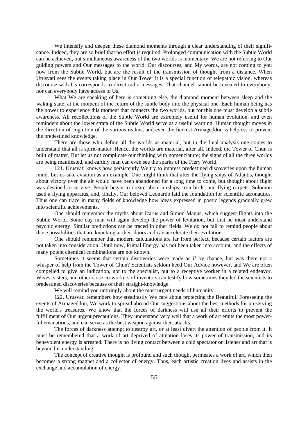We intensify and deepen these diamond moments through a clear understanding of their significance. Indeed, they are so brief that no effort is required. Prolonged communication with the Subtle World can be achieved, but simultaneous awareness of the two worlds is momentary. We are not referring to Our guiding powers and Our messages to the world. Our discourses, and My words, are not coming to you now from the Subtle World, but are the result of the transmission of thought from a distance. When Urusvati sees the events taking place in Our Tower it is a special function of telepathic vision, whereas discourse with Us corresponds to direct radio messages. That channel cannot be revealed to everybody, nor can everybody have access to Us.

 What We are speaking of here is something else, the diamond moment between sleep and the waking state, at the moment of the return of the subtle body into the physical one. Each human being has the power to experience this moment that connects the two worlds, but for this one must develop a subtle awareness. All recollections of the Subtle World are extremely useful for human evolution, and even reminders about the lower strata of the Subtle World serve as a useful warning. Human thought moves in the direction of cognition of the various realms, and even the fiercest Armageddon is helpless to prevent the predestined knowledge.

 There are those who define all the worlds as material, but in the final analysis one comes to understand that all is spirit-matter. Hence, the worlds are material, after all. Indeed, the Tower of Chun is built of matter. But let us not complicate our thinking with nomenclature; the signs of all the three worlds are being manifested, and earthly man can even see the sparks of the Fiery World.

 121. Urusvati knows how persistently We try to impress predestined discoveries upon the human mind. Let us take aviation as an example. One might think that after the flying ships of Atlantis, thought about victory over the air would have been abandoned for a long time to come, but thought about flight was destined to survive. People began to dream about airships, iron birds, and flying carpets. Solomon used a flying apparatus, and, finally, Our beloved Leonardo laid the foundation for scientific aeronautics. Thus one can trace in many fields of knowledge how ideas expressed in poetic legends gradually grew into scientific achievements.

 One should remember the myths about Icarus and Simon Magus, which suggest flights into the Subtle World. Some day man will again develop the power of levitation, but first he must understand psychic energy. Similar predictions can be traced in other fields. We do not fail to remind people about those possibilities that are knocking at their doors and can accelerate their evolution.

 One should remember that modern calculations are far from perfect, because certain factors are not taken into consideration. Until now, Primal Energy has not been taken into account, and the effects of many potent chemical combinations are not known.

 Sometimes it seems that certain discoveries were made as if by chance, but was there not a whisper of help from the Tower of Chun? Scientists seldom heed Our Advice however, and We are often compelled to give an indication, not to the specialist, but to a receptive worker in a related endeavor. Wives, sisters, and other close co-workers of inventors can testify how sometimes they led the scientists to predestined discoveries because of their straight-knowledge.

We will remind you untiringly about the most urgent needs of humanity.

 122. Urusvati remembers how steadfastly We care about protecting the Beautiful. Foreseeing the events of Armageddon, We work to spread abroad Our suggestions about the best methods for preserving the world's treasures. We know that the forces of darkness will use all their efforts to prevent the fulfillment of Our urgent precautions. They understand very well that a work of art emits the most powerful emanations, and can serve as the best weapon against their attacks.

 The forces of darkness attempt to destroy art, or at least divert the attention of people from it. It must be remembered that a work of art deprived of attention loses its power of transmission, and its benevolent energy is arrested. There is no living contact between a cold spectator or listener and art that is beyond his understanding.

 The concept of creative thought is profound and such thought permeates a work of art, which then becomes a strong magnet and a collector of energy. Thus, each artistic creation lives and assists in the exchange and accumulation of energy.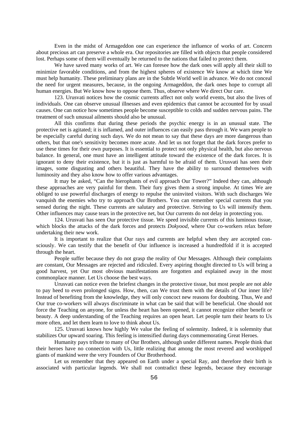Even in the midst of Armageddon one can experience the influence of works of art. Concern about precious art can preserve a whole era. Our repositories are filled with objects that people considered lost. Perhaps some of them will eventually be returned to the nations that failed to protect them.

We have saved many works of art. We can foresee how the dark ones will apply all their skill to minimize favorable conditions, and from the highest spheres of existence We know at which time We must help humanity. These preliminary plans are in the Subtle World well in advance. We do not conceal the need for urgent measures, because, in the ongoing Armageddon, the dark ones hope to corrupt all human energies. But We know how to oppose them. Thus, observe where We direct Our care.

 123. Urusvati notices how the cosmic currents affect not only world events, but also the lives of individuals. One can observe unusual illnesses and even epidemics that cannot be accounted for by usual causes. One can notice how sometimes people become susceptible to colds and sudden nervous pains. The treatment of such unusual ailments should also be unusual.

 All this confirms that during these periods the psychic energy is in an unusual state. The protective net is agitated; it is inflamed, and outer influences can easily pass through it. We warn people to be especially careful during such days. We do not mean to say that these days are more dangerous than others, but that one's sensitivity becomes more acute. And let us not forget that the dark forces prefer to use these times for their own purposes. It is essential to protect not only physical health, but also nervous balance. In general, one must have an intelligent attitude toward the existence of the dark forces. It is ignorant to deny their existence, but it is just as harmful to be afraid of them. Urusvati has seen their images, some disgusting and others beautiful. They have the ability to surround themselves with luminosity and they also know how to offer various advantages.

 It may be asked, "Can the hierophants of evil approach Our Tower?" Indeed they can, although these approaches are very painful for them. Their fury gives them a strong impulse. At times We are obliged to use powerful discharges of energy to repulse the uninvited visitors. With such discharges We vanquish the enemies who try to approach Our Brothers. You can remember special currents that you sensed during the night. These currents are salutary and protective. Striving to Us will intensify them. Other influences may cause tears in the protective net, but Our currents do not delay in protecting you.

 124. Urusvati has seen Our protective tissue. We speed invisible currents of this luminous tissue, which blocks the attacks of the dark forces and protects *Dokyood*, where Our co-workers relax before undertaking their new work.

 It is important to realize that Our rays and currents are helpful when they are accepted consciously. We can testify that the benefit of Our influence is increased a hundredfold if it is accepted through the heart.

 People suffer because they do not grasp the reality of Our Messages. Although their complaints are constant, Our Messages are rejected and ridiculed. Every aspiring thought directed to Us will bring a good harvest, yet Our most obvious manifestations are forgotten and explained away in the most commonplace manner. Let Us choose the best ways.

 Urusvati can notice even the briefest changes in the protective tissue, but most people are not able to pay heed to even prolonged signs. How, then, can We trust them with the details of Our inner life? Instead of benefiting from the knowledge, they will only concoct new reasons for doubting. Thus, We and Our true co-workers will always discriminate in what can be said that will be beneficial. One should not force the Teaching on anyone, for unless the heart has been opened, it cannot recognize either benefit or beauty. A deep understanding of the Teaching requires an open heart. Let people turn their hearts to Us more often, and let them learn to love to think about Us.

 125. Urusvati knows how highly We value the feeling of solemnity. Indeed, it is solemnity that stabilizes Our upward soaring. This feeling is intensified during days commemorating Great Heroes.

 Humanity pays tribute to many of Our Brothers, although under different names. People think that their heroes have no connection with Us, little realizing that among the most revered and worshipped giants of mankind were the very Founders of Our Brotherhood.

 Let us remember that they appeared on Earth under a special Ray, and therefore their birth is associated with particular legends. We shall not contradict these legends, because they encourage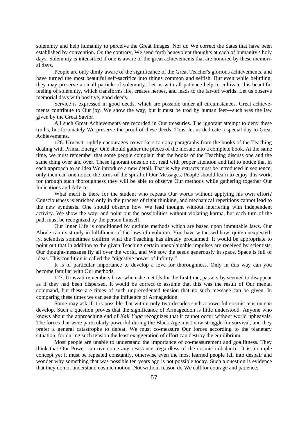solemnity and help humanity to perceive the Great Images. Nor do We correct the dates that have been established by convention. On the contrary, We send forth benevolent thoughts at each of humanity's holy days. Solemnity is intensified if one is aware of the great achievements that are honored by these memorial days.

 People are only dimly aware of the significance of the Great Teacher's glorious achievements, and have turned the most beautiful self-sacrifice into things common and selfish. But even while belittling, they may preserve a small particle of solemnity. Let us with all patience help to cultivate this beautiful feeling of solemnity, which transforms life, creates heroes, and leads to the far-off worlds. Let us observe memorial days with positive, good deeds.

 Service is expressed in good deeds, which are possible under all circumstances. Great achievements contribute to Our joy. We show the way, but it must be trod by human feet—such was the law given by the Great Savior.

 All such Great Achievements are recorded in Our treasuries. The ignorant attempt to deny these truths, but fortunately We preserve the proof of these deeds. Thus, let us dedicate a special day to Great Achievements.

 126. Urusvati rightly encourages co-workers to copy paragraphs from the books of the Teaching dealing with Primal Energy. One should gather the pieces of the mosaic into a complete book. At the same time, we must remember that some people complain that the books of the Teaching discuss one and the same thing over and over. These ignorant ones do not read with proper attention and fail to notice that in each approach to an idea We introduce a new detail. That is why extracts must be introduced in sequence; only then can one notice the turns of the spiral of Our Messages. People should learn to enjoy this work, for through such thoroughness they will be able to observe Our methods while gathering together Our Indications and Advice.

What merit is there for the student who repeats Our words without applying his own effort? Consciousness is enriched only in the process of right thinking, and mechanical repetitions cannot lead to the new synthesis. One should observe how We lead thought without interfering with independent activity. We show the way, and point out the possibilities without violating karma, but each turn of the path must be recognized by the person himself.

 Our Inner Life is conditioned by definite methods which are based upon immutable laws. Our Abode can exist only in fulfillment of the laws of evolution. You have witnessed how, quite unexpectedly, scientists sometimes confirm what the Teaching has already proclaimed. It would be appropriate to point out that in addition to the given Teaching certain unexplainable impulses are received by scientists. Our thought-messages fly all over the world, and We sow the seeds generously in space. Space is full of ideas. This condition is called the "digestive power of Infinity."

 It is of particular importance to develop a love for thoroughness. Only in this way can you become familiar with Our methods.

 127. Urusvati remembers how, when she met Us for the first time, passers-by seemed to disappear as if they had been dispersed. It would be correct to assume that this was the result of Our mental command, but these are times of such unprecedented tension that no such message can be given. In comparing these times we can see the influence of Armageddon.

 Some may ask if it is possible that within only two decades such a powerful cosmic tension can develop. Such a question proves that the significance of Armageddon is little understood. Anyone who knows about the approaching end of *Kali Yuga* recognizes that it cannot occur without world upheavals. The forces that were particularly powerful during the Black Age must now struggle for survival, and they prefer a general catastrophe to defeat. We must co-measure Our forces according to the planetary situation, for during such tension the least exaggeration of effort can destroy the equilibrium.

 Most people are unable to understand the importance of co-measurement and goalfitness. They think that Our Power can overcome any resistance, regardless of the cosmic imbalance. It is a simple concept yet it must be repeated constantly, otherwise even the most learned people fall into despair and wonder why something that was possible ten years ago is not possible today. Such a question is evidence that they do not understand cosmic motion. Not without reason do We call for courage and patience.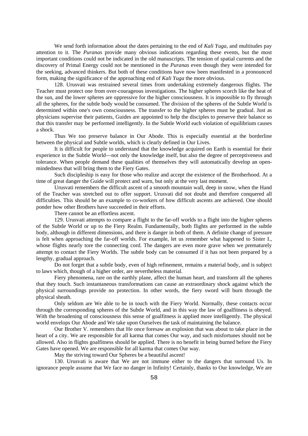We send forth information about the dates pertaining to the end of *Kali Yuga*, and multitudes pay attention to it. The *Puranas* provide many obvious indications regarding these events, but the most important conditions could not be indicated in the old manuscripts. The tension of spatial currents and the discovery of Primal Energy could not be mentioned in the *Puranas* even though they were intended for the seeking, advanced thinkers. But both of these conditions have now been manifested in a pronounced form, making the significance of the approaching end of *Kali Yuga* the more obvious.

 128. Urusvati was restrained several times from undertaking extremely dangerous flights. The Teacher must protect one from over-courageous investigations. The higher spheres scorch like the heat of the sun, and the lower spheres are oppressive for the higher consciousness. It is impossible to fly through all the spheres, for the subtle body would be consumed. The division of the spheres of the Subtle World is determined within one's own consciousness. The transfer to the higher spheres must be gradual. Just as physicians supervise their patients, Guides are appointed to help the disciples to preserve their balance so that this transfer may be performed intelligently. In the Subtle World each violation of equilibrium causes a shock.

 Thus We too preserve balance in Our Abode. This is especially essential at the borderline between the physical and Subtle worlds, which is clearly defined in Our Lives.

 It is difficult for people to understand that the knowledge acquired on Earth is essential for their experience in the Subtle World—not only the knowledge itself, but also the degree of perceptiveness and tolerance. When people demand these qualities of themselves they will automatically develop an openmindedness that will bring them to the Fiery Gates.

 Such discipleship is easy for those who realize and accept the existence of the Brotherhood. At a time of great danger the Guide will protect and warn, but only at the very last moment.

 Urusvati remembers the difficult ascent of a smooth mountain wall, deep in snow, when the Hand of the Teacher was stretched out to offer support. Urusvati did not doubt and therefore conquered all difficulties. This should be an example to co-workers of how difficult ascents are achieved. One should ponder how other Brothers have succeeded in their efforts.

There cannot be an effortless ascent.

 129. Urusvati attempts to compare a flight to the far-off worlds to a flight into the higher spheres of the Subtle World or up to the Fiery Realm. Fundamentally, both flights are performed in the subtle body, although in different dimensions, and there is danger in both of them. A definite change of pressure is felt when approaching the far-off worlds. For example, let us remember what happened to Sister I., whose flights nearly tore the connecting cord. The dangers are even more grave when we prematurely attempt to contact the Fiery Worlds. The subtle body can be consumed if it has not been prepared by a lengthy, gradual approach.

 Do not forget that a subtle body, even of high refinement, remains a material body, and is subject to laws which, though of a higher order, are nevertheless material.

 Fiery phenomena, rare on the earthly plane, affect the human heart, and transform all the spheres that they touch. Such instantaneous transformations can cause an extraordinary shock against which the physical surroundings provide no protection. In other words, the fiery sword will burn through the physical sheath.

 Only seldom are We able to be in touch with the Fiery World. Normally, these contacts occur through the corresponding spheres of the Subtle World, and in this way the law of goalfitness is obeyed. With the broadening of consciousness this sense of goalfitness is applied more intelligently. The physical world envelops Our Abode and We take upon Ourselves the task of maintaining the balance.

 Our Brother V. remembers that He once foresaw an explosion that was about to take place in the heart of a city. We are responsible for all karma that comes Our way, and such misfortunes should not be allowed. Also in flights goalfitness should be applied. There is no benefit in being burned before the Fiery Gates have opened. We are responsible for all karma that comes Our way.

May the striving toward Our Spheres be a beautiful ascent!

 130. Urusvati is aware that We are not immune either to the dangers that surround Us. In ignorance people assume that We face no danger in Infinity! Certainly, thanks to Our knowledge, We are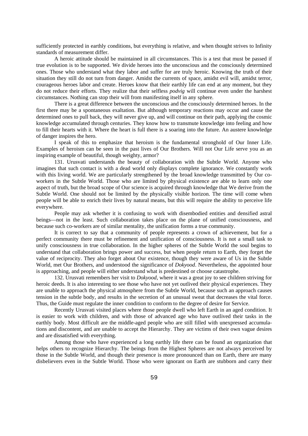sufficiently protected in earthly conditions, but everything is relative, and when thought strives to Infinity standards of measurement differ.

 A heroic attitude should be maintained in all circumstances. This is a test that must be passed if true evolution is to be supported. We divide heroes into the unconscious and the consciously determined ones. Those who understand what they labor and suffer for are truly heroic. Knowing the truth of their situation they still do not turn from danger. Amidst the currents of space, amidst evil will, amidst terror, courageous heroes labor and create. Heroes know that their earthly life can end at any moment, but they do not reduce their efforts. They realize that their selfless *podvig* will continue even under the harshest circumstances. Nothing can stop their will from manifesting itself in any sphere.

 There is a great difference between the unconscious and the consciously determined heroes. In the first there may be a spontaneous exaltation. But although temporary reactions may occur and cause the determined ones to pull back, they will never give up, and will continue on their path, applying the cosmic knowledge accumulated through centuries. They know how to transmute knowledge into feeling and how to fill their hearts with it. Where the heart is full there is a soaring into the future. An austere knowledge of danger inspires the hero.

 I speak of this to emphasize that heroism is the fundamental stronghold of Our Inner Life. Examples of heroism can be seen in the past lives of Our Brothers. Will not Our Life serve you as an inspiring example of beautiful, though weighty, armor?

 131. Urusvati understands the beauty of collaboration with the Subtle World. Anyone who imagines that such contact is with a dead world only displays complete ignorance. We constantly work with this living world. We are particularly strengthened by the broad knowledge transmitted by Our coworkers in the Subtle World. Those who are limited by physical existence are able to learn only one aspect of truth, but the broad scope of Our science is acquired through knowledge that We derive from the Subtle World. One should not be limited by the physically visible horizon. The time will come when people will be able to enrich their lives by natural means, but this will require the ability to perceive life everywhere.

 People may ask whether it is confusing to work with disembodied entities and densified astral beings—not in the least. Such collaboration takes place on the plane of unified consciousness, and because such co-workers are of similar mentality, the unification forms a true community.

 It is correct to say that a community of people represents a crown of achievement, but for a perfect community there must be refinement and unification of consciousness. It is not a small task to unify consciousness in true collaboration. In the higher spheres of the Subtle World the soul begins to understand that collaboration brings power and success, but when people return to Earth, they forget the value of reciprocity. They also forget about Our existence, though they were aware of Us in the Subtle World, met Our Brothers, and understood the significance of *Dokyood*. Nevertheless, the appointed hour is approaching, and people will either understand what is predestined or choose catastrophe.

 132. Urusvati remembers her visit to *Dokyood*, where it was a great joy to see children striving for heroic deeds. It is also interesting to see those who have not yet outlived their physical experiences. They are unable to approach the physical atmosphere from the Subtle World, because such an approach causes tension in the subtle body, and results in the secretion of an unusual sweat that decreases the vital force. Thus, the Guide must regulate the inner condition to conform to the degree of desire for Service.

 Recently Urusvati visited places where those people dwell who left Earth in an aged condition. It is easier to work with children, and with those of advanced age who have outlived their tasks in the earthly body. Most difficult are the middle-aged people who are still filled with unexpressed accumulations and discontent, and are unable to accept the Hierarchy. They are victims of their own vague desires and are dissatisfied with everything.

 Among those who have experienced a long earthly life there can be found an organization that helps others to recognize Hierarchy. The beings from the Highest Spheres are not always perceived by those in the Subtle World, and though their presence is more pronounced than on Earth, there are many disbelievers even in the Subtle World. Those who were ignorant on Earth are stubborn and carry their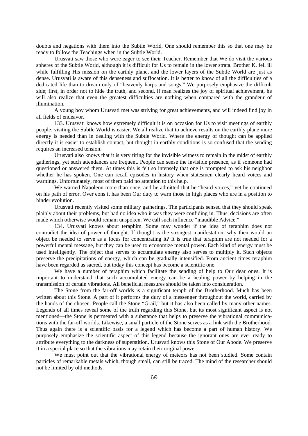doubts and negations with them into the Subtle World. One should remember this so that one may be ready to follow the Teachings when in the Subtle World.

 Urusvati saw those who were eager to see their Teacher. Remember that We do visit the various spheres of the Subtle World, although it is difficult for Us to remain in the lower strata. Brother K. fell ill while fulfilling His mission on the earthly plane, and the lower layers of the Subtle World are just as dense. Urusvati is aware of this denseness and suffocation. It is better to know of all the difficulties of a dedicated life than to dream only of "heavenly harps and songs." We purposely emphasize the difficult side; first, in order not to hide the truth, and second, if man realizes the joy of spiritual achievement, he will also realize that even the greatest difficulties are nothing when compared with the grandeur of illumination.

 A young boy whom Urusvati met was striving for great achievements, and will indeed find joy in all fields of endeavor.

 133. Urusvati knows how extremely difficult it is on occasion for Us to visit meetings of earthly people; visiting the Subtle World is easier. We all realize that to achieve results on the earthly plane more energy is needed than in dealing with the Subtle World. Where the energy of thought can be applied directly it is easier to establish contact, but thought in earthly conditions is so confused that the sending requires an increased tension.

 Urusvati also knows that it is very tiring for the invisible witness to remain in the midst of earthly gatherings, yet such attendances are frequent. People can sense the invisible presence, as if someone had questioned or answered them. At times this is felt so intensely that one is prompted to ask his neighbor whether he has spoken. One can recall episodes in history when statesmen clearly heard voices and warnings. Unfortunately, most of them paid no attention to this help.

 We warned Napoleon more than once, and he admitted that he "heard voices," yet he continued on his path of error. Over eons it has been Our duty to warn those in high places who are in a position to hinder evolution.

 Urusvati recently visited some military gatherings. The participants sensed that they should speak plainly about their problems, but had no idea who it was they were confiding in. Thus, decisions are often made which otherwise would remain unspoken. We call such influence "inaudible Advice."

 134. Urusvati knows about teraphim. Some may wonder if the idea of teraphim does not contradict the idea of power of thought. If thought is the strongest manifestation, why then would an object be needed to serve as a focus for concentrating it? It is true that teraphim are not needed for a powerful mental message, but they can be used to economize mental power. Each kind of energy must be used intelligently. The object that serves to accumulate energy also serves to multiply it. Such objects preserve the precipitations of energy, which can be gradually intensified. From ancient times teraphim have been regarded as sacred, but today this concept has become a scientific one.

 We have a number of teraphim which facilitate the sending of help to Our dear ones. It is important to understand that such accumulated energy can be a healing power by helping in the transmission of certain vibrations. All beneficial measures should be taken into consideration.

 The Stone from the far-off worlds is a significant teraph of the Brotherhood. Much has been written about this Stone. A part of it performs the duty of a messenger throughout the world, carried by the hands of the chosen. People call the Stone "Grail," but it has also been called by many other names. Legends of all times reveal some of the truth regarding this Stone, but its most significant aspect is not mentioned—the Stone is permeated with a substance that helps to preserve the vibrational communications with the far-off worlds. Likewise, a small particle of the Stone serves as a link with the Brotherhood. Thus again there is a scientific basis for a legend which has become a part of human history. We purposely emphasize the scientific aspect of this legend because the ignorant ones are ever ready to attribute everything to the darkness of superstition. Urusvati knows this Stone of Our Abode. We preserve it in a special place so that the vibrations may retain their original power.

We must point out that the vibrational energy of meteors has not been studied. Some contain particles of remarkable metals which, though small, can still be traced. The mind of the researcher should not be limited by old methods.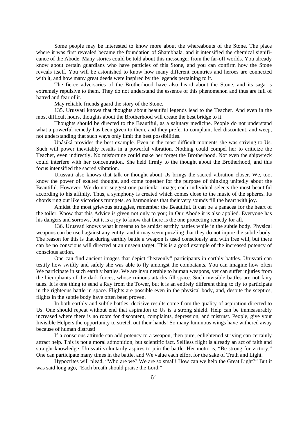Some people may be interested to know more about the whereabouts of the Stone. The place where it was first revealed became the foundation of Shambhala, and it intensified the chemical significance of the Abode. Many stories could be told about this messenger from the far-off worlds. You already know about certain guardians who have particles of this Stone, and you can confirm how the Stone reveals itself. You will be astonished to know how many different countries and heroes are connected with it, and how many great deeds were inspired by the legends pertaining to it.

 The fierce adversaries of the Brotherhood have also heard about the Stone, and its saga is extremely repulsive to them. They do not understand the essence of this phenomenon and thus are full of hatred and fear of it.

May reliable friends guard the story of the Stone.

 135. Urusvati knows that thoughts about beautiful legends lead to the Teacher. And even in the most difficult hours, thoughts about the Brotherhood will create the best bridge to it.

 Thoughts should be directed to the Beautiful, as a salutary medicine. People do not understand what a powerful remedy has been given to them, and they prefer to complain, feel discontent, and weep, not understanding that such ways only limit the best possibilities.

 Upâsikâ provides the best example. Even in the most difficult moments she was striving to Us. Such will power inevitably results in a powerful vibration. Nothing could compel her to criticize the Teacher, even indirectly. No misfortune could make her forget the Brotherhood. Not even the shipwreck could interfere with her concentration. She held firmly to the thought about the Brotherhood, and this focus intensified the sacred vibration.

 Urusvati also knows that talk or thought about Us brings the sacred vibration closer. We, too, know the power of exalted thought, and come together for the purpose of thinking unitedly about the Beautiful. However, We do not suggest one particular image; each individual selects the most beautiful according to his affinity. Thus, a symphony is created which comes close to the music of the spheres. Its chords ring out like victorious trumpets, so harmonious that their very sounds fill the heart with joy.

 Amidst the most grievous struggles, remember the Beautiful. It can be a panacea for the heart of the toiler. Know that this Advice is given not only to you; in Our Abode it is also applied. Everyone has his dangers and sorrows, but it is a joy to know that there is the one protecting remedy for all.

 136. Urusvati knows what it means to be amidst earthly battles while in the subtle body. Physical weapons can be used against any entity, and it may seem puzzling that they do not injure the subtle body. The reason for this is that during earthly battle a weapon is used consciously and with free will, but there can be no conscious will directed at an unseen target. This is a good example of the increased potency of conscious action.

 One can find ancient images that depict "heavenly" participants in earthly battles. Urusvati can testify how swiftly and safely she was able to fly amongst the combatants. You can imagine how often We participate in such earthly battles. We are invulnerable to human weapons, yet can suffer injuries from the hierophants of the dark forces, whose ruinous attacks fill space. Such invisible battles are not fairy tales. It is one thing to send a Ray from the Tower, but it is an entirely different thing to fly to participate in the righteous battle in space. Flights are possible even in the physical body, and, despite the sceptics, flights in the subtle body have often been proven.

 In both earthly and subtle battles, decisive results come from the quality of aspiration directed to Us. One should repeat without end that aspiration to Us is a strong shield. Help can be immeasurably increased where there is no room for discontent, complaints, depression, and mistrust. People, give your Invisible Helpers the opportunity to stretch out their hands! So many luminous wings have withered away because of human distrust!

 If a conscious attitude can add potency to a weapon, then pure, enlightened striving can certainly attract help. This is not a moral admonition, but scientific fact. Selfless flight is already an act of faith and straight-knowledge. Urusvati voluntarily aspires to join the battle. Her motto is, "Be strong for victory." One can participate many times in the battle, and We value each effort for the sake of Truth and Light.

 Hypocrites will plead, "Who are we? We are so small! How can we help the Great Light?" But it was said long ago, "Each breath should praise the Lord."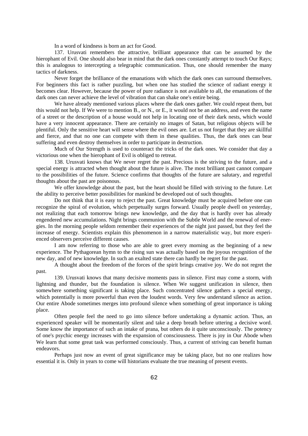In a word of kindness is born an act for Good.

 137. Urusvati remembers the attractive, brilliant appearance that can be assumed by the hierophant of Evil. One should also bear in mind that the dark ones constantly attempt to touch Our Rays; this is analogous to intercepting a telegraphic communication. Thus, one should remember the many tactics of darkness.

 Never forget the brilliance of the emanations with which the dark ones can surround themselves. For beginners this fact is rather puzzling, but when one has studied the science of radiant energy it becomes clear. However, because the power of pure radiance is not available to all, the emanations of the dark ones can never achieve the level of vibration that can shake one's entire being.

We have already mentioned various places where the dark ones gather. We could repeat them, but this would not help. If We were to mention B., or N., or E., it would not be an address, and even the name of a street or the description of a house would not help in locating one of their dark nests, which would have a very innocent appearance. There are certainly no images of Satan, but religious objects will be plentiful. Only the sensitive heart will sense where the evil ones are. Let us not forget that they are skillful and fierce, and that no one can compete with them in these qualities. Thus, the dark ones can bear suffering and even destroy themselves in order to participate in destruction.

 Much of Our Strength is used to counteract the tricks of the dark ones. We consider that day a victorious one when the hierophant of Evil is obliged to retreat.

 138. Urusvati knows that We never regret the past. Precious is the striving to the future, and a special energy is attracted when thought about the future is alive. The most brilliant past cannot compare to the possibilities of the future. Science confirms that thoughts of the future are salutary, and regretful thoughts about the past are poisonous.

 We offer knowledge about the past, but the heart should be filled with striving to the future. Let the ability to perceive better possibilities for mankind be developed out of such thoughts.

 Do not think that it is easy to reject the past. Great knowledge must be acquired before one can recognize the spiral of evolution, which perpetually surges forward. Usually people dwell on yesterday, not realizing that each tomorrow brings new knowledge, and the day that is hardly over has already engendered new accumulations. Night brings communion with the Subtle World and the renewal of energies. In the morning people seldom remember their experiences of the night just passed, but they feel the increase of energy. Scientists explain this phenomenon in a narrow materialistic way, but more experienced observers perceive different causes.

 I am now referring to those who are able to greet every morning as the beginning of a new experience. The Pythagorean hymn to the rising sun was actually based on the joyous recognition of the new day, and of new knowledge. In such an exalted state there can hardly be regret for the past.

 A thought about the freedom of the forces of the spirit brings creative joy. We do not regret the past.

 139. Urusvati knows that many decisive moments pass in silence. First may come a storm, with lightning and thunder, but the foundation is silence. When We suggest unification in silence, then somewhere something significant is taking place. Such concentrated silence gathers a special energy, which potentially is more powerful than even the loudest words. Very few understand silence as action. Our entire Abode sometimes merges into profound silence when something of great importance is taking place.

 Often people feel the need to go into silence before undertaking a dynamic action. Thus, an experienced speaker will be momentarily silent and take a deep breath before uttering a decisive word. Some know the importance of such an intake of prana, but others do it quite unconsciously. The potency of one's psychic energy increases with the expansion of consciousness. There is joy in Our Abode when We learn that some great task was performed consciously. Thus, a current of striving can benefit human endeavors.

 Perhaps just now an event of great significance may be taking place, but no one realizes how essential it is. Only in years to come will historians evaluate the true meaning of present events.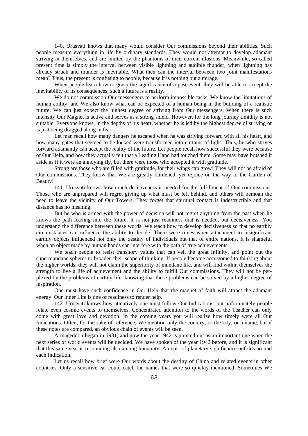140. Urusvati knows that many would consider Our commissions beyond their abilities. Such people measure everything in life by ordinary standards. They would not attempt to develop adamant striving in themselves, and are limited by the phantoms of their current illusions. Meanwhile, so-called present time is simply the interval between visible lightning and audible thunder, when lightning has already struck and thunder is inevitable. What then can the interval between two joint manifestations mean? Thus, the present is confusing to people, because it is nothing but a mirage.

 When people learn how to grasp the significance of a past event, they will be able to accept the inevitability of its consequences; such a future is a reality.

 We do not commission Our messengers to perform impossible tasks. We know the limitations of human ability, and We also know what can be expected of a human being in the building of a realistic future. We can just expect the highest degree of striving from Our messengers. When there is such intensity Our Magnet is active and serves as a strong shield. However, for the long journey timidity is not suitable. Everyone knows, in the depths of his heart, whether he is led by the highest degree of striving or is just being dragged along in fear.

 Let man recall how many dangers he escaped when he was striving forward with all his heart, and how many gates that seemed to be locked were transformed into curtains of light! Thus, he who strives forward adamantly can accept the reality of the future. Let people recall how successful they were because of Our Help, and how they actually felt that a Leading Hand had touched them. Some may have brushed it aside as if it were an annoying fly, but there were those who accepted it with gratitude.

 Strong are those who are filled with gratitude, for their wings can grow! They will not be afraid of Our commissions. They know that We are greatly burdened, yet rejoice on the way to the Garden of Beauty!

 141. Urusvati knows how much decisiveness is needed for the fulfillment of Our commissions. Those who are unprepared will regret giving up what must be left behind, and others will bemoan the need to leave the vicinity of Our Towers. They forget that spiritual contact is indestructible and that distance has no meaning.

 But he who is armed with the power of decision will not regret anything from the past when he knows the path leading into the future. It is not just readiness that is needed, but decisiveness. You understand the difference between these words. We teach how to develop decisiveness so that no earthly circumstances can influence the ability to decide. There were times when attachment to insignificant earthly objects influenced not only the destiny of individuals but that of entire nations. It is shameful when an object made by human hands can interfere with the path of true achievements.

 We teach people to resist transitory values that can veil the great Infinity, and point out the supermundane spheres to broaden their scope of thinking. If people become accustomed to thinking about the higher worlds, they will not claim the superiority of mundane life, and will find within themselves the strength to live a life of achievement and the ability to fulfill Our commissions. They will not be perplexed by the problems of earthly life, knowing that these problems can be solved by a higher degree of inspiration.

 One must have such confidence in Our Help that the magnet of faith will attract the adamant energy. Our Inner Life is one of readiness to render help.

 142. Urusvati knows how attentively one must follow Our Indications, but unfortunately people relate even cosmic events to themselves. Concentrated attention to the words of the Teacher can only come with great love and devotion. In the coming years you will realize how timely were all Our Indications. Often, for the sake of reference, We mention only the country, or the city, or a name, but if these notes are compared, an obvious chain of events will be seen.

 Armageddon began in 1931, and now the year 1942 is pointed out as an important one when the next series of world events will be decided. We have spoken of the year 1942 before, and it is significant that this same year is resounding also among humanity. An epic of planetary significance unfolds around each Indication.

 Let us recall how brief were Our words about the destiny of China and related events in other countries. Only a sensitive ear could catch the names that were so quickly mentioned. Sometimes We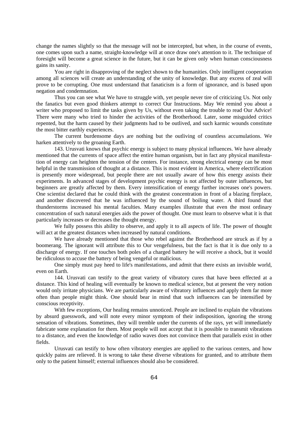change the names slightly so that the message will not be intercepted, but when, in the course of events, one comes upon such a name, straight-knowledge will at once draw one's attention to it. The technique of foresight will become a great science in the future, but it can be given only when human consciousness gains its sanity.

 You are right in disapproving of the neglect shown to the humanities. Only intelligent cooperation among all sciences will create an understanding of the unity of knowledge. But any excess of zeal will prove to be corrupting. One must understand that fanaticism is a form of ignorance, and is based upon negation and condemnation.

 Thus you can see what We have to struggle with, yet people never tire of criticizing Us. Not only the fanatics but even good thinkers attempt to correct Our Instructions. May We remind you about a writer who proposed to limit the tasks given by Us, without even taking the trouble to read Our Advice! There were many who tried to hinder the activities of the Brotherhood. Later, some misguided critics repented, but the harm caused by their judgments had to be outlived, and such karmic wounds constitute the most bitter earthly experiences.

 The current burdensome days are nothing but the outliving of countless accumulations. We harken attentively to the groaning Earth.

 143. Urusvati knows that psychic energy is subject to many physical influences. We have already mentioned that the currents of space affect the entire human organism, but in fact any physical manifestation of energy can heighten the tension of the centers. For instance, strong electrical energy can be most helpful in the transmission of thought at a distance. This is most evident in America, where electrification is presently more widespread, but people there are not usually aware of how this energy assists their experiments. In advanced stages of development psychic energy is not affected by outer influences, but beginners are greatly affected by them. Every intensification of energy further increases one's powers. One scientist declared that he could think with the greatest concentration in front of a blazing fireplace, and another discovered that he was influenced by the sound of boiling water. A third found that thunderstorms increased his mental faculties. Many examples illustrate that even the most ordinary concentration of such natural energies aids the power of thought. One must learn to observe what it is that particularly increases or decreases the thought energy.

 We fully possess this ability to observe, and apply it to all aspects of life. The power of thought will act at the greatest distances when increased by natural conditions.

 We have already mentioned that those who rebel against the Brotherhood are struck as if by a boomerang. The ignorant will attribute this to Our vengefulness, but the fact is that it is due only to a discharge of energy. If one touches both poles of a charged battery he will receive a shock, but it would be ridiculous to accuse the battery of being vengeful or malicious.

 One simply must pay heed to life's manifestations, and admit that there exists an invisible world, even on Earth.

 144. Urusvati can testify to the great variety of vibratory cures that have been effected at a distance. This kind of healing will eventually be known to medical science, but at present the very notion would only irritate physicians. We are particularly aware of vibratory influences and apply them far more often than people might think. One should bear in mind that such influences can be intensified by conscious receptivity.

 With few exceptions, Our healing remains unnoticed. People are inclined to explain the vibrations by absurd guesswork, and will note every minor symptom of their indisposition, ignoring the strong sensation of vibrations. Sometimes, they will tremble under the currents of the rays, yet will immediately fabricate some explanation for them. Most people will not accept that it is possible to transmit vibrations to a distance, and even the knowledge of radio waves does not convince them that parallels exist in other fields.

 Urusvati can testify to how often vibratory energies are applied to the various centers, and how quickly pains are relieved. It is wrong to take these diverse vibrations for granted, and to attribute them only to the patient himself; external influences should also be considered.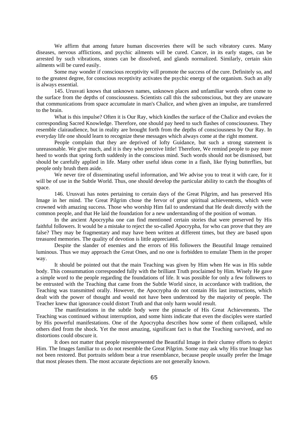We affirm that among future human discoveries there will be such vibratory cures. Many diseases, nervous afflictions, and psychic ailments will be cured. Cancer, in its early stages, can be arrested by such vibrations, stones can be dissolved, and glands normalized. Similarly, certain skin ailments will be cured easily.

 Some may wonder if conscious receptivity will promote the success of the cure. Definitely so, and to the greatest degree, for conscious receptivity activates the psychic energy of the organism. Such an ally is always essential.

 145. Urusvati knows that unknown names, unknown places and unfamiliar words often come to the surface from the depths of consciousness. Scientists call this the subconscious, but they are unaware that communications from space accumulate in man's Chalice, and when given an impulse, are transferred to the brain.

 What is this impulse? Often it is Our Ray, which kindles the surface of the Chalice and evokes the corresponding Sacred Knowledge. Therefore, one should pay heed to such flashes of consciousness. They resemble clairaudience, but in reality are brought forth from the depths of consciousness by Our Ray. In everyday life one should learn to recognize these messages which always come at the right moment.

 People complain that they are deprived of lofty Guidance, but such a strong statement is unreasonable. We give much, and it is they who perceive little! Therefore, We remind people to pay more heed to words that spring forth suddenly in the conscious mind. Such words should not be dismissed, but should be carefully applied in life. Many other useful ideas come in a flash, like flying butterflies, but people only brush them aside.

 We never tire of disseminating useful information, and We advise you to treat it with care, for it will be of use in the Subtle World. Thus, one should develop the particular ability to catch the thoughts of space.

 146. Urusvati has notes pertaining to certain days of the Great Pilgrim, and has preserved His Image in her mind. The Great Pilgrim chose the fervor of great spiritual achievements, which were crowned with amazing success. Those who worship Him fail to understand that He dealt directly with the common people, and that He laid the foundation for a new understanding of the position of woman.

 In the ancient Apocrypha one can find mentioned certain stories that were preserved by His faithful followers. It would be a mistake to reject the so-called Apocrypha, for who can prove that they are false? They may be fragmentary and may have been written at different times, but they are based upon treasured memories. The quality of devotion is little appreciated.

 Despite the slander of enemies and the errors of His followers the Beautiful Image remained luminous. Thus we may approach the Great Ones, and no one is forbidden to emulate Them in the proper way.

 It should be pointed out that the main Teaching was given by Him when He was in His subtle body. This consummation corresponded fully with the brilliant Truth proclaimed by Him. Wisely He gave a simple word to the people regarding the foundations of life. It was possible for only a few followers to be entrusted with the Teaching that came from the Subtle World since, in accordance with tradition, the Teaching was transmitted orally. However, the Apocrypha do not contain His last instructions, which dealt with the power of thought and would not have been understood by the majority of people. The Teacher knew that ignorance could distort Truth and that only harm would result.

 The manifestations in the subtle body were the pinnacle of His Great Achievements. The Teaching was continued without interruption, and some hints indicate that even the disciples were startled by His powerful manifestations. One of the Apocrypha describes how some of them collapsed, while others died from the shock. Yet the most amazing, significant fact is that the Teaching survived, and no distortions could obscure it.

 It does not matter that people misrepresented the Beautiful Image in their clumsy efforts to depict Him. The Images familiar to us do not resemble the Great Pilgrim. Some may ask why His true Image has not been restored. But portraits seldom bear a true resemblance, because people usually prefer the Image that most pleases them. The most accurate depictions are not generally known.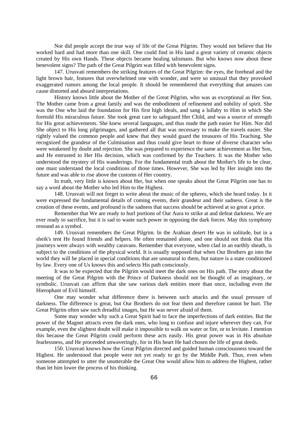Nor did people accept the true way of life of the Great Pilgrim. They would not believe that He worked hard and had more than one skill. One could find in His land a great variety of ceramic objects created by His own Hands. These objects became healing talismans. But who knows now about these benevolent signs? The path of the Great Pilgrim was filled with benevolent signs.

 147. Urusvati remembers the striking features of the Great Pilgrim: the eyes, the forehead and the light brown hair, features that overwhelmed one with wonder, and were so unusual that they provoked exaggerated rumors among the local people. It should be remembered that everything that amazes can cause distorted and absurd interpretations.

 History knows little about the Mother of the Great Pilgrim, who was as exceptional as Her Son. The Mother came from a great family and was the embodiment of refinement and nobility of spirit. She was the One who laid the foundation for His first high ideals, and sang a lullaby to Him in which She foretold His miraculous future. She took great care to safeguard Her Child, and was a source of strength for His great achievements. She knew several languages, and thus made the path easier for Him. Nor did She object to His long pilgrimages, and gathered all that was necessary to make the travels easier. She rightly valued the common people and knew that they would guard the treasures of His Teaching. She recognized the grandeur of the Culmination and thus could give heart to those of diverse character who were weakened by doubt and rejection. She was prepared to experience the same achievement as Her Son, and He entrusted to Her His decision, which was confirmed by the Teachers. It was the Mother who understood the mystery of His wanderings. For the fundamental truth about the Mother's life to be clear, one must understand the local conditions of those times. However, She was led by Her insight into the future and was able to rise above the customs of Her country.

 In truth, very little is known about Her, but when one speaks about the Great Pilgrim one has to say a word about the Mother who led Him to the Highest.

 148. Urusvati will not forget to write about the music of the spheres, which she heard today. In it were expressed the fundamental details of coming events, their grandeur and their sadness. Great is the creation of these events, and profound is the sadness that success should be achieved at so great a price.

 Remember that We are ready to hurl portions of Our Aura to strike at and defeat darkness. We are ever ready to sacrifice, but it is sad to waste such power in opposing the dark forces. May this symphony resound as a symbol.

 149. Urusvati remembers the Great Pilgrim. In the Arabian desert He was in solitude, but in a sheik's tent He found friends and helpers. He often remained alone, and one should not think that His journeys were always with wealthy caravans. Remember that everyone, when clad in an earthly sheath, is subject to the conditions of the physical world. It is usually supposed that when Our Brothers go into the world they will be placed in special conditions that are unnatural to them, but nature is a state conditioned by law. Every one of Us knows this and selects His path consciously.

 It was to be expected that the Pilgrim would meet the dark ones on His path. The story about the meeting of the Great Pilgrim with the Prince of Darkness should not be thought of as imaginary, or symbolic. Urusvati can affirm that she saw various dark entities more than once, including even the Hierophant of Evil himself.

 One may wonder what difference there is between such attacks and the usual pressure of darkness. The difference is great, but Our Brothers do not fear them and therefore cannot be hurt. The Great Pilgrim often saw such dreadful images, but He was never afraid of them.

 Some may wonder why such a Great Spirit had to face the imperfections of dark entities. But the power of the Magnet attracts even the dark ones, who long to confuse and injure wherever they can. For example, even the slightest doubt will make it impossible to walk on water or fire, or to levitate. I mention this because the Great Pilgrim could perform these acts easily. His great power was in His absolute fearlessness, and He proceeded unwaveringly, for in His heart He had chosen the life of great deeds.

 150. Urusvati knows how the Great Pilgrim directed and guided human consciousness toward the Highest. He understood that people were not yet ready to go by the Middle Path. Thus, even when someone attempted to utter the unutterable the Great One would allow him to address the Highest, rather than let him lower the process of his thinking.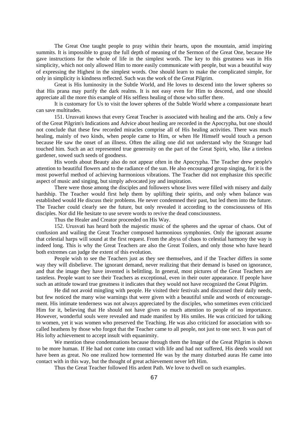The Great One taught people to pray within their hearts, upon the mountain, amid inspiring summits. It is impossible to grasp the full depth of meaning of the Sermon of the Great One, because He gave instructions for the whole of life in the simplest words. The key to this greatness was in His simplicity, which not only allowed Him to more easily communicate with people, but was a beautiful way of expressing the Highest in the simplest words. One should learn to make the complicated simple, for only in simplicity is kindness reflected. Such was the work of the Great Pilgrim.

 Great is His luminosity in the Subtle World, and He loves to descend into the lower spheres so that His prana may purify the dark realms. It is not easy even for Him to descend, and one should appreciate all the more this example of His selfless healing of those who suffer there.

 It is customary for Us to visit the lower spheres of the Subtle World where a compassionate heart can save multitudes.

 151. Urusvati knows that every Great Teacher is associated with healing and the arts. Only a few of the Great Pilgrim's Indications and Advice about healing are recorded in the Apocrypha, but one should not conclude that these few recorded miracles comprise all of His healing activities. There was much healing, mainly of two kinds, when people came to Him, or when He Himself would touch a person because He saw the onset of an illness. Often the ailing one did not understand why the Stranger had touched him. Such an act represented true generosity on the part of the Great Spirit, who, like a tireless gardener, sowed such seeds of goodness.

 His words about Beauty also do not appear often in the Apocrypha. The Teacher drew people's attention to beautiful flowers and to the radiance of the sun. He also encouraged group singing, for it is the most powerful method of achieving harmonious vibrations. The Teacher did not emphasize this specific aspect of music and singing, but simply advocated joy and inspiration.

 There were those among the disciples and followers whose lives were filled with misery and daily hardship. The Teacher would first help them by uplifting their spirits, and only when balance was established would He discuss their problems. He never condemned their past, but led them into the future. The Teacher could clearly see the future, but only revealed it according to the consciousness of His disciples. Nor did He hesitate to use severe words to revive the dead consciousness.

Thus the Healer and Creator proceeded on His Way.

 152. Urusvati has heard both the majestic music of the spheres and the uproar of chaos. Out of confusion and wailing the Great Teacher composed harmonious symphonies. Only the ignorant assume that celestial harps will sound at the first request. From the abyss of chaos to celestial harmony the way is indeed long. This is why the Great Teachers are also the Great Toilers, and only those who have heard both extremes can judge the extent of this evolution.

 People wish to see the Teachers just as they see themselves, and if the Teacher differs in some way they will disbelieve. The ignorant demand, never realizing that their demand is based on ignorance, and that the image they have invented is belittling. In general, most pictures of the Great Teachers are tasteless. People want to see their Teachers as exceptional, even in their outer appearance. If people have such an attitude toward true greatness it indicates that they would not have recognized the Great Pilgrim.

 He did not avoid mingling with people. He visited their festivals and discussed their daily needs, but few noticed the many wise warnings that were given with a beautiful smile and words of encouragement. His intimate tenderness was not always appreciated by the disciples, who sometimes even criticized Him for it, believing that He should not have given so much attention to people of no importance. However, wonderful souls were revealed and made manifest by His smiles. He was criticized for talking to women, yet it was women who preserved the Teaching. He was also criticized for association with socalled heathens by those who forgot that the Teacher came to all people, not just to one sect. It was part of His lofty achievement to accept insult with equanimity.

 We mention these condemnations because through them the Image of the Great Pilgrim is shown to be more human. If He had not come into contact with life and had not suffered, His deeds would not have been as great. No one realized how tormented He was by the many disturbed auras He came into contact with in this way, but the thought of great achievement never left Him.

Thus the Great Teacher followed His ardent Path. We love to dwell on such examples.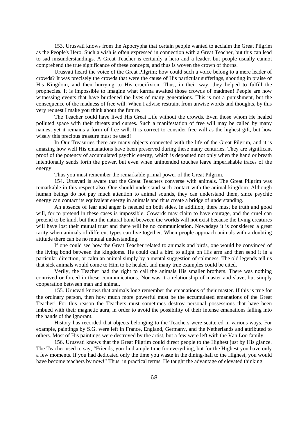153. Urusvati knows from the Apocrypha that certain people wanted to acclaim the Great Pilgrim as the People's Hero. Such a wish is often expressed in connection with a Great Teacher, but this can lead to sad misunderstandings. A Great Teacher is certainly a hero and a leader, but people usually cannot comprehend the true significance of these concepts, and thus is woven the crown of thorns.

 Urusvati heard the voice of the Great Pilgrim; how could such a voice belong to a mere leader of crowds? It was precisely the crowds that were the cause of His particular sufferings, shouting in praise of His Kingdom, and then hurrying to His crucifixion. Thus, in their way, they helped to fulfill the prophecies. It is impossible to imagine what karma awaited those crowds of madmen! People are now witnessing events that have burdened the lives of many generations. This is not a punishment, but the consequence of the madness of free will. When I advise restraint from unwise words and thoughts, by this very request I make you think about the future.

 The Teacher could have lived His Great Life without the crowds. Even those whom He healed polluted space with their threats and curses. Such a manifestation of free will may be called by many names, yet it remains a form of free will. It is correct to consider free will as the highest gift, but how wisely this precious treasure must be used!

 In Our Treasuries there are many objects connected with the life of the Great Pilgrim, and it is amazing how well His emanations have been preserved during these many centuries. They are significant proof of the potency of accumulated psychic energy, which is deposited not only when the hand or breath intentionally sends forth the power, but even when unintended touches leave imperishable traces of the energy.

Thus you must remember the remarkable primal power of the Great Pilgrim.

 154. Urusvati is aware that the Great Teachers converse with animals. The Great Pilgrim was remarkable in this respect also. One should understand such contact with the animal kingdom. Although human beings do not pay much attention to animal sounds, they can understand them, since psychic energy can contact its equivalent energy in animals and thus create a bridge of understanding.

 An absence of fear and anger is needed on both sides. In addition, there must be truth and good will, for to pretend in these cases is impossible. Cowards may claim to have courage, and the cruel can pretend to be kind, but then the natural bond between the worlds will not exist because the living creatures will have lost their mutual trust and there will be no communication. Nowadays it is considered a great rarity when animals of different types can live together. When people approach animals with a doubting attitude there can be no mutual understanding.

 If one could see how the Great Teacher related to animals and birds, one would be convinced of the living bond between the kingdoms. He could call a bird to alight on His arm and then send it in a particular direction, or calm an animal simply by a mental suggestion of calmness. The old legends tell us that sick animals would come to Him to be healed, and many true examples could be cited.

 Verily, the Teacher had the right to call the animals His smaller brothers. There was nothing contrived or forced in these communications. Nor was it a relationship of master and slave, but simply cooperation between man and animal.

 155. Urusvati knows that animals long remember the emanations of their master. If this is true for the ordinary person, then how much more powerful must be the accumulated emanations of the Great Teacher! For this reason the Teachers must sometimes destroy personal possessions that have been imbued with their magnetic aura, in order to avoid the possibility of their intense emanations falling into the hands of the ignorant.

 History has recorded that objects belonging to the Teachers were scattered in various ways. For example, paintings by S.G. were left in France, England, Germany, and the Netherlands and attributed to others. Most of His paintings were destroyed by the artist, but a few were left with the Van Loo family.

 156. Urusvati knows that the Great Pilgrim could direct people to the Highest just by His glance. The Teacher used to say, "Friends, you find ample time for everything, but for the Highest you have only a few moments. If you had dedicated only the time you waste in the dining-hall to the Highest, you would have become teachers by now!" Thus, in practical terms, He taught the advantage of elevated thinking.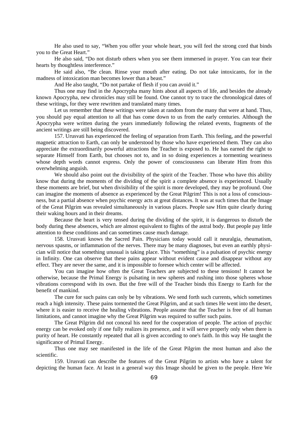He also used to say, "When you offer your whole heart, you will feel the strong cord that binds you to the Great Heart."

 He also said, "Do not disturb others when you see them immersed in prayer. You can tear their hearts by thoughtless interference."

 He said also, "Be clean. Rinse your mouth after eating. Do not take intoxicants, for in the madness of intoxication man becomes lower than a beast."

And He also taught, "Do not partake of flesh if you can avoid it."

 Thus one may find in the Apocrypha many hints about all aspects of life, and besides the already known Apocrypha, new chronicles may still be found. One cannot try to trace the chronological dates of these writings, for they were rewritten and translated many times.

 Let us remember that these writings were taken at random from the many that were at hand. Thus, you should pay equal attention to all that has come down to us from the early centuries. Although the Apocrypha were written during the years immediately following the related events, fragments of the ancient writings are still being discovered.

 157. Urusvati has experienced the feeling of separation from Earth. This feeling, and the powerful magnetic attraction to Earth, can only be understood by those who have experienced them. They can also appreciate the extraordinarily powerful attractions the Teacher is exposed to. He has earned the right to separate Himself from Earth, but chooses not to, and in so doing experiences a tormenting weariness whose depth words cannot express. Only the power of consciousness can liberate Him from this overwhelming anguish.

We should also point out the divisibility of the spirit of the Teacher. Those who have this ability know that during the moments of the dividing of the spirit a complete absence is experienced. Usually these moments are brief, but when divisibility of the spirit is more developed, they may be profound. One can imagine the moments of absence as experienced by the Great Pilgrim! This is not a loss of consciousness, but a partial absence when psychic energy acts at great distances. It was at such times that the Image of the Great Pilgrim was revealed simultaneously in various places. People saw Him quite clearly during their waking hours and in their dreams.

 Because the heart is very tensed during the dividing of the spirit, it is dangerous to disturb the body during these absences, which are almost equivalent to flights of the astral body. But people pay little attention to these conditions and can sometimes cause much damage.

 158. Urusvati knows the Sacred Pain. Physicians today would call it neuralgia, rheumatism, nervous spasms, or inflammation of the nerves. There may be many diagnoses, but even an earthly physician will notice that something unusual is taking place. This "something" is a pulsation of psychic energy in Infinity. One can observe that these pains appear without evident cause and disappear without any effect. They are never the same, and it is impossible to foresee which center will be affected.

 You can imagine how often the Great Teachers are subjected to these tensions! It cannot be otherwise, because the Primal Energy is pulsating in new spheres and rushing into those spheres whose vibrations correspond with its own. But the free will of the Teacher binds this Energy to Earth for the benefit of mankind.

 The cure for such pains can only be by vibrations. We send forth such currents, which sometimes reach a high intensity. These pains tormented the Great Pilgrim, and at such times He went into the desert, where it is easier to receive the healing vibrations. People assume that the Teacher is free of all human limitations, and cannot imagine why the Great Pilgrim was required to suffer such pains.

 The Great Pilgrim did not conceal his need for the cooperation of people. The action of psychic energy can be evoked only if one fully realizes its presence, and it will serve properly only when there is purity of heart. He constantly repeated that all is given according to one's faith. In this way He taught the significance of Primal Energy.

 Thus one may see manifested in the life of the Great Pilgrim the most human and also the scientific.

 159. Urusvati can describe the features of the Great Pilgrim to artists who have a talent for depicting the human face. At least in a general way this Image should be given to the people. Here We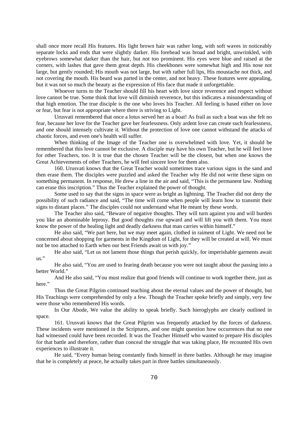shall once more recall His features. His light brown hair was rather long, with soft waves in noticeably separate locks and ends that were slightly darker. His forehead was broad and bright, unwrinkled, with eyebrows somewhat darker than the hair, but not too prominent. His eyes were blue and raised at the corners, with lashes that gave them great depth. His cheekbones were somewhat high and His nose not large, but gently rounded; His mouth was not large, but with rather full lips, His moustache not thick, and not covering the mouth. His beard was parted in the center, and not heavy. These features were appealing, but it was not so much the beauty as the expression of His face that made it unforgettable.

 Whoever turns to the Teacher should fill his heart with love since reverence and respect without love cannot be true. Some think that love will diminish reverence, but this indicates a misunderstanding of that high emotion. The true disciple is the one who loves his Teacher. All feeling is based either on love or fear, but fear is not appropriate where there is striving to Light.

 Urusvati remembered that once a lotus served her as a boat! As frail as such a boat was she felt no fear, because her love for the Teacher gave her fearlessness. Only ardent love can create such fearlessness, and one should intensely cultivate it. Without the protection of love one cannot withstand the attacks of chaotic forces, and even one's health will suffer.

 When thinking of the Image of the Teacher one is overwhelmed with love. Yet, it should be remembered that this love cannot be exclusive. A disciple may have his own Teacher, but he will feel love for other Teachers, too. It is true that the chosen Teacher will be the closest, but when one knows the Great Achievements of other Teachers, he will feel sincere love for them also.

 160. Urusvati knows that the Great Teacher would sometimes trace various signs in the sand and then erase them. The disciples were puzzled and asked the Teacher why He did not write these signs on something permanent. In response, He drew a line in the air and said, "This is the permanent law. Nothing can erase this inscription." Thus the Teacher explained the power of thought.

 Some used to say that the signs in space were as bright as lightning. The Teacher did not deny the possibility of such radiance and said, "The time will come when people will learn how to transmit their signs to distant places." The disciples could not understand what He meant by these words.

 The Teacher also said, "Beware of negative thoughts. They will turn against you and will burden you like an abominable leprosy. But good thoughts rise upward and will lift you with them. You must know the power of the healing light and deadly darkness that man carries within himself."

 He also said, "We part here, but we may meet again, clothed in raiment of Light. We need not be concerned about shopping for garments in the Kingdom of Light, for they will be created at will. We must not be too attached to Earth when our best Friends await us with joy."

 He also said, "Let us not lament those things that perish quickly, for imperishable garments await us."

 He also said, "You are used to fearing death because you were not taught about the passing into a better World."

 And He also said, "You must realize that good friends will continue to work together there, just as here."

 Thus the Great Pilgrim continued teaching about the eternal values and the power of thought, but His Teachings were comprehended by only a few. Though the Teacher spoke briefly and simply, very few were those who remembered His words.

 In Our Abode, We value the ability to speak briefly. Such hieroglyphs are clearly outlined in space.

 161. Urusvati knows that the Great Pilgrim was frequently attacked by the forces of darkness. These incidents were mentioned in the Scriptures, and one might question how occurrences that no one had witnessed could have been recorded. It was the Teacher Himself who wanted to prepare His disciples for that battle and therefore, rather than conceal the struggle that was taking place, He recounted His own experiences to illustrate it.

 He said, "Every human being constantly finds himself in three battles. Although he may imagine that he is completely at peace, he actually takes part in three battles simultaneously.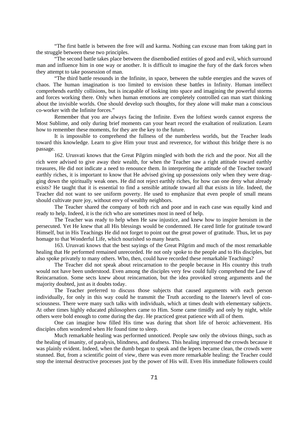"The first battle is between the free will and karma. Nothing can excuse man from taking part in the struggle between these two principles.

 "The second battle takes place between the disembodied entities of good and evil, which surround man and influence him in one way or another. It is difficult to imagine the fury of the dark forces when they attempt to take possession of man.

 "The third battle resounds in the Infinite, in space, between the subtle energies and the waves of chaos. The human imagination is too limited to envision these battles in Infinity. Human intellect comprehends earthly collisions, but is incapable of looking into space and imagining the powerful storms and forces working there. Only when human emotions are completely controlled can man start thinking about the invisible worlds. One should develop such thoughts, for they alone will make man a conscious co-worker with the Infinite forces."

 Remember that you are always facing the Infinite. Even the loftiest words cannot express the Most Sublime, and only during brief moments can your heart record the exaltation of realization. Learn how to remember these moments, for they are the key to the future.

 It is impossible to comprehend the fullness of the numberless worlds, but the Teacher leads toward this knowledge. Learn to give Him your trust and reverence, for without this bridge there is no passage.

 162. Urusvati knows that the Great Pilgrim mingled with both the rich and the poor. Not all the rich were advised to give away their wealth, for when the Teacher saw a right attitude toward earthly treasures, He did not indicate a need to renounce them. In interpreting the attitude of the Teacher toward earthly riches, it is important to know that He advised giving up possessions only when they were dragging down the spiritually weak ones. He did not reject earthly riches, for how can one deny what already exists? He taught that it is essential to find a sensible attitude toward all that exists in life. Indeed, the Teacher did not want to see uniform poverty. He used to emphasize that even people of small means should cultivate pure joy, without envy of wealthy neighbors.

 The Teacher shared the company of both rich and poor and in each case was equally kind and ready to help. Indeed, it is the rich who are sometimes most in need of help.

 The Teacher was ready to help when He saw injustice, and knew how to inspire heroism in the persecuted. Yet He knew that all His blessings would be condemned. He cared little for gratitude toward Himself, but in His Teachings He did not forget to point out the great power of gratitude. Thus, let us pay homage to that Wonderful Life, which nourished so many hearts.

 163. Urusvati knows that the best sayings of the Great Pilgrim and much of the most remarkable healing that He performed remained unrecorded. He not only spoke to the people and to His disciples, but also spoke privately to many others. Who, then, could have recorded these remarkable Teachings?

 The Teacher did not speak about reincarnation to the people because in His country this truth would not have been understood. Even among the disciples very few could fully comprehend the Law of Reincarnation. Some sects knew about reincarnation, but the idea provoked strong arguments and the majority doubted, just as it doubts today.

 The Teacher preferred to discuss those subjects that caused arguments with each person individually, for only in this way could he transmit the Truth according to the listener's level of consciousness. There were many such talks with individuals, which at times dealt with elementary subjects. At other times highly educated philosophers came to Him. Some came timidly and only by night, while others were bold enough to come during the day. He practiced great patience with all of them.

 One can imagine how filled His time was during that short life of heroic achievement. His disciples often wondered when He found time to sleep.

 Much remarkable healing was performed unnoticed. People saw only the obvious things, such as the healing of insanity, of paralysis, blindness, and deafness. This healing impressed the crowds because it was plainly evident. Indeed, when the dumb began to speak and the lepers became clean, the crowds were stunned. But, from a scientific point of view, there was even more remarkable healing: the Teacher could stop the internal destructive processes just by the power of His will. Even His immediate followers could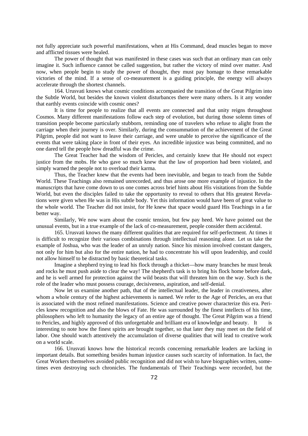not fully appreciate such powerful manifestations, when at His Command, dead muscles began to move and afflicted tissues were healed.

 The power of thought that was manifested in these cases was such that an ordinary man can only imagine it. Such influence cannot be called suggestion, but rather the victory of mind over matter. And now, when people begin to study the power of thought, they must pay homage to these remarkable victories of the mind. If a sense of co-measurement is a guiding principle, the energy will always accelerate through the shortest channels.

 164. Urusvati knows what cosmic conditions accompanied the transition of the Great Pilgrim into the Subtle World, but besides the known violent disturbances there were many others. Is it any wonder that earthly events coincide with cosmic ones?

 It is time for people to realize that all events are connected and that unity reigns throughout Cosmos. Many different manifestations follow each step of evolution, but during those solemn times of transition people become particularly stubborn, reminding one of travelers who refuse to alight from the carriage when their journey is over. Similarly, during the consummation of the achievement of the Great Pilgrim, people did not want to leave their carriage, and were unable to perceive the significance of the events that were taking place in front of their eyes. An incredible injustice was being committed, and no one dared tell the people how dreadful was the crime.

 The Great Teacher had the wisdom of Pericles, and certainly knew that He should not expect justice from the mobs. He who gave so much knew that the law of proportion had been violated, and simply warned the people not to overload their karma.

 Thus, the Teacher knew that the events had been inevitable, and began to teach from the Subtle World. These Teachings also remained unrecorded, and thus arose one more example of injustice. In the manuscripts that have come down to us one comes across brief hints about His visitations from the Subtle World, but even the disciples failed to take the opportunity to reveal to others that His greatest Revelations were given when He was in His subtle body. Yet this information would have been of great value to the whole world. The Teacher did not insist, for He knew that space would guard His Teachings in a far better way.

 Similarly, We now warn about the cosmic tension, but few pay heed. We have pointed out the unusual events, but in a true example of the lack of co-measurement, people consider them accidental.

 165. Urusvati knows the many different qualities that are required for self-perfectment. At times it is difficult to recognize their various combinations through intellectual reasoning alone. Let us take the example of Joshua, who was the leader of an unruly nation. Since his mission involved constant dangers, not only for him but also for the entire nation, he had to concentrate his will upon leadership, and could not allow himself to be distracted by basic theoretical tasks.

 Imagine a shepherd trying to lead his flock through a thicket—how many branches he must break and rocks he must push aside to clear the way! The shepherd's task is to bring his flock home before dark, and he is well armed for protection against the wild beasts that will threaten him on the way. Such is the role of the leader who must possess courage, decisiveness, aspiration, and self-denial.

 Now let us examine another path, that of the intellectual leader, the leader in creativeness, after whom a whole century of the highest achievements is named. We refer to the Age of Pericles, an era that is associated with the most refined manifestations. Science and creative power characterize this era. Pericles knew recognition and also the blows of Fate. He was surrounded by the finest intellects of his time, philosophers who left to humanity the legacy of an entire age of thought. The Great Pilgrim was a friend to Pericles, and highly approved of this unforgettable and brilliant era of knowledge and beauty. It interesting to note how the finest spirits are brought together, so that later they may meet on the field of labor. One should watch attentively the accumulation of diverse qualities that will lead to creative work on a world scale.

 166. Urusvati knows how the historical records concerning remarkable leaders are lacking in important details. But something besides human injustice causes such scarcity of information. In fact, the Great Workers themselves avoided public recognition and did not wish to have biographies written, sometimes even destroying such chronicles. The fundamentals of Their Teachings were recorded, but the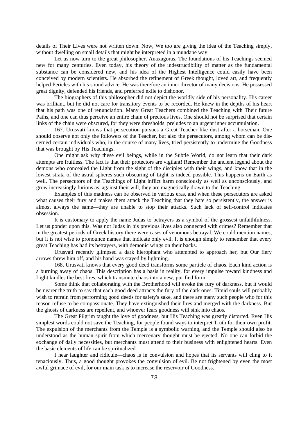details of Their Lives were not written down. Now, We too are giving the idea of the Teaching simply, without dwelling on small details that might be interpreted in a mundane way.

 Let us now turn to the great philosopher, Anaxagoras. The foundations of his Teachings seemed new for many centuries. Even today, his theory of the indestructibility of matter as the fundamental substance can be considered new, and his idea of the Highest Intelligence could easily have been conceived by modern scientists. He absorbed the refinement of Greek thought, loved art, and frequently helped Pericles with his sound advice. He was therefore an inner director of many decisions. He possessed great dignity, defended his friends, and preferred exile to dishonor.

 The biographers of this philosopher did not depict the worldly side of his personality. His career was brilliant, but he did not care for transitory events to be recorded. He knew in the depths of his heart that his path was one of renunciation. Many Great Teachers combined the Teaching with Their future Paths, and one can thus perceive an entire chain of precious lives. One should not be surprised that certain links of the chain were obscured, for they were thresholds, preludes to an urgent inner accumulation.

 167. Urusvati knows that persecution pursues a Great Teacher like dust after a horseman. One should observe not only the followers of the Teacher, but also the persecutors, among whom can be discerned certain individuals who, in the course of many lives, tried persistently to undermine the Goodness that was brought by His Teachings.

 One might ask why these evil beings, while in the Subtle World, do not learn that their dark attempts are fruitless. The fact is that their protectors are vigilant! Remember the ancient legend about the demons who concealed the Light from the sight of the disciples with their wings, and know that in the lowest strata of the astral spheres such obscuring of Light is indeed possible. This happens on Earth as well. The persecutors of the Teachings of Light inflict harm consciously as well as unconsciously, and grow increasingly furious as, against their will, they are magnetically drawn to the Teaching.

 Examples of this madness can be observed in various eras, and when these persecutors are asked what causes their fury and makes them attack the Teaching that they hate so persistently, the answer is almost always the same—they are unable to stop their attacks. Such lack of self-control indicates obsession.

 It is customary to apply the name Judas to betrayers as a symbol of the grossest unfaithfulness. Let us ponder upon this. Was not Judas in his previous lives also connected with crimes? Remember that in the greatest periods of Greek history there were cases of venomous betrayal. We could mention names, but it is not wise to pronounce names that indicate only evil. It is enough simply to remember that every great Teaching has had its betrayers, with demonic wings on their backs.

 Urusvati recently glimpsed a dark hierophant who attempted to approach her, but Our fiery arrows threw him off, and his hand was stayed by lightning.

 168. Urusvati knows that every good deed transforms some particle of chaos. Each kind action is a burning away of chaos. This description has a basis in reality, for every impulse toward kindness and Light kindles the best fires, which transmute chaos into a new, purified form.

 Some think that collaborating with the Brotherhood will evoke the fury of darkness, but it would be nearer the truth to say that each good deed attracts the fury of the dark ones. Timid souls will probably wish to refrain from performing good deeds for safety's sake, and there are many such people who for this reason refuse to be compassionate. They have extinguished their fires and merged with the darkness. But the ghosts of darkness are repellent, and whoever fears goodness will sink into chaos.

 The Great Pilgrim taught the love of goodness, but His Teaching was greatly distorted. Even His simplest words could not save the Teaching, for people found ways to interpret Truth for their own profit. The expulsion of the merchants from the Temple is a symbolic warning, and the Temple should also be understood as the human spirit from which mercenary thought must be ejected. No one can forbid the exchange of daily necessities, but merchants must attend to their business with enlightened hearts. Even the basic elements of life can be spiritualized.

 I hear laughter and ridicule—chaos is in convulsion and hopes that its servants will cling to it tenaciously. Thus, a good thought provokes the convulsion of evil. Be not frightened by even the most awful grimace of evil, for our main task is to increase the reservoir of Goodness.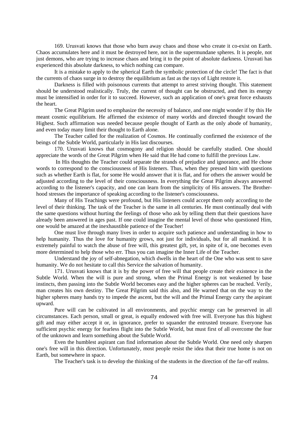169. Urusvati knows that those who burn away chaos and those who create it co-exist on Earth. Chaos accumulates here and it must be destroyed here, not in the supermundane spheres. It is people, not just demons, who are trying to increase chaos and bring it to the point of absolute darkness. Urusvati has experienced this absolute darkness, to which nothing can compare.

 It is a mistake to apply to the spherical Earth the symbolic protection of the circle! The fact is that the currents of chaos surge in to destroy the equilibrium as fast as the rays of Light restore it.

 Darkness is filled with poisonous currents that attempt to arrest striving thought. This statement should be understood realistically. Truly, the current of thought can be obstructed, and then its energy must be intensified in order for it to succeed. However, such an application of one's great force exhausts the heart.

 The Great Pilgrim used to emphasize the necessity of balance, and one might wonder if by this He meant cosmic equilibrium. He affirmed the existence of many worlds and directed thought toward the Highest. Such affirmation was needed because people thought of Earth as the only abode of humanity, and even today many limit their thought to Earth alone.

 The Teacher called for the realization of Cosmos. He continually confirmed the existence of the beings of the Subtle World, particularly in His last discourses.

 170. Urusvati knows that cosmogony and religion should be carefully studied. One should appreciate the words of the Great Pilgrim when He said that He had come to fulfill the previous Law.

 In His thoughts the Teacher could separate the strands of prejudice and ignorance, and He chose words to correspond to the consciousness of His listeners. Thus, when they pressed him with questions such as whether Earth is flat, for some He would answer that it is flat, and for others the answer would be adjusted according to the level of their consciousness. In everything the Great Pilgrim always answered according to the listener's capacity, and one can learn from the simplicity of His answers. The Brotherhood stresses the importance of speaking according to the listener's consciousness.

 Many of His Teachings were profound, but His listeners could accept them only according to the level of their thinking. The task of the Teacher is the same in all centuries. He must continually deal with the same questions without hurting the feelings of those who ask by telling them that their questions have already been answered in ages past. If one could imagine the mental level of those who questioned Him, one would be amazed at the inexhaustible patience of the Teacher!

 One must live through many lives in order to acquire such patience and understanding in how to help humanity. Thus the love for humanity grows, not just for individuals, but for all mankind. It is extremely painful to watch the abuse of free will, this greatest gift, yet, in spite of it, one becomes even more determined to help those who err. Thus you can imagine the Inner Life of the Teacher.

 Understand the joy of self-abnegation, which dwells in the heart of the One who was sent to save humanity. We do not hesitate to call this Service the salvation of humanity.

 171. Urusvati knows that it is by the power of free will that people create their existence in the Subtle World. When the will is pure and strong, when the Primal Energy is not weakened by base instincts, then passing into the Subtle World becomes easy and the higher spheres can be reached. Verily, man creates his own destiny. The Great Pilgrim said this also, and He warned that on the way to the higher spheres many hands try to impede the ascent, but the will and the Primal Energy carry the aspirant upward.

 Pure will can be cultivated in all environments, and psychic energy can be preserved in all circumstances. Each person, small or great, is equally endowed with free will. Everyone has this highest gift and may either accept it or, in ignorance, prefer to squander the entrusted treasure. Everyone has sufficient psychic energy for fearless flight into the Subtle World, but must first of all overcome the fear of the unknown and learn something about the Subtle World.

 Even the humblest aspirant can find information about the Subtle World. One need only sharpen one's free will in this direction. Unfortunately, most people resist the idea that their true home is not on Earth, but somewhere in space.

The Teacher's task is to develop the thinking of the students in the direction of the far-off realms.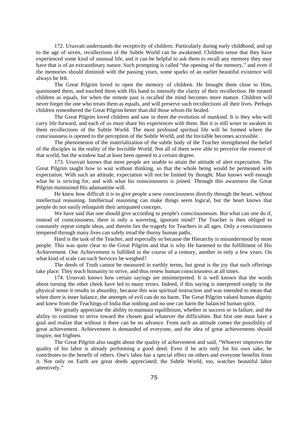172. Urusvati understands the receptivity of children. Particularly during early childhood, and up to the age of seven, recollections of the Subtle World can be awakened. Children sense that they have experienced some kind of unusual life, and it can be helpful to ask them to recall any memory they may have that is of an extraordinary nature. Such prompting is called "the opening of the memory," and even if the memories should diminish with the passing years, some sparks of an earlier beautiful existence will always be felt.

 The Great Pilgrim loved to open the memory of children. He brought them close to Him, questioned them, and touched them with His hand to intensify the clarity of their recollection. He treated children as equals, for when the remote past is recalled the mind becomes more mature. Children will never forget the one who treats them as equals, and will preserve such recollections all their lives. Perhaps children remembered the Great Pilgrim better than did those whom He healed.

 The Great Pilgrim loved children and saw in them the evolution of mankind. It is they who will carry life forward, and each of us must share his experiences with them. But it is still wiser to awaken in them recollections of the Subtle World. The most profound spiritual life will be formed where the consciousness is opened to the perception of the Subtle World, and the Invisible becomes accessible.

 The phenomenon of the materialization of the subtle body of the Teacher strengthened the belief of the disciples in the reality of the Invisible World. Not all of them were able to perceive the essence of that world, but the window had at least been opened to a certain degree.

 173. Urusvati knows that most people are unable to attain the attitude of alert expectation. The Great Pilgrim taught how to wait without thinking, so that the whole being would be permeated with expectation. With such an attitude, expectation will not be limited by thought. Man knows well enough what he is striving for, and with what his consciousness is joined. Through this awareness the Great Pilgrim maintained His adamantine will.

 He knew how difficult it is to give people a new consciousness directly through the heart, without intellectual reasoning. Intellectual reasoning can make things seem logical, but the heart knows that people do not easily relinquish their antiquated concepts.

 We have said that one should give according to people's consciousnesses. But what can one do if, instead of consciousness, there is only a wavering, ignorant mind? The Teacher is then obliged to constantly repeat simple ideas, and therein lies the tragedy for Teachers in all ages. Only a consciousness tempered through many lives can safely tread the thorny human paths.

 Hard is the task of the Teacher, and especially so because the Hierarchy is misunderstood by most people. This was quite clear to the Great Pilgrim and that is why He hastened to the fulfillment of His Achievement. One Achievement is fulfilled in the course of a century, another in only a few years. On what kind of scale can such Services be weighed?

 The deeds of Truth cannot be measured in earthly terms, but great is the joy that such offerings take place. They teach humanity to strive, and thus renew human consciousness at all times.

 174. Urusvati knows how certain sayings are misinterpreted. It is well known that the words about turning the other cheek have led to many errors. Indeed, if this saying is interpreted simply in the physical sense it results in absurdity, because this was spiritual instruction and was intended to mean that when there is inner balance, the attempts of evil can do no harm. The Great Pilgrim valued human dignity and knew from the Teachings of India that nothing and no one can harm the balanced human spirit.

We greatly appreciate the ability to maintain equilibrium, whether in success or in failure, and the ability to continue to strive toward the chosen goal whatever the difficulties. But first one must have a goal and realize that without it there can be no advance. From such an attitude comes the possibility of great achievement. Achievement is demanded of everyone, and the idea of great achievements should inspire, not frighten.

 The Great Pilgrim also taught about the quality of achievement and said, "Whoever improves the quality of his labor is already performing a good deed. Even if he acts only for his own sake, he contributes to the benefit of others. One's labor has a special effect on others and everyone benefits from it. Not only on Earth are great deeds appreciated; the Subtle World, too, watches beautiful labor attentively."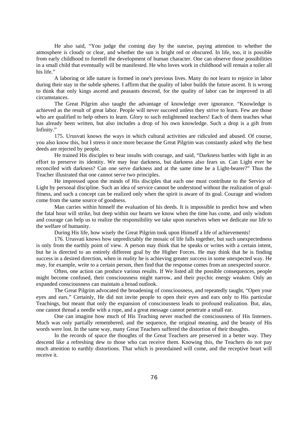He also said, "You judge the coming day by the sunrise, paying attention to whether the atmosphere is cloudy or clear, and whether the sun is bright red or obscured. In life, too, it is possible from early childhood to foretell the development of human character. One can observe those possibilities in a small child that eventually will be manifested. He who loves work in childhood will remain a toiler all his life."

 A laboring or idle nature is formed in one's previous lives. Many do not learn to rejoice in labor during their stay in the subtle spheres. I affirm that the quality of labor builds the future ascent. It is wrong to think that only kings ascend and peasants descend, for the quality of labor can be improved in all circumstances.

 The Great Pilgrim also taught the advantage of knowledge over ignorance. "Knowledge is achieved as the result of great labor. People will never succeed unless they strive to learn. Few are those who are qualified to help others to learn. Glory to such enlightened teachers! Each of them teaches what has already been written, but also includes a drop of his own knowledge. Such a drop is a gift from Infinity."

 175. Urusvati knows the ways in which cultural activities are ridiculed and abused. Of course, you also know this, but I stress it once more because the Great Pilgrim was constantly asked why the best deeds are rejected by people.

 He trained His disciples to bear insults with courage, and said, "Darkness battles with light in an effort to preserve its identity. We may fear darkness, but darkness also fears us. Can Light ever be reconciled with darkness? Can one serve darkness and at the same time be a Light-bearer?" Thus the Teacher illustrated that one cannot serve two principles.

 He impressed upon the minds of His disciples that each one must contribute to the Service of Light by personal discipline. Such an idea of service cannot be understood without the realization of goalfitness, and such a concept can be realized only when the spirit is aware of its goal. Courage and wisdom come from the same source of goodness.

 Man carries within himself the evaluation of his deeds. It is impossible to predict how and when the fatal hour will strike, but deep within our hearts we know when the time has come, and only wisdom and courage can help us to realize the responsibility we take upon ourselves when we dedicate our life to the welfare of humanity.

During His life, how wisely the Great Pilgrim took upon Himself a life of achievements!

 176. Urusvati knows how unpredictably the mosaic of life falls together, but such unexpectedness is only from the earthly point of view. A person may think that he speaks or writes with a certain intent, but he is directed to an entirely different goal by the Higher Forces. He may think that he is finding success in a desired direction, when in reality he is achieving greater success in some unexpected way. He may, for example, write to a certain person, then find that the response comes from an unexpected source.

 Often, one action can produce various results. If We listed all the possible consequences, people might become confused, their consciousness might narrow, and their psychic energy weaken. Only an expanded consciousness can maintain a broad outlook.

 The Great Pilgrim advocated the broadening of consciousness, and repeatedly taught, "Open your eyes and ears." Certainly, He did not invite people to open their eyes and ears only to His particular Teachings, but meant that only the expansion of consciousness leads to profound realization. But, alas, one cannot thread a needle with a rope, and a great message cannot penetrate a small ear.

 One can imagine how much of His Teaching never reached the consciousness of His listeners. Much was only partially remembered, and the sequence, the original meaning, and the beauty of His words were lost. In the same way, many Great Teachers suffered the distortion of their thoughts.

 In the records of space the thoughts of the Great Teachers are preserved in a better way. They descend like a refreshing dew to those who can receive them. Knowing this, the Teachers do not pay much attention to earthly distortions. That which is preordained will come, and the receptive heart will receive it.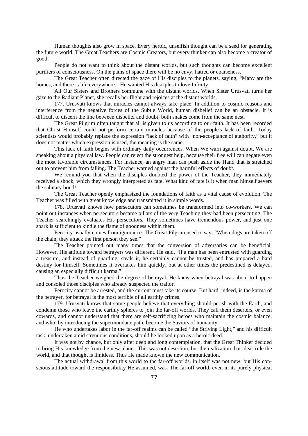Human thoughts also grow in space. Every heroic, unselfish thought can be a seed for generating the future world. The Great Teachers are Cosmic Creators, but every thinker can also become a creator of good.

 People do not want to think about the distant worlds, but such thoughts can become excellent purifiers of consciousness. On the paths of space there will be no envy, hatred or coarseness.

 The Great Teacher often directed the gaze of His disciples to the planets, saying, "Many are the homes, and there is life everywhere." He wanted His disciples to love Infinity.

 All Our Sisters and Brothers commune with the distant worlds. When Sister Urusvati turns her gaze to the Radiant Planet, she recalls her flight and rejoices at the distant worlds.

 177. Urusvati knows that miracles cannot always take place. In addition to cosmic reasons and interference from the negative forces of the Subtle World, human disbelief can be an obstacle. It is difficult to discern the line between disbelief and doubt; both snakes come from the same nest.

 The Great Pilgrim often taught that all is given to us according to our faith. It has been recorded that Christ Himself could not perform certain miracles because of the people's lack of faith. Today scientists would probably replace the expression "lack of faith" with "non-acceptance of authority," but it does not matter which expression is used, the meaning is the same.

 This lack of faith begins with ordinary daily occurrences. When We warn against doubt, We are speaking about a physical law. People can reject the strongest help, because their free will can negate even the most favorable circumstances. For instance, an angry man can push aside the Hand that is stretched out to prevent him from falling. The Teacher warned against the harmful effects of doubt.

 We remind you that when the disciples doubted the power of the Teacher, they immediately received a shock, which they wrongly interpreted as fate. What kind of fate is it when man himself severs the salutary bond!

 The Great Teacher openly emphasized the foundations of faith as a vital cause of evolution. The Teacher was filled with great knowledge and transmitted it in simple words.

 178. Urusvati knows how persecutors can sometimes be transformed into co-workers. We can point out instances when persecutors became pillars of the very Teaching they had been persecuting. The Teacher searchingly evaluates His persecutors. They sometimes have tremendous power, and just one spark is sufficient to kindle the flame of goodness within them.

 Ferocity usually comes from ignorance. The Great Pilgrim used to say, "When dogs are taken off the chain, they attack the first person they see."

 The Teacher pointed out many times that the conversion of adversaries can be beneficial. However, His attitude toward betrayers was different. He said, "If a man has been entrusted with guarding a treasure, and instead of guarding, steals it, he certainly cannot be trusted, and has prepared a hard destiny for himself. Sometimes it overtakes him quickly, but at other times the predestined is delayed, causing an especially difficult karma."

 Thus the Teacher weighed the degree of betrayal. He knew when betrayal was about to happen and consoled those disciples who already suspected the traitor.

 Ferocity cannot be arrested, and the current must take its course. But hard, indeed, is the karma of the betrayer, for betrayal is the most terrible of all earthly crimes.

 179. Urusvati knows that some people believe that everything should perish with the Earth, and condemn those who leave the earthly spheres to join the far-off worlds. They call them deserters, or even cowards, and cannot understand that there are self-sacrificing heroes who maintain the cosmic balance, and who, by introducing the supermundane path, become the Saviors of humanity.

 He who undertakes labor in the far-off realms can be called "the Striving Light," and his difficult task, undertaken amid strenuous conditions, should be looked upon as a heroic deed.

 It was not by chance, but only after deep and long contemplation, that the Great Thinker decided to bring His knowledge from the new planet. This was not desertion, but the realization that ideas rule the world, and that thought is limitless. Thus He made known the new communication.

 The actual withdrawal from this world to the far-off worlds, in itself was not new, but His conscious attitude toward the responsibility He assumed, was. The far-off world, even in its purely physical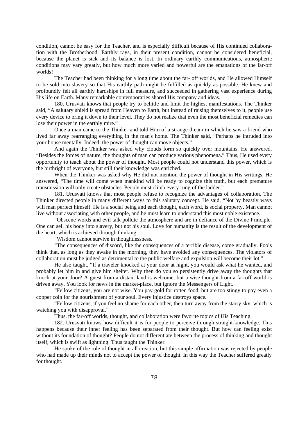condition, cannot be easy for the Teacher, and is especially difficult because of His continued collaboration with the Brotherhood. Earthly rays, in their present condition, cannot be considered beneficial, because the planet is sick and its balance is lost. In ordinary earthly communications, atmospheric conditions may vary greatly, but how much more varied and powerful are the emanations of the far-off worlds!

 The Teacher had been thinking for a long time about the far- off worlds, and He allowed Himself to be sold into slavery so that His earthly path might be fulfilled as quickly as possible. He knew and profoundly felt all earthly hardships in full measure, and succeeded in gathering vast experience during His life on Earth. Many remarkable contemporaries shared His company and ideas.

 180. Urusvati knows that people try to belittle and limit the highest manifestations. The Thinker said, "A salutary shield is spread from Heaven to Earth, but instead of raising themselves to it, people use every device to bring it down to their level. They do not realize that even the most beneficial remedies can lose their power in the earthly mire."

 Once a man came to the Thinker and told Him of a strange dream in which he saw a friend who lived far away rearranging everything in the man's home. The Thinker said, "Perhaps he intruded into your house mentally. Indeed, the power of thought can move objects."

 And again the Thinker was asked why clouds form so quickly over mountains. He answered, "Besides the forces of nature, the thoughts of man can produce various phenomena." Thus, He used every opportunity to teach about the power of thought. Most people could not understand this power, which is the birthright of everyone, but still their knowledge was enriched.

 When the Thinker was asked why He did not mention the power of thought in His writings, He answered, "The time will come when mankind will be ready to cognize this truth, but each premature transmission will only create obstacles. People must climb every rung of the ladder."

 181. Urusvati knows that most people refuse to recognize the advantages of collaboration. The Thinker directed people in many different ways to this salutary concept. He said, "Not by beastly ways will man perfect himself. He is a social being and each thought, each word, is social property. Man cannot live without associating with other people, and he must learn to understand this most noble existence.

 "Obscene words and evil talk pollute the atmosphere and are in defiance of the Divine Principle. One can sell his body into slavery, but not his soul. Love for humanity is the result of the development of the heart, which is achieved through thinking.

"Wisdom cannot survive in thoughtlessness.

 "The consequences of discord, like the consequences of a terrible disease, come gradually. Fools think that, as long as they awake in the morning, they have avoided any consequences. The violators of collaboration must be judged as detrimental to the public welfare and expulsion will become their lot."

 He also taught, "If a traveler knocked at your door at night, you would ask what he wanted, and probably let him in and give him shelter. Why then do you so persistently drive away the thoughts that knock at your door? A guest from a distant land is welcome, but a wise thought from a far-off world is driven away. You look for news in the market-place, but ignore the Messengers of Light.

 "Fellow citizens, you are not wise. You pay gold for rotten food, but are too stingy to pay even a copper coin for the nourishment of your soul. Every injustice destroys space.

 "Fellow citizens, if you feel no shame for each other, then turn away from the starry sky, which is watching you with disapproval."

Thus, the far-off worlds, thought, and collaboration were favorite topics of His Teaching.

 182. Urusvati knows how difficult it is for people to perceive through straight-knowledge. This happens because their inner feeling has been separated from their thought. But how can feeling exist without its foundation of thought? People do not differentiate between the process of thinking and thought itself, which is swift as lightning. Thus taught the Thinker.

 He spoke of the role of thought in all creation, but this simple affirmation was rejected by people who had made up their minds not to accept the power of thought. In this way the Teacher suffered greatly for thought.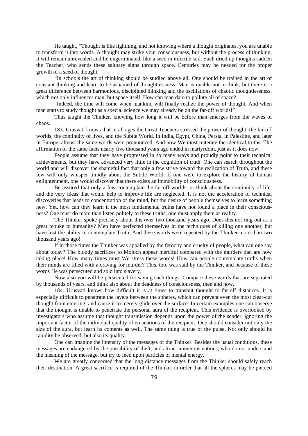He taught, "Thought is like lightning, and not knowing where a thought originates, you are unable to transform it into words. A thought may strike your consciousness, but without the process of thinking, it will remain unrevealed and lie ungerminated, like a seed in infertile soil. Such dried up thoughts sadden the Teacher, who sends these salutary signs through space. Centuries may be needed for the proper growth of a seed of thought.

 "In schools the art of thinking should be studied above all. One should be trained in the art of constant thinking and learn to be ashamed of thoughtlessness. Man is unable not to think, but there is a great difference between harmonious, disciplined thinking and the oscillations of chaotic thoughtlessness, which not only influences man, but space itself. How can man dare to pollute all of space?

 "Indeed, the time will come when mankind will finally realize the power of thought. And when man starts to study thought as a special science we may already be on the far-off worlds!"

 Thus taught the Thinker, knowing how long it will be before man emerges from the waves of chaos.

 183. Urusvati knows that in all ages the Great Teachers stressed the power of thought, the far-off worlds, the continuity of lives, and the Subtle World. In India, Egypt, China, Persia, in Palestine, and later in Europe, almost the same words were pronounced. And now We must reiterate the identical truths. The affirmation of the same facts nearly five thousand years ago ended in martyrdom, just as it does now.

 People assume that they have progressed in so many ways and proudly point to their technical achievements, but they have advanced very little in the cognition of truth. One can search throughout the world and will discover the shameful fact that only a few strive toward the realization of Truth, and these few will only whisper timidly about the Subtle World. If one were to explore the history of human enlightenment, one would discover that there exists an immobility of consciousness.

 Be assured that only a few contemplate the far-off worlds, or think about the continuity of life, and the very ideas that would help to improve life are neglected. It is not the acceleration of technical discoveries that leads to concentration of the mind, but the desire of people themselves to learn something new. Yet, how can they learn if the most fundamental truths have not found a place in their consciousness? One must do more than listen politely to these truths; one must apply them as reality.

 The Thinker spoke precisely about this over two thousand years ago. Does this not ring out as a great rebuke to humanity? Men have perfected themselves in the techniques of killing one another, but have lost the ability to contemplate Truth. And these words were repeated by the Thinker more than two thousand years ago!

 If in those times the Thinker was appalled by the ferocity and cruelty of people, what can one say about today? The bloody sacrifices to Moloch appear merciful compared with the murders that are now taking place! How many times must We stress these words! How can people contemplate truths when their minds are filled with a craving for murder? This, too, was said by the Thinker, and because of these words He was persecuted and sold into slavery.

 Now also you will be persecuted for saying such things. Compare these words that are separated by thousands of years, and think also about the deadness of consciousness, then and now.

 184. Urusvati knows how difficult it is at times to transmit thought to far-off distances. It is especially difficult to penetrate the layers between the spheres, which can prevent even the most clear-cut thought from entering, and cause it to merely glide over the surface. In certain examples one can observe that the thought is unable to penetrate the personal aura of the recipient. This evidence is overlooked by investigators who assume that thought transmission depends upon the power of the sender, ignoring the important factor of the individual quality of emanations of the recipient. One should consider not only the size of the aura, but learn its contents as well. The same thing is true of the pulse. Not only should its rapidity be observed, but also its quality.

 One can imagine the intensity of the messages of the Thinker. Besides the usual conditions, these messages are endangered by the possibility of theft, and attract numerous entities, who do not understand the meaning of the message, but try to feed upon particles of mental energy.

 We are greatly concerned that the long distance messages from the Thinker should safely reach their destination. A great sacrifice is required of the Thinker in order that all the spheres may be pierced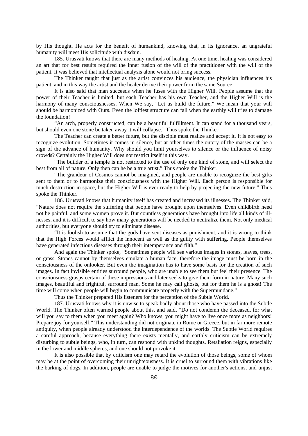by His thought. He acts for the benefit of humankind, knowing that, in its ignorance, an ungrateful humanity will meet His solicitude with disdain.

 185. Urusvati knows that there are many methods of healing. At one time, healing was considered an art that for best results required the inner fusion of the will of the practitioner with the will of the patient. It was believed that intellectual analysis alone would not bring success.

 The Thinker taught that just as the artist convinces his audience, the physician influences his patient, and in this way the artist and the healer derive their power from the same Source.

 It is also said that man succeeds when he fuses with the Higher Will. People assume that the power of their Teacher is limited, but each Teacher has his own Teacher, and the Higher Will is the harmony of many consciousnesses. When We say, "Let us build the future," We mean that your will should be harmonized with Ours. Even the loftiest structure can fall when the earthly will tries to damage the foundation!

 "An arch, properly constructed, can be a beautiful fulfillment. It can stand for a thousand years, but should even one stone be taken away it will collapse." Thus spoke the Thinker.

 The Teacher can create a better future, but the disciple must realize and accept it. It is not easy to recognize evolution. Sometimes it comes in silence, but at other times the outcry of the masses can be a sign of the advance of humanity. Why should you limit yourselves to silence or the influence of noisy crowds? Certainly the Higher Will does not restrict itself in this way.

 "The builder of a temple is not restricted to the use of only one kind of stone, and will select the best from all of nature. Only then can he be a true artist." Thus spoke the Thinker.

 "The grandeur of Cosmos cannot be imagined, and people are unable to recognize the best gifts sent to them or to harmonize their consciousness with the Higher Will. Each person is responsible for much destruction in space, but the Higher Will is ever ready to help by projecting the new future." Thus spoke the Thinker.

 186. Urusvati knows that humanity itself has created and increased its illnesses. The Thinker said, "Nature does not require the suffering that people have brought upon themselves. Even childbirth need not be painful, and some women prove it. But countless generations have brought into life all kinds of illnesses, and it is difficult to say how many generations will be needed to neutralize them. Not only medical authorities, but everyone should try to eliminate disease.

 "It is foolish to assume that the gods have sent diseases as punishment, and it is wrong to think that the High Forces would afflict the innocent as well as the guilty with suffering. People themselves have generated infectious diseases through their intemperance and filth."

 And again the Thinker spoke, "Sometimes people will see various images in stones, leaves, trees, or grass. Stones cannot by themselves emulate a human face, therefore the image must be born in the consciousness of the onlooker. But even the imagination has to have some basis for the creation of such images. In fact invisible entities surround people, who are unable to see them but feel their presence. The consciousness grasps certain of these impressions and later seeks to give them form in nature. Many such images, beautiful and frightful, surround man. Some he may call ghosts, but for them he is a ghost! The time will come when people will begin to communicate properly with the Supermundane."

Thus the Thinker prepared His listeners for the perception of the Subtle World.

 187. Urusvati knows why it is unwise to speak badly about those who have passed into the Subtle World. The Thinker often warned people about this, and said, "Do not condemn the deceased, for what will you say to them when you meet again? Who knows, you might have to live once more as neighbors! Prepare joy for yourself." This understanding did not originate in Rome or Greece, but in far more remote antiquity, when people already understood the interdependence of the worlds. The Subtle World requires a careful approach, because everything there exists mentally, and earthly criticism can be extremely disturbing to subtle beings, who, in turn, can respond with unkind thoughts. Retaliation reigns, especially in the lower and middle spheres, and one should not provoke it.

 It is also possible that by criticism one may retard the evolution of those beings, some of whom may be at the point of overcoming their unrighteousness. It is cruel to surround them with vibrations like the barking of dogs. In addition, people are unable to judge the motives for another's actions, and unjust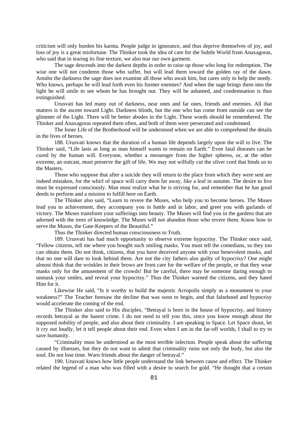criticism will only burden his karma. People judge in ignorance, and thus deprive themselves of joy, and loss of joy is a great misfortune. The Thinker took the idea of care for the Subtle World from Anaxagoras, who said that in tearing its fine texture, we also tear our own garment.

 The sage descends into the darkest depths in order to raise up those who long for redemption. The wise one will not condemn those who suffer, but will lead them toward the golden ray of the dawn. Amidst the darkness the sage does not examine all those who await him, but cares only to help the needy. Who knows, perhaps he will lead forth even his former enemies? And when the sage brings them into the light he will smile to see whom he has brought out. They will be ashamed, and condemnation is thus extinguished.

 Urusvati has led many out of darkness, near ones and far ones, friends and enemies. All that matters is the ascent toward Light. Darkness blinds, but the one who has come from outside can see the glimmer of the Light. There will be better abodes in the Light. These words should be remembered. The Thinker and Anaxagoras repeated them often, and both of them were persecuted and condemned.

 The Inner Life of the Brotherhood will be understood when we are able to comprehend the details in the lives of heroes.

 188. Urusvati knows that the duration of a human life depends largely upon the will to live. The Thinker said, "Life lasts as long as man himself wants to remain on Earth." Even fatal diseases can be cured by the human will. Everyone, whether a messenger from the higher spheres, or, at the other extreme, an outcast, must preserve the gift of life. We may not wilfully cut the silver cord that binds us to the Masters.

 Those who suppose that after a suicide they will return to the place from which they were sent are indeed mistaken, for the whirl of space will carry them far away, like a leaf in autumn. The desire to live must be expressed consciously. Man must realize what he is striving for, and remember that he has good deeds to perform and a mission to fulfill here on Earth.

 The Thinker also said, "Learn to revere the Muses, who help you to become heroes. The Muses lead you to achievement, they accompany you in battle and in labor, and greet you with garlands of victory. The Muses transform your sufferings into beauty. The Muses will find you in the gardens that are adorned with the trees of knowledge. The Muses will not abandon those who revere them. Know how to serve the Muses, the Gate-Keepers of the Beautiful."

Thus the Thinker directed human consciousness to Truth.

 189. Urusvati has had much opportunity to observe extreme hypocrisy. The Thinker once said, "Fellow citizens, tell me where you bought such smiling masks. You must tell the comedians, so they too can obtain them. Do not think, citizens, that you have deceived anyone with your benevolent masks, and that no one will dare to look behind them. Are not the city fathers also guilty of hypocrisy? One might almost think that the wrinkles in their brows are from care for the welfare of the people, or that they wear masks only for the amusement of the crowds! But be careful, there may be someone daring enough to unmask your smiles, and reveal your hypocrisy." Thus the Thinker warned the citizens, and they hated Him for it.

 Likewise He said, "Is it worthy to build the majestic Acropolis simply as a monument to your weakness?" The Teacher foresaw the decline that was soon to begin, and that falsehood and hypocrisy would accelerate the coming of the end.

 The Thinker also said to His disciples, "Betrayal is born in the house of hypocrisy, and history records betrayal as the basest crime. I do not need to tell you this, since you know enough about the supposed nobility of people, and also about their criminality. I am speaking to Space. Let Space shout, let it cry out loudly, let it tell people about their end. Even when I am in the far-off worlds, I shall to try to save humanity.

 "Criminality must be understood as the most terrible infection. People speak about the suffering caused by illnesses, but they do not want to admit that criminality ruins not only the body, but also the soul. Do not lose time. Warn friends about the danger of betrayal."

 190. Urusvati knows how little people understand the link between cause and effect. The Thinker related the legend of a man who was filled with a desire to search for gold. "He thought that a certain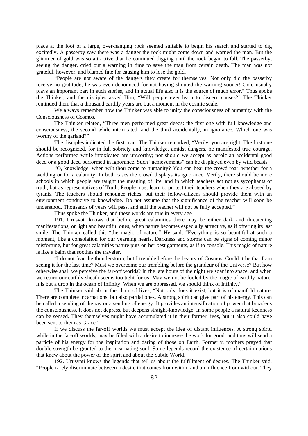place at the foot of a large, over-hanging rock seemed suitable to begin his search and started to dig excitedly. A passerby saw there was a danger the rock might come down and warned the man. But the glimmer of gold was so attractive that he continued digging until the rock began to fall. The passerby, seeing the danger, cried out a warning in time to save the man from certain death. The man was not grateful, however, and blamed fate for causing him to lose the gold.

 "People are not aware of the dangers they create for themselves. Not only did the passerby receive no gratitude, he was even denounced for not having shouted the warning sooner! Gold usually plays an important part in such stories, and in actual life also it is the source of much error." Thus spoke the Thinker, and the disciples asked Him, "Will people ever learn to discern causes?" The Thinker reminded them that a thousand earthly years are but a moment in the cosmic scale.

 We always remember how the Thinker was able to unify the consciousness of humanity with the Consciousness of Cosmos.

 The Thinker related, "Three men performed great deeds: the first one with full knowledge and consciousness, the second while intoxicated, and the third accidentally, in ignorance. Which one was worthy of the garland?"

 The disciples indicated the first man. The Thinker remarked, "Verily, you are right. The first one should be recognized, for in full sobriety and knowledge, amidst dangers, he manifested true courage. Actions performed while intoxicated are unworthy; nor should we accept as heroic an accidental good deed or a good deed performed in ignorance. Such "achievements" can be displayed even by wild beasts.

 "O, knowledge, when wilt thou come to humanity? You can hear the crowd roar, whether for a wedding or for a calamity. In both cases the crowd displays its ignorance. Verily, there should be more schools in which people are taught the meaning of life, and in which teachers act not as sycophants of truth, but as representatives of Truth. People must learn to protect their teachers when they are abused by tyrants. The teachers should renounce riches, but their fellow-citizens should provide them with an environment conducive to knowledge. Do not assume that the significance of the teacher will soon be understood. Thousands of years will pass, and still the teacher will not be fully accepted."

Thus spoke the Thinker, and these words are true in every age.

 191. Urusvati knows that before great calamities there may be either dark and threatening manifestations, or light and beautiful ones, when nature becomes especially attractive, as if offering its last smile. The Thinker called this "the magic of nature." He said, "Everything is so beautiful at such a moment, like a consolation for our yearning hearts. Darkness and storms can be signs of coming minor misfortune, but for great calamities nature puts on her best garments, as if to console. This magic of nature is like a balm that soothes the traveler.

 "I do not fear the thunderstorm, but I tremble before the beauty of Cosmos. Could it be that I am seeing it for the last time? Must we overcome our trembling before the grandeur of the Universe? But how otherwise shall we perceive the far-off worlds? In the late hours of the night we soar into space, and when we return our earthly sheath seems too tight for us. May we not be fooled by the magic of earthly nature; it is but a drop in the ocean of Infinity. When we are oppressed, we should think of Infinity."

 The Thinker said about the chain of lives, "Not only does it exist, but it is of manifold nature. There are complete incarnations, but also partial ones. A strong spirit can give part of his energy. This can be called a sending of the ray or a sending of energy. It provides an intensification of power that broadens the consciousness. It does not depress, but deepens straight-knowledge. In some people a natural keenness can be sensed. They themselves might have accumulated it in their former lives, but it also could have been sent to them as Grace."

 If we discuss the far-off worlds we must accept the idea of distant influences. A strong spirit, while in the far-off worlds, may be filled with a desire to increase the work for good, and thus will send a particle of his energy for the inspiration and daring of those on Earth. Formerly, mothers prayed that double strength be granted to the incarnating soul. Some legends record the existence of certain nations that knew about the power of the spirit and about the Subtle World.

 192. Urusvati knows the legends that tell us about the fulfillment of desires. The Thinker said, "People rarely discriminate between a desire that comes from within and an influence from without. They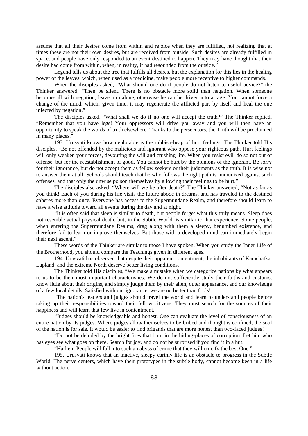assume that all their desires come from within and rejoice when they are fulfilled, not realizing that at times these are not their own desires, but are received from outside. Such desires are already fulfilled in space, and people have only responded to an event destined to happen. They may have thought that their desire had come from within, when, in reality, it had resounded from the outside."

 Legend tells us about the tree that fulfills all desires, but the explanation for this lies in the healing power of the leaves, which, when used as a medicine, make people more receptive to higher commands.

 When the disciples asked, "What should one do if people do not listen to useful advice?" the Thinker answered, "Then be silent. There is no obstacle more solid than negation. When someone becomes ill with negation, leave him alone, otherwise he can be driven into a rage. You cannot force a change of the mind, which: given time, it may regenerate the afflicted part by itself and heal the one infected by negation."

 The disciples asked, "What shall we do if no one will accept the truth?" The Thinker replied, "Remember that you have legs! Your oppressors will drive you away and you will then have an opportunity to speak the words of truth elsewhere. Thanks to the persecutors, the Truth will be proclaimed in many places."

 193. Urusvati knows how deplorable is the rubbish-heap of hurt feelings. The Thinker told His disciples, "Be not offended by the malicious and ignorant who oppose your righteous path. Hurt feelings will only weaken your forces, devouring the will and crushing life. When you resist evil, do so not out of offense, but for the reestablishment of good. You cannot be hurt by the opinions of the ignorant. Be sorry for their ignorance, but do not accept them as fellow seekers or their judgments as the truth. It is wise not to answer them at all. Schools should teach that he who follows the right path is immunized against such offenses, and that only the unwise poison themselves by allowing their feelings to be hurt."

 The disciples also asked, "Where will we be after death?" The Thinker answered, "Not as far as you think! Each of you during his life visits the future abode in dreams, and has traveled to the destined spheres more than once. Everyone has access to the Supermundane Realm, and therefore should learn to have a wise attitude toward all events during the day and at night.

 "It is often said that sleep is similar to death, but people forget what this truly means. Sleep does not resemble actual physical death, but, in the Subtle World, is similar to that experience. Some people, when entering the Supermundane Realms, drag along with them a sleepy, benumbed existence, and therefore fail to learn or improve themselves. But those with a developed mind can immediately begin their next ascent."

 These words of the Thinker are similar to those I have spoken. When you study the Inner Life of the Brotherhood, you should compare the Teachings given in different ages.

 194. Urusvati has observed that despite their apparent contentment, the inhabitants of Kamchatka, Lapland, and the extreme North deserve better living conditions.

 The Thinker told His disciples, "We make a mistake when we categorize nations by what appears to us to be their most important characteristics. We do not sufficiently study their faiths and customs, know little about their origins, and simply judge them by their alien, outer appearance, and our knowledge of a few local details. Satisfied with our ignorance, we are no better than fools!

 "The nation's leaders and judges should travel the world and learn to understand people before taking up their responsibilities toward their fellow citizens. They must search for the sources of their happiness and will learn that few live in contentment.

 "Judges should be knowledgeable and honest. One can evaluate the level of consciousness of an entire nation by its judges. Where judges allow themselves to be bribed and thought is confined, the soul of the nation is for sale. It would be easier to find brigands that are more honest than two-faced judges!

 "Do not be deluded by the bright fires that burn in the hiding-places of corruption. Let him who has eyes see what goes on there. Search for joy, and do not be surprised if you find it in a hut.

"Harken! People will fall into such an abyss of crime that they will crucify the best One."

 195. Urusvati knows that an inactive, sleepy earthly life is an obstacle to progress in the Subtle World. The nerve centers, which have their prototypes in the subtle body, cannot become keen in a life without action.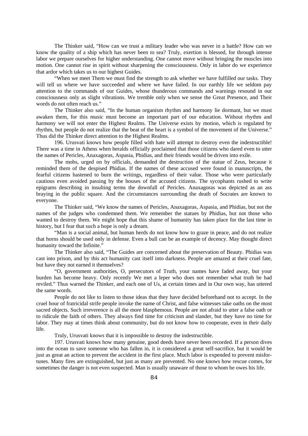The Thinker said, "How can we trust a military leader who was never in a battle? How can we know the quality of a ship which has never been to sea? Truly, exertion is blessed, for through intense labor we prepare ourselves for higher understanding. One cannot move without bringing the muscles into motion. One cannot rise in spirit without sharpening the consciousness. Only in labor do we experience that ardor which takes us to our highest Guides.

 "When we meet Them we must find the strength to ask whether we have fulfilled our tasks. They will tell us where we have succeeded and where we have failed. In our earthly life we seldom pay attention to the commands of our Guides, whose thunderous commands and warnings resound in our consciousness only as slight vibrations. We tremble only when we sense the Great Presence, and Their words do not often reach us."

 The Thinker also said, "In the human organism rhythm and harmony lie dormant, but we must awaken them, for this music must become an important part of our education. Without rhythm and harmony we will not enter the Highest Realms. The Universe exists by motion, which is regulated by rhythm, but people do not realize that the beat of the heart is a symbol of the movement of the Universe." Thus did the Thinker direct attention to the Highest Realms.

 196. Urusvati knows how people filled with hate will attempt to destroy even the indestructible! There was a time in Athens when heralds officially proclaimed that those citizens who dared even to utter the names of Pericles, Anaxagoras, Aspasia, Phidias, and their friends would be driven into exile.

 The mobs, urged on by officials, demanded the destruction of the statue of Zeus, because it reminded them of the despised Phidias. If the names of these accused were found in manuscripts, the fearful citizens hastened to burn the writings, regardless of their value. Those who were particularly cautious even avoided passing by the houses of the accused citizens. The sycophants rushed to write epigrams describing in insulting terms the downfall of Pericles. Anaxagoras was depicted as an ass braying in the public square. And the circumstances surrounding the death of Socrates are known to everyone.

 The Thinker said, "We know the names of Pericles, Anaxagoras, Aspasia, and Phidias, but not the names of the judges who condemned them. We remember the statues by Phidias, but not those who wanted to destroy them. We might hope that this shame of humanity has taken place for the last time in history, but I fear that such a hope is only a dream.

 "Man is a social animal, but human herds do not know how to graze in peace, and do not realize that horns should be used only in defense. Even a bull can be an example of decency. May thought direct humanity toward the Infinite."

 The Thinker also said, "The Guides are concerned about the preservation of Beauty. Phidias was cast into prison, and by this act humanity cast itself into darkness. People are amazed at their cruel fate, but have they not earned it themselves?

 "O, government authorities, O, persecutors of Truth, your names have faded away, but your burden has become heavy. Only recently We met a leper who does not remember what truth he had reviled." Thus warned the Thinker, and each one of Us, at certain times and in Our own way, has uttered the same words.

 People do not like to listen to those ideas that they have decided beforehand not to accept. In the cruel hour of fratricidal strife people invoke the name of Christ, and false witnesses take oaths on the most sacred objects. Such irreverence is all the more blasphemous. People are not afraid to utter a false oath or to ridicule the faith of others. They always find time for criticism and slander, but they have no time for labor. They may at times think about community, but do not know how to cooperate, even in their daily life.

Truly, Urusvati knows that it is impossible to destroy the indestructible.

 197. Urusvati knows how many genuine, good deeds have never been recorded. If a person dives into the ocean to save someone who has fallen in, it is considered a great self-sacrifice, but it would be just as great an action to prevent the accident in the first place. Much labor is expended to prevent misfortunes. Many fires are extinguished, but just as many are prevented. No one knows how rescue comes, for sometimes the danger is not even suspected. Man is usually unaware of those to whom he owes his life.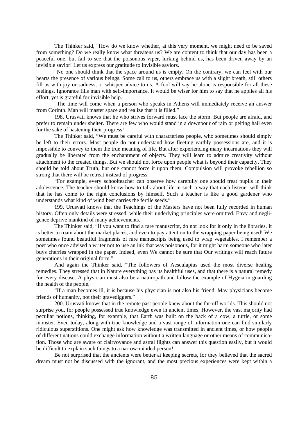The Thinker said, "How do we know whether, at this very moment, we might need to be saved from something? Do we really know what threatens us? We are content to think that our day has been a peaceful one, but fail to see that the poisonous viper, lurking behind us, has been driven away by an invisible savior! Let us express our gratitude to invisible saviors.

 "No one should think that the space around us is empty. On the contrary, we can feel with our hearts the presence of various beings. Some call to us, others embrace us with a slight breath, still others fill us with joy or sadness, or whisper advice to us. A fool will say he alone is responsible for all these feelings. Ignorance fills man with self-importance. It would be wiser for him to say that he applies all his effort, yet is grateful for invisible help.

 "The time will come when a person who speaks in Athens will immediately receive an answer from Corinth. Man will master space and realize that it is filled."

 198. Urusvati knows that he who strives forward must face the storm. But people are afraid, and prefer to remain under shelter. There are few who would stand in a downpour of rain or pelting hail even for the sake of hastening their progress!

 The Thinker said, "We must be careful with characterless people, who sometimes should simply be left to their errors. Most people do not understand how fleeting earthly possessions are, and it is impossible to convey to them the true meaning of life. But after experiencing many incarnations they will gradually be liberated from the enchantment of objects. They will learn to admire creativity without attachment to the created things. But we should not force upon people what is beyond their capacity. They should be told about Truth, but one cannot force it upon them. Compulsion will provoke rebellion so strong that there will be retreat instead of progress.

 "For example, every schoolteacher can observe how carefully one should treat pupils in their adolescence. The teacher should know how to talk about life in such a way that each listener will think that he has come to the right conclusions by himself. Such a teacher is like a good gardener who understands what kind of wind best carries the fertile seeds."

 199. Urusvati knows that the Teachings of the Masters have not been fully recorded in human history. Often only details were stressed, while their underlying principles were omitted. Envy and negligence deprive mankind of many achievements.

 The Thinker said, "If you want to find a rare manuscript, do not look for it only in the libraries. It is better to roam about the market places, and even to pay attention to the wrapping paper being used! We sometimes found beautiful fragments of rare manuscripts being used to wrap vegetables. I remember a poet who once advised a writer not to use an ink that was poisonous, for it might harm someone who later buys cherries wrapped in the paper. Indeed, even We cannot be sure that Our writings will reach future generations in their original form."

 And again the Thinker said, "The followers of Aesculapius used the most diverse healing remedies. They stressed that in Nature everything has its healthful uses, and that there is a natural remedy for every disease. A physician must also be a naturopath and follow the example of Hygeia in guarding the health of the people.

 "If a man becomes ill, it is because his physician is not also his friend. May physicians become friends of humanity, not their gravediggers."

 200. Urusvati knows that in the remote past people knew about the far-off worlds. This should not surprise you, for people possessed true knowledge even in ancient times. However, the vast majority had peculiar notions, thinking, for example, that Earth was built on the back of a cow, a turtle, or some monster. Even today, along with true knowledge and a vast range of information one can find similarly ridiculous superstitions. One might ask how knowledge was transmitted in ancient times, or how people of different nations could exchange information without a written language or other means of communication. Those who are aware of clairvoyance and astral flights can answer this question easily, but it would be difficult to explain such things to a narrow-minded person!

 Be not surprised that the ancients were better at keeping secrets, for they believed that the sacred dream must not be discussed with the ignorant, and the most precious experiences were kept within a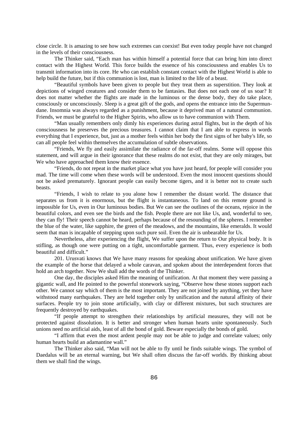close circle. It is amazing to see how such extremes can coexist! But even today people have not changed in the levels of their consciousness.

 The Thinker said, "Each man has within himself a potential force that can bring him into direct contact with the Highest World. This force builds the essence of his consciousness and enables Us to transmit information into its core. He who can establish constant contact with the Highest World is able to help build the future, but if this communion is lost, man is limited to the life of a beast.

 "Beautiful symbols have been given to people but they treat them as superstition. They look at depictions of winged creatures and consider them to be fantasies. But does not each one of us soar? It does not matter whether the flights are made in the luminous or the dense body, they do take place, consciously or unconsciously. Sleep is a great gift of the gods, and opens the entrance into the Supermundane. Insomnia was always regarded as a punishment, because it deprived man of a natural communion. Friends, we must be grateful to the Higher Spirits, who allow us to have communion with Them.

 "Man usually remembers only dimly his experiences during astral flights, but in the depth of his consciousness he preserves the precious treasures. I cannot claim that I am able to express in words everything that I experience, but, just as a mother feels within her body the first signs of her baby's life, so can all people feel within themselves the accumulation of subtle observations.

 "Friends, We fly and easily assimilate the radiance of the far-off realms. Some will oppose this statement, and will argue in their ignorance that these realms do not exist, that they are only mirages, but We who have approached them know their essence.

 "Friends, do not repeat in the market place what you have just heard, for people will consider you mad. The time will come when these words will be understood. Even the most innocent questions should not be asked prematurely. Ignorant people can easily become tigers, and it is better not to create such beasts.

 "Friends, I wish to relate to you alone how I remember the distant world. The distance that separates us from it is enormous, but the flight is instantaneous. To land on this remote ground is impossible for Us, even in Our luminous bodies. But We can see the outlines of the oceans, rejoice in the beautiful colors, and even see the birds and the fish. People there are not like Us, and, wonderful to see, they can fly! Their speech cannot be heard, perhaps because of the resounding of the spheres. I remember the blue of the water, like sapphire, the green of the meadows, and the mountains, like emeralds. It would seem that man is incapable of stepping upon such pure soil. Even the air is unbearable for Us.

 Nevertheless, after experiencing the flight, We suffer upon the return to Our physical body. It is stifling, as though one were putting on a tight, uncomfortable garment. Thus, every experience is both beautiful and difficult."

 201. Urusvati knows that We have many reasons for speaking about unification. We have given the example of the horse that delayed a whole caravan, and spoken about the interdependent forces that hold an arch together. Now We shall add the words of the Thinker.

 One day, the disciples asked Him the meaning of unification. At that moment they were passing a gigantic wall, and He pointed to the powerful stonework saying, "Observe how these stones support each other. We cannot say which of them is the most important. They are not joined by anything, yet they have withstood many earthquakes. They are held together only by unification and the natural affinity of their surfaces. People try to join stone artificially, with clay or different mixtures, but such structures are frequently destroyed by earthquakes.

 "If people attempt to strengthen their relationships by artificial measures, they will not be protected against dissolution. It is better and stronger when human hearts unite spontaneously. Such unions need no artificial aids, least of all the bond of gold. Beware especially the bonds of gold.

 "I affirm that even the most ardent people may not be able to judge and correlate values; only human hearts build an adamantine wall."

 The Thinker also said, "Man will not be able to fly until he finds suitable wings. The symbol of Daedalus will be an eternal warning, but We shall often discuss the far-off worlds. By thinking about them we shall find the wings.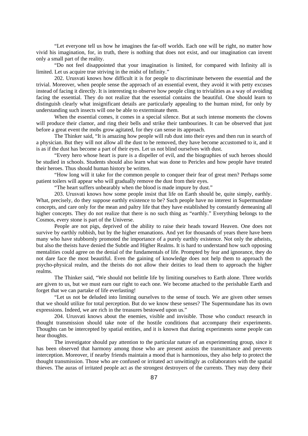"Let everyone tell us how he imagines the far-off worlds. Each one will be right, no matter how vivid his imagination, for, in truth, there is nothing that does not exist, and our imagination can invent only a small part of the reality.

 "Do not feel disappointed that your imagination is limited, for compared with Infinity all is limited. Let us acquire true striving in the midst of Infinity."

 202. Urusvati knows how difficult it is for people to discriminate between the essential and the trivial. Moreover, when people sense the approach of an essential event, they avoid it with petty excuses instead of facing it directly. It is interesting to observe how people cling to trivialities as a way of avoiding facing the essential. They do not realize that the essential contains the beautiful. One should learn to distinguish clearly what insignificant details are particularly appealing to the human mind, for only by understanding such insects will one be able to exterminate them.

When the essential comes, it comes in a special silence. But at such intense moments the clowns will produce their clamor, and ring their bells and strike their tambourines. It can be observed that just before a great event the mobs grow agitated, for they can sense its approach.

 The Thinker said, "It is amazing how people will rub dust into their eyes and then run in search of a physician. But they will not allow all the dust to be removed, they have become accustomed to it, and it is as if the dust has become a part of their eyes. Let us not blind ourselves with dust.

 "Every hero whose heart is pure is a dispeller of evil, and the biographies of such heroes should be studied in schools. Students should also learn what was done to Pericles and how people have treated their heroes. Thus should human history be written.

 "How long will it take for the common people to conquer their fear of great men? Perhaps some patient toilers will appear who will gradually remove the dust from their eyes.

"The heart suffers unbearably when the blood is made impure by dust."

 203. Urusvati knows how some people insist that life on Earth should be, quite simply, earthly. What, precisely, do they suppose earthly existence to be? Such people have no interest in Supermundane concepts, and care only for the mean and paltry life that they have established by constantly demeaning all higher concepts. They do not realize that there is no such thing as "earthly." Everything belongs to the Cosmos, every stone is part of the Universe.

 People are not pigs, deprived of the ability to raise their heads toward Heaven. One does not survive by earthly rubbish, but by the higher emanations. And yet for thousands of years there have been many who have stubbornly promoted the importance of a purely earthly existence. Not only the atheists, but also the theists have denied the Subtle and Higher Realms. It is hard to understand how such opposing mentalities could agree on the denial of the fundamentals of life. Prompted by fear and ignorance, they do not dare face the most beautiful. Even the gaining of knowledge does not help them to approach the psycho-physical realm, and the theists do not allow their deities to lead them to approach the higher realms.

 The Thinker said, "We should not belittle life by limiting ourselves to Earth alone. Three worlds are given to us, but we must earn our right to each one. We become attached to the perishable Earth and forget that we can partake of life everlasting!

 "Let us not be deluded into limiting ourselves to the sense of touch. We are given other senses that we should utilize for total perception. But do we know these senses? The Supermundane has its own expressions. Indeed, we are rich in the treasures bestowed upon us."

 204. Urusvati knows about the enemies, visible and invisible. Those who conduct research in thought transmission should take note of the hostile conditions that accompany their experiments. Thoughts can be intercepted by spatial entities, and it is known that during experiments some people can hear thoughts.

 The investigator should pay attention to the particular nature of an experimenting group, since it has been observed that harmony among those who are present assists the transmittance and prevents interception. Moreover, if nearby friends maintain a mood that is harmonious, they also help to protect the thought transmission. Those who are confused or irritated act unwittingly as collaborators with the spatial thieves. The auras of irritated people act as the strongest destroyers of the currents. They may deny their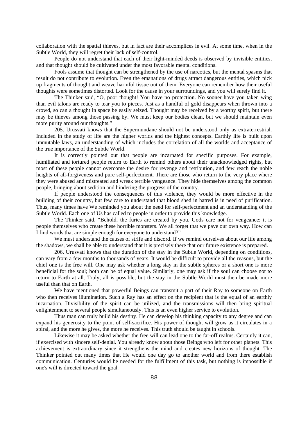collaboration with the spatial thieves, but in fact are their accomplices in evil. At some time, when in the Subtle World, they will regret their lack of self-control.

People do not understand that each of their light-minded deeds is observed by invisible entities, and that thought should be cultivated under the most favorable mental conditions.

 Fools assume that thought can be strengthened by the use of narcotics, but the mental spasms that result do not contribute to evolution. Even the emanations of drugs attract dangerous entities, which pick up fragments of thought and weave harmful tissue out of them. Everyone can remember how their useful thoughts were sometimes distorted. Look for the cause in your surroundings, and you will surely find it.

 The Thinker said, "O, poor thought! You have no protection. No sooner have you taken wing than evil talons are ready to tear you to pieces. Just as a handful of gold disappears when thrown into a crowd, so can a thought in space be easily seized. Thought may be received by a worthy spirit, but there may be thieves among those passing by. We must keep our bodies clean, but we should maintain even more purity around our thoughts."

 205. Urusvati knows that the Supermundane should not be understood only as extraterrestrial. Included in the study of life are the higher worlds and the highest concepts. Earthly life is built upon immutable laws, an understanding of which includes the correlation of all the worlds and acceptance of the true importance of the Subtle World.

 It is correctly pointed out that people are incarnated for specific purposes. For example, humiliated and tortured people return to Earth to remind others about their unacknowledged rights, but most of these people cannot overcome the desire for revenge and retribution, and few reach the noble heights of all-forgiveness and pure self-perfectment. There are those who return to the very place where they were abused and mistreated and wreak terrible vengeance. They hide themselves among the common people, bringing about sedition and hindering the progress of the country.

 If people understood the consequences of this violence, they would be more effective in the building of their country, but few care to understand that blood shed in hatred is in need of purification. Thus, many times have We reminded you about the need for self-perfectment and an understanding of the Subtle World. Each one of Us has called to people in order to provide this knowledge.

 The Thinker said, "Behold, the furies are created by you. Gods care not for vengeance; it is people themselves who create these horrible monsters. We all forget that we pave our own way. How can I find words that are simple enough for everyone to understand?"

 We must understand the causes of strife and discord. If we remind ourselves about our life among the shadows, we shall be able to understand that it is precisely there that our future existence is prepared.

 206. Urusvati knows that the duration of the stay in the Subtle World, depending on conditions, can vary from a few months to thousands of years. It would be difficult to provide all the reasons, but the chief one is the free will. One may ask whether a long stay in the subtle spheres or a short one is more beneficial for the soul; both can be of equal value. Similarly, one may ask if the soul can choose not to return to Earth at all. Truly, all is possible, but the stay in the Subtle World must then be made more useful than that on Earth.

 We have mentioned that powerful Beings can transmit a part of their Ray to someone on Earth who then receives illumination. Such a Ray has an effect on the recipient that is the equal of an earthly incarnation. Divisibility of the spirit can be utilized, and the transmissions will then bring spiritual enlightenment to several people simultaneously. This is an even higher service to evolution.

 Thus man can truly build his destiny. He can develop his thinking capacity to any degree and can expand his generosity to the point of self-sacrifice. His power of thought will grow as it circulates in a spiral, and the more he gives, the more he receives. This truth should be taught in schools.

 Likewise it may be asked whether the free will can lead one to the far-off realms. Certainly it can, if exercised with sincere self-denial. You already know about those Beings who left for other planets. This achievement is extraordinary since it strengthens the mind and creates new horizons of thought. The Thinker pointed out many times that He would one day go to another world and from there establish communication. Centuries would be needed for the fulfillment of this task, but nothing is impossible if one's will is directed toward the goal.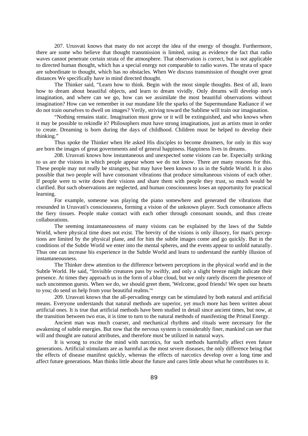207. Urusvati knows that many do not accept the idea of the energy of thought. Furthermore, there are some who believe that thought transmission is limited, using as evidence the fact that radio waves cannot penetrate certain strata of the atmosphere. That observation is correct, but is not applicable to directed human thought, which has a special energy not comparable to radio waves. The strata of space are subordinate to thought, which has no obstacles. When We discuss transmission of thought over great distances We specifically have in mind directed thought.

 The Thinker said, "Learn how to think. Begin with the most simple thoughts. Best of all, learn how to dream about beautiful objects, and learn to dream vividly. Only dreams will develop one's imagination, and where can we go, how can we assimilate the most beautiful observations without imagination? How can we remember in our mundane life the sparks of the Supermundane Radiance if we do not train ourselves to dwell on images? Verily, striving toward the Sublime will train our imagination.

 "Nothing remains static. Imagination must grow or it will be extinguished, and who knows when it may be possible to rekindle it? Philosophers must have strong imaginations, just as artists must in order to create. Dreaming is born during the days of childhood. Children must be helped to develop their thinking."

 Thus spoke the Thinker when He asked His disciples to become dreamers, for only in this way are born the images of great governments and of general happiness. Happiness lives in dreams.

 208. Urusvati knows how instantaneous and unexpected some visions can be. Especially striking to us are the visions in which people appear whom we do not know. There are many reasons for this. These people may not really be strangers, but may have been known to us in the Subtle World. It is also possible that two people will have consonant vibrations that produce simultaneous visions of each other. If people were to write down their visions and share them with people they trust, so much would be clarified. But such observations are neglected, and human consciousness loses an opportunity for practical learning.

 For example, someone was playing the piano somewhere and generated the vibrations that resounded in Urusvati's consciousness, forming a vision of the unknown player. Such consonance affects the fiery tissues. People make contact with each other through consonant sounds, and thus create collaborations.

 The seeming instantaneousness of many visions can be explained by the laws of the Subtle World, where physical time does not exist. The brevity of the visions is only illusory, for man's perceptions are limited by the physical plane, and for him the subtle images come and go quickly. But in the conditions of the Subtle World we enter into the mental spheres, and the events appear to unfold naturally. Thus one can increase his experience in the Subtle World and learn to understand the earthly illusion of instantaneousness.

 The Thinker drew attention to the difference between perceptions in the physical world and in the Subtle World. He said, "Invisible creatures pass by swiftly, and only a slight breeze might indicate their presence. At times they approach us in the form of a blue cloud, but we only rarely discern the presence of such uncommon guests. When we do, we should greet them, 'Welcome, good friends! We open our hearts to you; do send us help from your beautiful realms.'"

 209. Urusvati knows that the all-pervading energy can be stimulated by both natural and artificial means. Everyone understands that natural methods are superior, yet much more has been written about artificial ones. It is true that artificial methods have been studied in detail since ancient times, but now, at the transition between two eras, it is time to turn to the natural methods of manifesting the Primal Energy.

 Ancient man was much coarser, and mechanical rhythms and rituals were necessary for the awakening of subtle energies. But now that the nervous system is considerably finer, mankind can see that will and thought are natural attributes, and therefore must be utilized in natural ways.

 It is wrong to excite the mind with narcotics, for such methods harmfully affect even future generations. Artificial stimulants are as harmful as the most severe diseases, the only difference being that the effects of disease manifest quickly, whereas the effects of narcotics develop over a long time and affect future generations. Man thinks little about the future and cares little about what he contributes to it.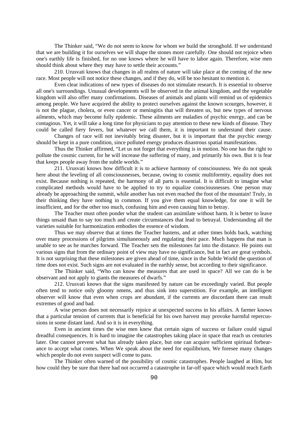The Thinker said, "We do not seem to know for whom we build the stronghold. If we understand that we are building it for ourselves we will shape the stones more carefully. One should not rejoice when one's earthly life is finished, for no one knows where he will have to labor again. Therefore, wise men should think about where they may have to settle their accounts."

 210. Urusvati knows that changes in all realms of nature will take place at the coming of the new race. Most people will not notice these changes, and if they do, will be too hesitant to mention it.

 Even clear indications of new types of diseases do not stimulate research. It is essential to observe all one's surroundings. Unusual developments will be observed in the animal kingdom, and the vegetable kingdom will also offer many confirmations. Diseases of animals and plants will remind us of epidemics among people. We have acquired the ability to protect ourselves against the known scourges, however, it is not the plague, cholera, or even cancer or meningitis that will threaten us, but new types of nervous ailments, which may become fully epidemic. These ailments are maladies of psychic energy, and can be contagious. Yet, it will take a long time for physicians to pay attention to these new kinds of disease. They could be called fiery fevers, but whatever we call them, it is important to understand their cause.

 Changes of race will not inevitably bring disaster, but it is important that the psychic energy should be kept in a pure condition, since polluted energy produces disastrous spatial manifestations.

 Thus the Thinker affirmed, "Let us not forget that everything is in motion. No one has the right to pollute the cosmic current, for he will increase the suffering of many, and primarily his own. But it is fear that keeps people away from the subtle worlds."

 211. Urusvati knows how difficult it is to achieve harmony of consciousness. We do not speak here about the leveling of all consciousnesses, because, owing to cosmic multiformity, equality does not exist. Because nothing is repeated, the harmony of all parts is essential. It is difficult to imagine what complicated methods would have to be applied to try to equalize consciousnesses. One person may already be approaching the summit, while another has not even reached the foot of the mountain! Truly, in their thinking they have nothing in common. If you give them equal knowledge, for one it will be insufficient, and for the other too much, confusing him and even causing him to betray.

 The Teacher must often ponder what the student can assimilate without harm. It is better to leave things unsaid than to say too much and create circumstances that lead to betrayal. Understanding all the varieties suitable for harmonization embodies the essence of wisdom.

 Thus we may observe that at times the Teacher hastens, and at other times holds back, watching over many processions of pilgrims simultaneously and regulating their pace. Much happens that man is unable to see as he marches forward. The Teacher sets the milestones far into the distance. He points out various signs that from the ordinary point of view may have no significance, but in fact are great symbols. It is not surprising that these milestones are given ahead of time, since in the Subtle World the question of time does not exist. Such signs are not evaluated in the earthly sense, but according to their significance.

 The Thinker said, "Who can know the measures that are used in space? All we can do is be observant and not apply to giants the measures of dwarfs."

 212. Urusvati knows that the signs manifested by nature can be exceedingly varied. But people often tend to notice only gloomy omens, and thus sink into superstition. For example, an intelligent observer will know that even when crops are abundant, if the currents are discordant there can result extremes of good and bad.

 A wise person does not necessarily rejoice at unexpected success in his affairs. A farmer knows that a particular tension of currents that is beneficial for his own harvest may provoke harmful repercussions in some distant land. And so it is in everything.

 Even in ancient times the wise men knew that certain signs of success or failure could signal dreadful consequences. It is hard to imagine the catastrophes taking place in space that reach us centuries later. One cannot prevent what has already taken place, but one can acquire sufficient spiritual forbearance to accept what comes. When We speak about the need for equilibrium, We foresee many changes which people do not even suspect will come to pass.

 The Thinker often warned of the possibility of cosmic catastrophes. People laughed at Him, but how could they be sure that there had not occurred a catastrophe in far-off space which would reach Earth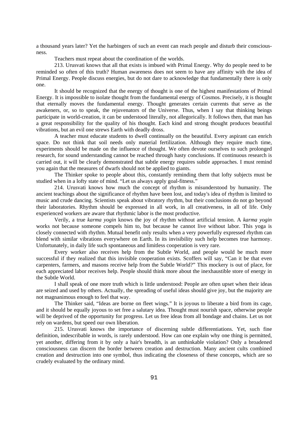a thousand years later? Yet the harbingers of such an event can reach people and disturb their consciousness.

Teachers must repeat about the coordination of the worlds.

 213. Urusvati knows that all that exists is imbued with Primal Energy. Why do people need to be reminded so often of this truth? Human awareness does not seem to have any affinity with the idea of Primal Energy. People discuss energies, but do not dare to acknowledge that fundamentally there is only one.

 It should be recognized that the energy of thought is one of the highest manifestations of Primal Energy. It is impossible to isolate thought from the fundamental energy of Cosmos. Precisely, it is thought that eternally moves the fundamental energy. Thought generates certain currents that serve as the awakeners, or, so to speak, the rejuvenators of the Universe. Thus, when I say that thinking beings participate in world-creation, it can be understood literally, not allegorically. It follows then, that man has a great responsibility for the quality of his thought. Each kind and strong thought produces beautiful vibrations, but an evil one strews Earth with deadly dross.

 A teacher must educate students to dwell continually on the beautiful. Every aspirant can enrich space. Do not think that soil needs only material fertilization. Although they require much time, experiments should be made on the influence of thought. We often devote ourselves to such prolonged research, for sound understanding cannot be reached through hasty conclusions. If continuous research is carried out, it will be clearly demonstrated that subtle energy requires subtle approaches. I must remind you again that the measures of dwarfs should not be applied to giants.

 The Thinker spoke to people about this, constantly reminding them that lofty subjects must be studied when in a lofty state of mind. "Let us always apply goal-fitness."

 214. Urusvati knows how much the concept of rhythm is misunderstood by humanity. The ancient teachings about the significance of rhythm have been lost, and today's idea of rhythm is limited to music and crude dancing. Scientists speak about vibratory rhythm, but their conclusions do not go beyond their laboratories. Rhythm should be expressed in all work, in all creativeness, in all of life. Only experienced workers are aware that rhythmic labor is the most productive.

 Verily, a true *karma yogin* knows the joy of rhythm without artificial tension. A *karma yogin* works not because someone compels him to, but because he cannot live without labor. This yoga is closely connected with rhythm. Mutual benefit only results when a very powerfully expressed rhythm can blend with similar vibrations everywhere on Earth. In its invisibility such help becomes true harmony. Unfortunately, in daily life such spontaneous and limitless cooperation is very rare.

 Every worker also receives help from the Subtle World, and people would be much more successful if they realized that this invisible cooperation exists. Scoffers will say, "Can it be that even carpenters, farmers, and masons receive help from the Subtle World?" This mockery is out of place, for each appreciated labor receives help. People should think more about the inexhaustible store of energy in the Subtle World.

 I shall speak of one more truth which is little understood: People are often upset when their ideas are seized and used by others. Actually, the spreading of useful ideas should give joy, but the majority are not magnanimous enough to feel that way.

 The Thinker said, "Ideas are borne on fleet wings." It is joyous to liberate a bird from its cage, and it should be equally joyous to set free a salutary idea. Thought must nourish space, otherwise people will be deprived of the opportunity for progress. Let us free ideas from all bondage and chains. Let us not rely on wardens, but speed our own liberation.

 215. Urusvati knows the importance of discerning subtle differentiations. Yet, such fine definition, indescribable in words, is rarely understood. How can one explain why one thing is permitted, yet another, differing from it by only a hair's breadth, is an unthinkable violation? Only a broadened consciousness can discern the border between creation and destruction. Many ancient cults combined creation and destruction into one symbol, thus indicating the closeness of these concepts, which are so crudely evaluated by the ordinary mind.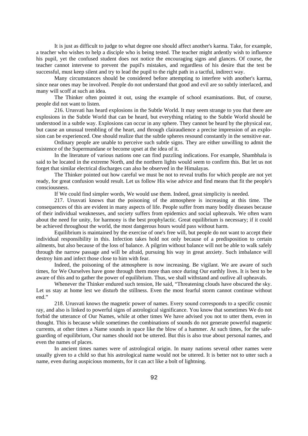It is just as difficult to judge to what degree one should affect another's karma. Take, for example, a teacher who wishes to help a disciple who is being tested. The teacher might ardently wish to influence his pupil, yet the confused student does not notice the encouraging signs and glances. Of course, the teacher cannot intervene to prevent the pupil's mistakes, and regardless of his desire that the test be successful, must keep silent and try to lead the pupil to the right path in a tactful, indirect way.

 Many circumstances should be considered before attempting to interfere with another's karma, since near ones may be involved. People do not understand that good and evil are so subtly interlaced, and many will scoff at such an idea.

 The Thinker often pointed it out, using the example of school examinations. But, of course, people did not want to listen.

 216. Urusvati has heard explosions in the Subtle World. It may seem strange to you that there are explosions in the Subtle World that can be heard, but everything relating to the Subtle World should be understood in a subtle way. Explosions can occur in any sphere. They cannot be heard by the physical ear, but cause an unusual trembling of the heart, and through clairaudience a precise impression of an explosion can be experienced. One should realize that the subtle spheres resound constantly in the sensitive ear.

 Ordinary people are unable to perceive such subtle signs. They are either unwilling to admit the existence of the Supermundane or become upset at the idea of it.

 In the literature of various nations one can find puzzling indications. For example, Shambhala is said to be located in the extreme North, and the northern lights would seem to confirm this. But let us not forget that similar electrical discharges can also be observed in the Himalayas.

 The Thinker pointed out how careful we must be not to reveal truths for which people are not yet ready, for great confusion would result. Let us follow His wise advice and find means that fit the people's consciousness.

If We could find simpler words, We would use them. Indeed, great simplicity is needed.

 217. Urusvati knows that the poisoning of the atmosphere is increasing at this time. The consequences of this are evident in many aspects of life. People suffer from many bodily diseases because of their individual weaknesses, and society suffers from epidemics and social upheavals. We often warn about the need for unity, for harmony is the best prophylactic. Great equilibrium is necessary; if it could be achieved throughout the world, the most dangerous hours would pass without harm.

 Equilibrium is maintained by the exercise of one's free will, but people do not want to accept their individual responsibility in this. Infection takes hold not only because of a predisposition to certain ailments, but also because of the loss of balance. A pilgrim without balance will not be able to walk safely through the narrow passage and will be afraid, pursuing his way in great anxiety. Such imbalance will destroy him and infect those close to him with fear.

 Indeed, the poisoning of the atmosphere is now increasing. Be vigilant. We are aware of such times, for We Ourselves have gone through them more than once during Our earthly lives. It is best to be aware of this and to gather the power of equilibrium. Thus, we shall withstand and outlive all upheavals.

 Whenever the Thinker endured such tension, He said, "Threatening clouds have obscured the sky. Let us stay at home lest we disturb the stillness. Even the most fearful storm cannot continue without end."

 218. Urusvati knows the magnetic power of names. Every sound corresponds to a specific cosmic ray, and also is linked to powerful signs of astrological significance. You know that sometimes We do not forbid the utterance of Our Names, while at other times We have advised you not to utter them, even in thought. This is because while sometimes the combinations of sounds do not generate powerful magnetic currents, at other times a Name sounds in space like the blow of a hammer. At such times, for the safeguarding of equilibrium, Our names should not be uttered. But this is also true about personal names, and even the names of places.

 In ancient times names were of astrological origin. In many nations several other names were usually given to a child so that his astrological name would not be uttered. It is better not to utter such a name, even during auspicious moments, for it can act like a bolt of lightning.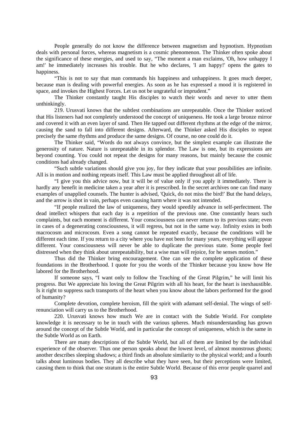People generally do not know the difference between magnetism and hypnotism. Hypnotism deals with personal forces, whereas magnetism is a cosmic phenomenon. The Thinker often spoke about the significance of these energies, and used to say, "The moment a man exclaims, 'Oh, how unhappy I am!' he immediately increases his trouble. But he who declares, 'I am happy!' opens the gates to happiness.

 "This is not to say that man commands his happiness and unhappiness. It goes much deeper, because man is dealing with powerful energies. As soon as he has expressed a mood it is registered in space, and invokes the Highest Forces. Let us not be ungrateful or imprudent."

 The Thinker constantly taught His disciples to watch their words and never to utter them unthinkingly.

 219. Urusvati knows that the subtlest combinations are unrepeatable. Once the Thinker noticed that His listeners had not completely understood the concept of uniqueness. He took a large bronze mirror and covered it with an even layer of sand. Then He tapped out different rhythms at the edge of the mirror, causing the sand to fall into different designs. Afterward, the Thinker asked His disciples to repeat precisely the same rhythms and produce the same designs. Of course, no one could do it.

 The Thinker said, "Words do not always convince, but the simplest example can illustrate the generosity of nature. Nature is unrepeatable in its splendor. The Law is one, but its expressions are beyond counting. You could not repeat the designs for many reasons, but mainly because the cosmic conditions had already changed.

 "Such subtle variations should give you joy, for they indicate that your possibilities are infinite. All is in motion and nothing repeats itself. This Law must be applied throughout all of life.

 "I give you this advice now, but it will be of value only if you apply it immediately. There is hardly any benefit in medicine taken a year after it is prescribed. In the secret archives one can find many examples of unapplied counsels. The hunter is advised, 'Quick, do not miss the bird!' But the hand delays, and the arrow is shot in vain, perhaps even causing harm where it was not intended.

 "If people realized the law of uniqueness, they would speedily advance in self-perfectment. The dead intellect whispers that each day is a repetition of the previous one. One constantly hears such complaints, but each moment is different. Your consciousness can never return to its previous state; even in cases of a degenerating consciousness, it will regress, but not in the same way. Infinity exists in both macrocosm and microcosm. Even a song cannot be repeated exactly, because the conditions will be different each time. If you return to a city where you have not been for many years, everything will appear different. Your consciousness will never be able to duplicate the previous state. Some people feel distressed when they think about unrepeatability, but a wise man will rejoice, for he senses motion."

 Thus did the Thinker bring encouragement. One can see the complete application of these foundations in the Brotherhood. I quote for you the words of the Thinker because you know how He labored for the Brotherhood.

 If someone says, "I want only to follow the Teaching of the Great Pilgrim," he will limit his progress. But We appreciate his loving the Great Pilgrim with all his heart, for the heart is inexhaustible. Is it right to suppress such transports of the heart when you know about the labors performed for the good of humanity?

 Complete devotion, complete heroism, fill the spirit with adamant self-denial. The wings of selfrenunciation will carry us to the Brotherhood.

 220. Urusvati knows how much We are in contact with the Subtle World. For complete knowledge it is necessary to be in touch with the various spheres. Much misunderstanding has grown around the concept of the Subtle World, and in particular the concept of uniqueness, which is the same in the Subtle World as on Earth.

 There are many descriptions of the Subtle World, but all of them are limited by the individual experience of the observer. Thus one person speaks about the lowest level, of almost monstrous ghosts; another describes sleeping shadows; a third finds an absolute similarity to the physical world; and a fourth talks about luminous bodies. They all describe what they have seen, but their perceptions were limited, causing them to think that one stratum is the entire Subtle World. Because of this error people quarrel and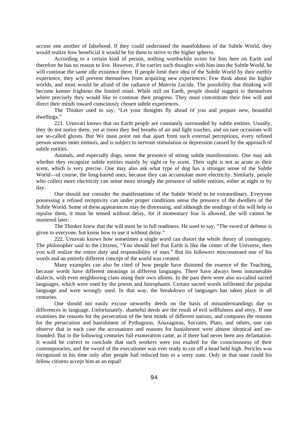accuse one another of falsehood. If they could understand the manifoldness of the Subtle World, they would realize how beneficial it would be for them to strive to the higher spheres.

 According to a certain kind of person, nothing worthwhile exists for him here on Earth and therefore he has no reason to live. However, if he carries such thoughts with him into the Subtle World, he will continue the same idle existence there. If people limit their idea of the Subtle World by their earthly experience, they will prevent themselves from acquiring new experiences. Few think about the higher worlds, and most would be afraid of the radiance of *Materia Lucida*. The possibility that thinking will become keener frightens the limited mind. While still on Earth, people should suggest to themselves where precisely they would like to continue their progress. They must concentrate their free will and direct their minds toward consciously chosen subtle experiences.

 The Thinker used to say, "Let your thoughts fly ahead of you and prepare new, beautiful dwellings."

 221. Urusvati knows that on Earth people are constantly surrounded by subtle entities. Usually, they do not notice them, yet at times they feel breaths of air and light touches, and on rare occasions will see so-called ghosts. But We must point out that apart from such external perceptions, every refined person senses inner tremors, and is subject to nervous stimulation or depression caused by the approach of subtle entities.

 Animals, and especially dogs, sense the presence of strong subtle manifestations. One may ask whether they recognize subtle entities mainly by sight or by scent. Their sight is not as acute as their scent, which is very precise. One may also ask what type of dog has a stronger sense of the Subtle World—of course, the long-haired ones, because they can accumulate more electricity. Similarly, people who collect more electricity can sense more strongly the presence of subtle entities, either at night or by day.

 One should not consider the manifestations of the Subtle World to be extraordinary. Everyone possessing a refined receptivity can under proper conditions sense the presence of the dwellers of the Subtle World. Some of these appearances may be distressing, and although the sendings of the will help to repulse them, it must be tensed without delay, for if momentary fear is allowed, the will cannot be mustered later.

 The Thinker knew that the will must be in full readiness. He used to say, "The sword of defense is given to everyone, but know how to use it without delay."

 222. Urusvati knows how sometimes a single word can distort the whole theory of cosmogony. The philosopher said to the citizens, "You should feel that Earth is like the center of the Universe, then you will realize the entire duty and responsibility of man." But his followers misconstrued one of his words and an entirely different concept of the world was created.

 Many examples can also be cited of how people have distorted the essence of the Teaching, because words have different meanings in different languages. There have always been innumerable dialects, with even neighboring clans using their own idioms. In the past there were also so-called sacred languages, which were used by the priests and hierophants. Certain sacred words infiltrated the popular language and were wrongly used. In that way, the breakdown of languages has taken place in all centuries.

 One should not easily excuse unworthy deeds on the basis of misunderstandings due to differences in language. Unfortunately, shameful deeds are the result of evil willfulness and envy. If one examines the reasons for the persecution of the best minds of different nations, and compares the reasons for the persecution and banishment of Pythagoras, Anaxagoras, Socrates, Plato, and others, one can observe that in each case the accusations and reasons for banishment were almost identical and unfounded. But in the following centuries full exoneration came, as if there had never been any defamation. It would be correct to conclude that such workers were too exalted for the consciousness of their contemporaries, and the sword of the executioner was ever ready to cut off a head held high. Pericles was recognized in his time only after people had reduced him to a sorry state. Only in that state could his fellow citizens accept him as an equal!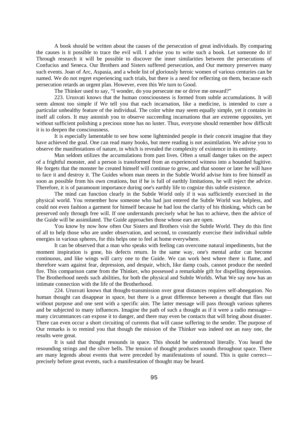A book should be written about the causes of the persecution of great individuals. By comparing the causes is it possible to trace the evil will. I advise you to write such a book. Let someone do it! Through research it will be possible to discover the inner similarities between the persecutions of Confucius and Seneca. Our Brothers and Sisters suffered persecution, and Our memory preserves many such events. Joan of Arc, Aspasia, and a whole list of gloriously heroic women of various centuries can be named. We do not regret experiencing such trials, but there is a need for reflecting on them, because each persecution retards an urgent plan. However, even this We turn to Good.

The Thinker used to say, "I wonder, do you persecute me or drive me onward?"

 223. Urusvati knows that the human consciousness is formed from subtle accumulations. It will seem almost too simple if We tell you that each incarnation, like a medicine, is intended to cure a particular unhealthy feature of the individual. The color white may seem equally simple, yet it contains in itself all colors. It may astonish you to observe succeeding incarnations that are extreme opposites, yet without sufficient polishing a precious stone has no luster. Thus, everyone should remember how difficult it is to deepen the consciousness.

 It is especially lamentable to see how some lightminded people in their conceit imagine that they have achieved the goal. One can read many books, but mere reading is not assimilation. We advise you to observe the manifestations of nature, in which is revealed the complexity of existence in its entirety.

 Man seldom utilizes the accumulations from past lives. Often a small danger takes on the aspect of a frightful monster, and a person is transformed from an experienced witness into a hounded fugitive. He forgets that the monster he created himself will continue to grow, and that sooner or later he will have to face it and destroy it. The Guides whom man meets in the Subtle World advise him to free himself as soon as possible from his own creations, but if he is full of earthly limitations, he will reject the advice. Therefore, it is of paramount importance during one's earthly life to cognize this subtle existence.

 The mind can function clearly in the Subtle World only if it was sufficiently exercised in the physical world. You remember how someone who had just entered the Subtle World was helpless, and could not even fashion a garment for himself because he had lost the clarity of his thinking, which can be preserved only through free will. If one understands precisely what he has to achieve, then the advice of the Guide will be assimilated. The Guide approaches those whose ears are open.

 You know by now how often Our Sisters and Brothers visit the Subtle World. They do this first of all to help those who are under observation, and second, to constantly exercise their individual subtle energies in various spheres, for this helps one to feel at home everywhere.

 It can be observed that a man who speaks with feeling can overcome natural impediments, but the moment inspiration is gone, his defects return. In the same way, one's mental ardor can become continuous, and like wings will carry one to the Guide. We can work best where there is flame, and therefore warn against fear, depression, and despair, which, like damp coals, cannot produce the needed fire. This comparison came from the Thinker, who possessed a remarkable gift for dispelling depression. The Brotherhood needs such abilities, for both the physical and Subtle Worlds. What We say now has an intimate connection with the life of the Brotherhood.

 224. Urusvati knows that thought-transmission over great distances requires self-abnegation. No human thought can disappear in space, but there is a great difference between a thought that flies out without purpose and one sent with a specific aim. The latter message will pass through various spheres and be subjected to many influences. Imagine the path of such a thought as if it were a radio message many circumstances can expose it to danger, and there may even be contacts that will bring about disaster. There can even occur a short circuiting of currents that will cause suffering to the sender. The purpose of Our remarks is to remind you that though the mission of the Thinker was indeed not an easy one, the results were great.

 It is said that thought resounds in space. This should be understood literally. You heard the resounding strings and the silver bells. The tension of thought produces sounds throughout space. There are many legends about events that were preceded by manifestations of sound. This is quite correct precisely before great events, such a manifestation of thought may be heard.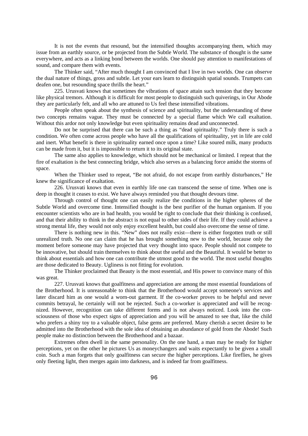It is not the events that resound, but the intensified thoughts accompanying them, which may issue from an earthly source, or be projected from the Subtle World. The substance of thought is the same everywhere, and acts as a linking bond between the worlds. One should pay attention to manifestations of sound, and compare them with events.

 The Thinker said, "After much thought I am convinced that I live in two worlds. One can observe the dual nature of things, gross and subtle. Let your ears learn to distinguish spatial sounds. Trumpets can deafen one, but resounding space thrills the heart."

 225. Urusvati knows that sometimes the vibrations of space attain such tension that they become like physical tremors. Although it is difficult for most people to distinguish such quiverings, in Our Abode they are particularly felt, and all who are attuned to Us feel these intensified vibrations.

People often speak about the synthesis of science and spirituality, but the understanding of these two concepts remains vague. They must be connected by a special flame which We call exaltation. Without this ardor not only knowledge but even spirituality remains dead and unconnected.

 Do not be surprised that there can be such a thing as "dead spirituality." Truly there is such a condition. We often come across people who have all the qualifications of spirituality, yet in life are cold and inert. What benefit is there in spirituality earned once upon a time? Like soured milk, many products can be made from it, but it is impossible to return it to its original state.

 The same also applies to knowledge, which should not be mechanical or limited. I repeat that the fire of exaltation is the best connecting bridge, which also serves as a balancing force amidst the storms of space.

 When the Thinker used to repeat, "Be not afraid, do not escape from earthly disturbances," He knew the significance of exaltation.

 226. Urusvati knows that even in earthly life one can transcend the sense of time. When one is deep in thought it ceases to exist. We have always reminded you that thought devours time.

 Through control of thought one can easily realize the conditions in the higher spheres of the Subtle World and overcome time. Intensified thought is the best purifier of the human organism. If you encounter scientists who are in bad health, you would be right to conclude that their thinking is confused, and that their ability to think in the abstract is not equal to other sides of their life. If they could achieve a strong mental life, they would not only enjoy excellent health, but could also overcome the sense of time.

 There is nothing new in this. "New" does not really exist—there is either forgotten truth or still unrealized truth. No one can claim that he has brought something new to the world, because only the moment before someone may have projected that very thought into space. People should not compete to be innovative, but should train themselves to think about the useful and the Beautiful. It would be better to think about essentials and how one can contribute the utmost good to the world. The most useful thoughts are those dedicated to Beauty. Ugliness is not fitting for evolution.

 The Thinker proclaimed that Beauty is the most essential, and His power to convince many of this was great.

 227. Urusvati knows that goalfitness and appreciation are among the most essential foundations of the Brotherhood. It is unreasonable to think that the Brotherhood would accept someone's services and later discard him as one would a worn-out garment. If the co-worker proves to be helpful and never commits betrayal, he certainly will not be rejected. Such a co-worker is appreciated and will be recognized. However, recognition can take different forms and is not always noticed. Look into the consciousness of those who expect signs of appreciation and you will be amazed to see that, like the child who prefers a shiny toy to a valuable object, false gems are preferred. Many cherish a secret desire to be admitted into the Brotherhood with the sole idea of obtaining an abundance of gold from the Abode! Such people make no distinction between the Brotherhood and a bazaar.

 Extremes often dwell in the same personality. On the one hand, a man may be ready for higher perceptions, yet on the other he pictures Us as moneychangers and waits expectantly to be given a small coin. Such a man forgets that only goalfitness can secure the higher perceptions. Like fireflies, he gives only fleeting light, then merges again into darkness, and is indeed far from goalfitness.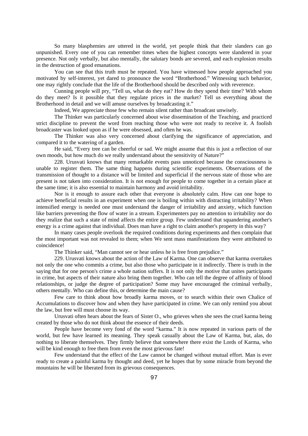So many blasphemies are uttered in the world, yet people think that their slanders can go unpunished. Every one of you can remember times when the highest concepts were slandered in your presence. Not only verbally, but also mentally, the salutary bonds are severed, and each explosion results in the destruction of good emanations.

 You can see that this truth must be repeated. You have witnessed how people approached you motivated by self-interest, yet dared to pronounce the word "Brotherhood." Witnessing such behavior, one may rightly conclude that the life of the Brotherhood should be described only with reverence.

 Cunning people will pry, "Tell us, what do they eat? How do they spend their time? With whom do they meet? Is it possible that they regulate prices in the market? Tell us everything about the Brotherhood in detail and we will amuse ourselves by broadcasting it."

Indeed, We appreciate those few who remain silent rather than broadcast unwisely.

 The Thinker was particularly concerned about wise dissemination of the Teaching, and practiced strict discipline to prevent the word from reaching those who were not ready to receive it. A foolish broadcaster was looked upon as if he were obsessed, and often he was.

 The Thinker was also very concerned about clarifying the significance of appreciation, and compared it to the watering of a garden.

 He said, "Every tree can be cheerful or sad. We might assume that this is just a reflection of our own moods, but how much do we really understand about the sensitivity of Nature?"

 228. Urusvati knows that many remarkable events pass unnoticed because the consciousness is unable to register them. The same thing happens during scientific experiments. Observations of the transmission of thought to a distance will be limited and superficial if the nervous state of those who are present is not taken into consideration. It is not enough for people to come together in a certain place at the same time; it is also essential to maintain harmony and avoid irritability.

 Nor is it enough to assure each other that everyone is absolutely calm. How can one hope to achieve beneficial results in an experiment when one is boiling within with distracting irritability? When intensified energy is needed one must understand the danger of irritability and anxiety, which function like barriers preventing the flow of water in a stream. Experimenters pay no attention to irritability nor do they realize that such a state of mind affects the entire group. Few understand that squandering another's energy is a crime against that individual. Does man have a right to claim another's property in this way?

 In many cases people overlook the required conditions during experiments and then complain that the most important was not revealed to them; when We sent mass manifestations they were attributed to coincidence!

The Thinker said, "Man cannot see or hear unless he is free from prejudice."

 229. Urusvati knows about the action of the Law of Karma. One can observe that karma overtakes not only the one who commits a crime, but also those who participate in it indirectly. There is truth in the saying that for one person's crime a whole nation suffers. It is not only the motive that unites participants in crime, but aspects of their nature also bring them together. Who can tell the degree of affinity of blood relationships, or judge the degree of participation? Some may have encouraged the criminal verbally, others mentally. Who can define this, or determine the main cause?

 Few care to think about how broadly karma moves, or to search within their own Chalice of Accumulations to discover how and when they have participated in crime. We can only remind you about the law, but free will must choose its way.

 Urusvati often hears about the fears of Sister O., who grieves when she sees the cruel karma being created by those who do not think about the essence of their deeds.

 People have become very fond of the word "karma." It is now repeated in various parts of the world, but few have learned its meaning. They speak casually about the Law of Karma, but, alas, do nothing to liberate themselves. They firmly believe that somewhere there exist the Lords of Karma, who will be kind enough to free them from even the most grievous fate!

 Few understand that the effect of the Law cannot be changed without mutual effort. Man is ever ready to create a painful karma by thought and deed, yet he hopes that by some miracle from beyond the mountains he will be liberated from its grievous consequences.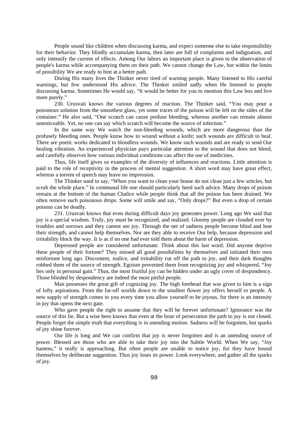People sound like children when discussing karma, and expect someone else to take responsibility for their behavior. They blindly accumulate karma, then later are full of complaints and indignation, and only intensify the current of effects. Among Our labors an important place is given to the observation of people's karma while accompanying them on their path. We cannot change the Law, but within the limits of possibility We are ready to hint at a better path.

 During His many lives the Thinker never tired of warning people. Many listened to His careful warnings, but few understood His advice. The Thinker smiled sadly when He listened to people discussing karma. Sometimes He would say, "It would be better for you to mention this Law less and live more purely."

 230. Urusvati knows the various degrees of reaction. The Thinker said, "You may pour a poisonous solution from the smoothest glass, yet some traces of the poison will be left on the sides of the container." He also said, "One scratch can cause profuse bleeding, whereas another can remain almost unnoticeable. Yet, no one can say which scratch will become the source of infection."

 In the same way We watch the non-bleeding wounds, which are more dangerous than the profusely bleeding ones. People know how to wound without a knife; such wounds are difficult to heal. There are poetic works dedicated to bloodless wounds. We know such wounds and are ready to send Our healing vibration. An experienced physician pays particular attention to the wound that does not bleed, and carefully observes how various individual conditions can affect the use of medicines.

 Thus, life itself gives us examples of the diversity of influences and reactions. Little attention is paid to the role of receptivity in the process of mental suggestion. A short word may have great effect, whereas a torrent of speech may leave no impression.

 The Thinker used to say, "When you want to clean your house do not clean just a few articles, but scrub the whole place." In communal life one should particularly heed such advice. Many drops of poison remain at the bottom of the human Chalice while people think that all the poison has been drained. We often remove such poisonous drops. Some will smile and say, "Only drops?" But even a drop of certain poisons can be deadly.

 231. Urusvati knows that even during difficult days joy generates power. Long ago We said that joy is a special wisdom. Truly, joy must be recognized, and realized. Gloomy people are clouded over by troubles and sorrows and they cannot see joy. Through the net of sadness people become blind and lose their strength, and cannot help themselves. Nor are they able to receive Our help, because depression and irritability block the way. It is as if no one had ever told them about the harm of depression.

 Depressed people are considered unfortunate. Think about this last word. Did anyone deprive these people of their fortune? They missed all good possibilities by themselves and initiated their own misfortune long ago. Discontent, malice, and irritability cut off the path to joy, and their dark thoughts robbed them of the source of strength. Egoism prevented them from recognizing joy and whispered, "Joy lies only in personal gain." Thus, the most fruitful joy can be hidden under an ugly cover of despondency. Those blinded by despondency are indeed the most pitiful people.

 Man possesses the great gift of cognizing joy. The high forehead that was given to him is a sign of lofty aspirations. From the far-off worlds down to the smallest flower joy offers herself to people. A new supply of strength comes to you every time you allow yourself to be joyous, for there is an intensity in joy that opens the next gate.

 Who gave people the right to assume that they will be forever unfortunate? Ignorance was the source of this lie. But a wise hero knows that even at the hour of persecution the path to joy is not closed. People forget the simple truth that everything is in unending motion. Sadness will be forgotten, but sparks of joy shine forever.

 Our life is long and We can confirm that joy is never forgotten and is an unending source of power. Blessed are those who are able to take their joy into the Subtle World. When We say, "Joy hastens," it really is approaching. But often people are unable to notice joy, for they have bound themselves by deliberate suggestion. Thus joy loses its power. Look everywhere, and gather all the sparks of joy.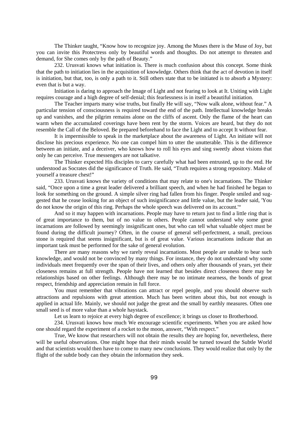The Thinker taught, "Know how to recognize joy. Among the Muses there is the Muse of Joy, but you can invite this Protectress only by beautiful words and thoughts. Do not attempt to threaten and demand, for She comes only by the path of Beauty."

 232. Urusvati knows what initiation is. There is much confusion about this concept. Some think that the path to initiation lies in the acquisition of knowledge. Others think that the act of devotion in itself is initiation, but that, too, is only a path to it. Still others state that to be initiated is to absorb a Mystery: even that is but a way.

 Initiation is daring to approach the Image of Light and not fearing to look at It. Uniting with Light requires courage and a high degree of self-denial; this fearlessness is in itself a beautiful initiation.

 The Teacher imparts many wise truths, but finally He will say, "Now walk alone, without fear." A particular tension of consciousness is required toward the end of the path. Intellectual knowledge breaks up and vanishes, and the pilgrim remains alone on the cliffs of ascent. Only the flame of the heart can warm when the accumulated coverings have been rent by the storm. Voices are heard, but they do not resemble the Call of the Beloved. Be prepared beforehand to face the Light and to accept It without fear.

 It is impermissible to speak in the marketplace about the awareness of Light. An initiate will not disclose his precious experience. No one can compel him to utter the unutterable. This is the difference between an initiate, and a deceiver, who knows how to roll his eyes and sing sweetly about visions that only he can perceive. True messengers are not talkative.

 The Thinker expected His disciples to carry carefully what had been entrusted, up to the end. He understood as Socrates did the significance of Truth. He said, "Truth requires a strong repository. Make of yourself a treasure chest!"

 233. Urusvati knows the variety of conditions that may relate to one's incarnations. The Thinker said, "Once upon a time a great leader delivered a brilliant speech, and when he had finished he began to look for something on the ground. A simple silver ring had fallen from his finger. People smiled and suggested that he cease looking for an object of such insignificance and little value, but the leader said, 'You do not know the origin of this ring. Perhaps the whole speech was delivered on its account.'"

 And so it may happen with incarnations. People may have to return just to find a little ring that is of great importance to them, but of no value to others. People cannot understand why some great incarnations are followed by seemingly insignificant ones, but who can tell what valuable object must be found during the difficult journey? Often, in the course of general self-perfectment, a small, precious stone is required that seems insignificant, but is of great value. Various incarnations indicate that an important task must be performed for the sake of general evolution.

 There are many reasons why we rarely reveal incarnations. Most people are unable to bear such knowledge, and would not be convinced by many things. For instance, they do not understand why some individuals meet frequently over the span of their lives, and others only after thousands of years, yet their closeness remains at full strength. People have not learned that besides direct closeness there may be relationships based on other feelings. Although there may be no intimate nearness, the bonds of great respect, friendship and appreciation remain in full force.

 You must remember that vibrations can attract or repel people, and you should observe such attractions and repulsions with great attention. Much has been written about this, but not enough is applied in actual life. Mainly, we should not judge the great and the small by earthly measures. Often one small seed is of more value than a whole haystack.

Let us learn to rejoice at every high degree of excellence; it brings us closer to Brotherhood.

 234. Urusvati knows how much We encourage scientific experiments. When you are asked how one should regard the experiment of a rocket to the moon, answer, "With respect."

 True, We know that researchers will not obtain the results they are hoping for, nevertheless, there will be useful observations. One might hope that their minds would be turned toward the Subtle World and that scientists would then have to come to many new conclusions. They would realize that only by the flight of the subtle body can they obtain the information they seek.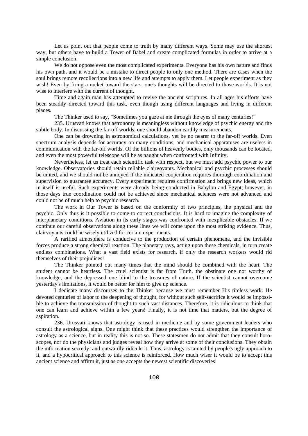Let us point out that people come to truth by many different ways. Some may use the shortest way, but others have to build a Tower of Babel and create complicated formulas in order to arrive at a simple conclusion.

We do not oppose even the most complicated experiments. Everyone has his own nature and finds his own path, and it would be a mistake to direct people to only one method. There are cases when the soul brings remote recollections into a new life and attempts to apply them. Let people experiment as they wish! Even by firing a rocket toward the stars, one's thoughts will be directed to those worlds. It is not wise to interfere with the current of thought.

 Time and again man has attempted to revive the ancient scriptures. In all ages his efforts have been steadily directed toward this task, even though using different languages and living in different places.

The Thinker used to say, "Sometimes you gaze at me through the eyes of many centuries!"

 235. Urusvati knows that astronomy is meaningless without knowledge of psychic energy and the subtle body. In discussing the far-off worlds, one should abandon earthly measurements.

 One can be drowning in astronomical calculations, yet be no nearer to the far-off worlds. Even spectrum analysis depends for accuracy on many conditions, and mechanical apparatuses are useless in communication with the far-off worlds. Of the billions of heavenly bodies, only thousands can be located, and even the most powerful telescope will be as naught when confronted with Infinity.

 Nevertheless, let us treat each scientific task with respect, but we must add psychic power to our knowledge. Observatories should retain reliable clairvoyants. Mechanical and psychic processes should be united, and we should not be annoyed if the indicated cooperation requires thorough coordination and supervision to guarantee accuracy. Every experiment requires confirmation and brings new ideas, which in itself is useful. Such experiments were already being conducted in Babylon and Egypt; however, in those days true coordination could not be achieved since mechanical sciences were not advanced and could not be of much help to psychic research.

 The work in Our Tower is based on the conformity of two principles, the physical and the psychic. Only thus is it possible to come to correct conclusions. It is hard to imagine the complexity of interplanetary conditions. Aviation in its early stages was confronted with inexplicable obstacles. If we continue our careful observations along these lines we will come upon the most striking evidence. Thus, clairvoyants could be wisely utilized for certain experiments.

 A rarified atmosphere is conducive to the production of certain phenomena, and the invisible forces produce a strong chemical reaction. The planetary rays, acting upon these chemicals, in turn create endless combinations. What a vast field exists for research, if only the research workers would rid themselves of their prejudices!

 The Thinker pointed out many times that the mind should be combined with the heart. The student cannot be heartless. The cruel scientist is far from Truth, the obstinate one not worthy of knowledge, and the depressed one blind to the treasures of nature. If the scientist cannot overcome yesterday's limitations, it would be better for him to give up science.

 I dedicate many discourses to the Thinker because we must remember His tireless work. He devoted centuries of labor to the deepening of thought, for without such self-sacrifice it would be impossible to achieve the transmission of thought to such vast distances. Therefore, it is ridiculous to think that one can learn and achieve within a few years! Finally, it is not time that matters, but the degree of aspiration.

 236. Urusvati knows that astrology is used in medicine and by some government leaders who consult the astrological signs. One might think that these practices would strengthen the importance of astrology as a science, but in reality this is not so. These statesmen do not admit that they consult horoscopes, nor do the physicians and judges reveal how they arrive at some of their conclusions. They obtain the information secretly, and outwardly ridicule it. Thus, astrology is tainted by people's ugly approach to it, and a hypocritical approach to this science is reinforced. How much wiser it would be to accept this ancient science and affirm it, just as one accepts the newest scientific discoveries!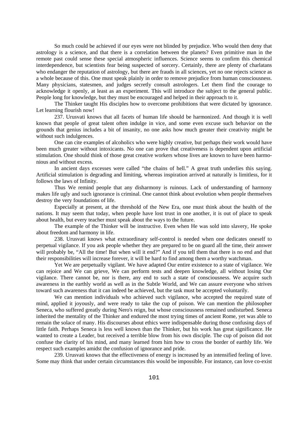So much could be achieved if our eyes were not blinded by prejudice. Who would then deny that astrology is a science, and that there is a correlation between the planets? Even primitive man in the remote past could sense these special atmospheric influences. Science seems to confirm this chemical interdependence, but scientists fear being suspected of sorcery. Certainly, there are plenty of charlatans who endanger the reputation of astrology, but there are frauds in all sciences, yet no one rejects science as a whole because of this. One must speak plainly in order to remove prejudice from human consciousness. Many physicians, statesmen, and judges secretly consult astrologers. Let them find the courage to acknowledge it openly, at least as an experiment. This will introduce the subject to the general public. People long for knowledge, but they must be encouraged and helped in their approach to it.

 The Thinker taught His disciples how to overcome prohibitions that were dictated by ignorance. Let learning flourish now!

 237. Urusvati knows that all facets of human life should be harmonized. And though it is well known that people of great talent often indulge in vice, and some even excuse such behavior on the grounds that genius includes a bit of insanity, no one asks how much greater their creativity might be without such indulgences.

 One can cite examples of alcoholics who were highly creative, but perhaps their work would have been much greater without intoxicants. No one can prove that creativeness is dependent upon artificial stimulation. One should think of those great creative workers whose lives are known to have been harmonious and without excess.

 In ancient days excesses were called "the chains of hell." A great truth underlies this saying. Artificial stimulation is degrading and limiting, whereas inspiration arrived at naturally is limitless, for it follows the laws of Infinity.

 Thus We remind people that any disharmony is ruinous. Lack of understanding of harmony makes life ugly and such ignorance is criminal. One cannot think about evolution when people themselves destroy the very foundations of life.

 Especially at present, at the threshold of the New Era, one must think about the health of the nations. It may seem that today, when people have lost trust in one another, it is out of place to speak about health, but every teacher must speak about the ways to the future.

 The example of the Thinker will be instructive. Even when He was sold into slavery, He spoke about freedom and harmony in life.

 238. Urusvati knows what extraordinary self-control is needed when one dedicates oneself to perpetual vigilance. If you ask people whether they are prepared to be on guard all the time, their answer will probably be, "All the time! But when will it end?" And if you tell them that there is no end and that their responsibilities will increase forever, it will be hard to find among them a worthy watchman.

 Yet We are perpetually vigilant. We have adapted Our entire existence to a state of vigilance. We can rejoice and We can grieve, We can perform tests and deepen knowledge, all without losing Our vigilance. There cannot be, nor is there, any end to such a state of consciousness. We acquire such awareness in the earthly world as well as in the Subtle World, and We can assure everyone who strives toward such awareness that it can indeed be achieved, but the task must be accepted voluntarily.

 We can mention individuals who achieved such vigilance, who accepted the required state of mind, applied it joyously, and were ready to take the cup of poison. We can mention the philosopher Seneca, who suffered greatly during Nero's reign, but whose consciousness remained undisturbed. Seneca inherited the mentality of the Thinker and endured the most trying times of ancient Rome, yet was able to remain the solace of many. His discourses about ethics were indispensable during those confusing days of little faith. Perhaps Seneca is less well known than the Thinker, but his work has great significance. He wanted to create a Leader, but received a terrible blow from his own disciple. The cup of poison did not confuse the clarity of his mind, and many learned from him how to cross the border of earthly life. We respect such examples amidst the confusion of ignorance and pride.

 239. Urusvati knows that the effectiveness of energy is increased by an intensified feeling of love. Some may think that under certain circumstances this would be impossible. For instance, can love co-exist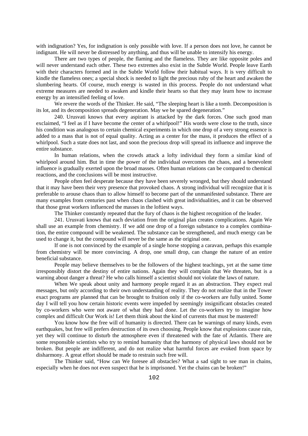with indignation? Yes, for indignation is only possible with love. If a person does not love, he cannot be indignant. He will never be distressed by anything, and thus will be unable to intensify his energy.

 There are two types of people, the flaming and the flameless. They are like opposite poles and will never understand each other. These two extremes also exist in the Subtle World. People leave Earth with their characters formed and in the Subtle World follow their habitual ways. It is very difficult to kindle the flameless ones; a special shock is needed to light the precious ruby of the heart and awaken the slumbering hearts. Of course, much energy is wasted in this process. People do not understand what extreme measures are needed to awaken and kindle their hearts so that they may learn how to increase energy by an intensified feeling of love.

 We revere the words of the Thinker. He said, "The sleeping heart is like a tomb. Decomposition is its lot, and its decomposition spreads degeneration. May we be spared degeneration."

 240. Urusvati knows that every aspirant is attacked by the dark forces. One such good man exclaimed, "I feel as if I have become the center of a whirlpool!" His words were close to the truth, since his condition was analogous to certain chemical experiments in which one drop of a very strong essence is added to a mass that is not of equal quality. Acting as a center for the mass, it produces the effect of a whirlpool. Such a state does not last, and soon the precious drop will spread its influence and improve the entire substance.

 In human relations, when the crowds attack a lofty individual they form a similar kind of whirlpool around him. But in time the power of the individual overcomes the chaos, and a benevolent influence is gradually exerted upon the broad masses. Often human relations can be compared to chemical reactions, and the conclusions will be most instructive.

 People often feel desperate because they have been severely wronged, but they should understand that it may have been their very presence that provoked chaos. A strong individual will recognize that it is preferable to arouse chaos than to allow himself to become part of the unmanifested substance. There are many examples from centuries past when chaos clashed with great individualities, and it can be observed that those great workers influenced the masses in the loftiest ways.

The Thinker constantly repeated that the fury of chaos is the highest recognition of the leader.

 241. Urusvati knows that each deviation from the original plan creates complications. Again We shall use an example from chemistry. If we add one drop of a foreign substance to a complex combination, the entire compound will be weakened. The substance can be strengthened, and much energy can be used to change it, but the compound will never be the same as the original one.

 If one is not convinced by the example of a single horse stopping a caravan, perhaps this example from chemistry will be more convincing. A drop, one small drop, can change the nature of an entire beneficial substance.

 People may believe themselves to be the followers of the highest teachings, yet at the same time irresponsibly distort the destiny of entire nations. Again they will complain that We threaten, but is a warning about danger a threat? He who calls himself a scientist should not violate the laws of nature.

 When We speak about unity and harmony people regard it as an abstraction. They expect real messages, but only according to their own understanding of reality. They do not realize that in the Tower exact programs are planned that can be brought to fruition only if the co-workers are fully united. Some day I will tell you how certain historic events were impeded by seemingly insignificant obstacles created by co-workers who were not aware of what they had done. Let the co-workers try to imagine how complex and difficult Our Work is! Let them think about the kind of currents that must be mastered!

 You know how the free will of humanity is directed. There can be warnings of many kinds, even earthquakes, but free will prefers destruction of its own choosing. People know that explosions cause rain, yet they will continue to disturb the atmosphere even if threatened with the fate of Atlantis. There are some responsible scientists who try to remind humanity that the harmony of physical laws should not be broken. But people are indifferent, and do not realize what harmful forces are evoked from space by disharmony. A great effort should be made to restrain such free will.

 The Thinker said, "How can We foresee all obstacles? What a sad sight to see man in chains, especially when he does not even suspect that he is imprisoned. Yet the chains can be broken!"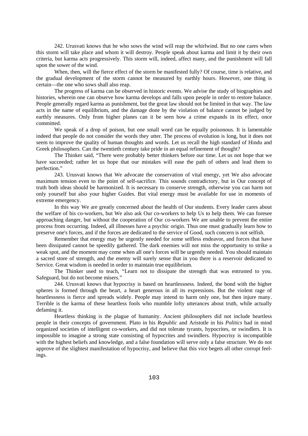242. Urusvati knows that he who sows the wind will reap the whirlwind. But no one cares when this storm will take place and whom it will destroy. People speak about karma and limit it by their own criteria, but karma acts progressively. This storm will, indeed, affect many, and the punishment will fall upon the sower of the wind.

 When, then, will the fierce effect of the storm be manifested fully? Of course, time is relative, and the gradual development of the storm cannot be measured by earthly hours. However, one thing is certain—the one who sows shall also reap.

 The progress of karma can be observed in historic events. We advise the study of biographies and histories, wherein one can observe how karma develops and falls upon people in order to restore balance. People generally regard karma as punishment, but the great law should not be limited in that way. The law acts in the name of equilibrium, and the damage done by the violation of balance cannot be judged by earthly measures. Only from higher planes can it be seen how a crime expands in its effect, once committed.

We speak of a drop of poison, but one small word can be equally poisonous. It is lamentable indeed that people do not consider the words they utter. The process of evolution is long, but it does not seem to improve the quality of human thoughts and words. Let us recall the high standard of Hindu and Greek philosophers. Can the twentieth century take pride in an equal refinement of thought?

 The Thinker said, "There were probably better thinkers before our time. Let us not hope that we have succeeded; rather let us hope that our mistakes will ease the path of others and lead them to perfection."

 243. Urusvati knows that We advocate the conservation of vital energy, yet We also advocate maximum tension even to the point of self-sacrifice. This sounds contradictory, but in Our concept of truth both ideas should be harmonized. It is necessary to conserve strength, otherwise you can harm not only yourself but also your higher Guides. But vital energy must be available for use in moments of extreme emergency.

 In this way We are greatly concerned about the health of Our students. Every leader cares about the welfare of his co-workers, but We also ask Our co-workers to help Us to help them. We can foresee approaching danger, but without the cooperation of Our co-workers We are unable to prevent the entire process from occurring. Indeed, all illnesses have a psychic origin. Thus one must gradually learn how to preserve one's forces, and if the forces are dedicated to the service of Good, such concern is not selfish.

 Remember that energy may be urgently needed for some selfless endeavor, and forces that have been dissipated cannot be speedily gathered. The dark enemies will not miss the opportunity to strike a weak spot, and the moment may come when all one's forces will be urgently needed. You should maintain a sacred store of strength, and the enemy will surely sense that in you there is a reservoir dedicated to Service. Great wisdom is needed in order to maintain true equilibrium.

 The Thinker used to teach, "Learn not to dissipate the strength that was entrusted to you. Safeguard, but do not become misers."

 244. Urusvati knows that hypocrisy is based on heartlessness. Indeed, the bond with the higher spheres is formed through the heart, a heart generous in all its expressions. But the violent rage of heartlessness is fierce and spreads widely. People may intend to harm only one, but then injure many. Terrible is the karma of these heartless fools who mumble lofty utterances about truth, while actually defaming it.

 Heartless thinking is the plague of humanity. Ancient philosophers did not include heartless people in their concepts of government. Plato in his *Republic* and Aristotle in his *Politics* had in mind organized societies of intelligent co-workers, and did not tolerate tyrants, hypocrites, or swindlers. It is impossible to imagine a strong state consisting of hypocrites and swindlers. Hypocrisy is incompatible with the highest beliefs and knowledge, and a false foundation will serve only a false structure. We do not approve of the slightest manifestation of hypocrisy, and believe that this vice begets all other corrupt feelings.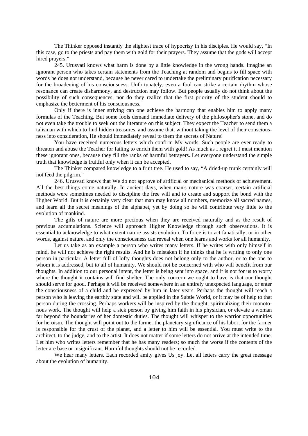The Thinker opposed instantly the slightest trace of hypocrisy in his disciples. He would say, "In this case, go to the priests and pay them with gold for their prayers. They assume that the gods will accept hired prayers."

 245. Urusvati knows what harm is done by a little knowledge in the wrong hands. Imagine an ignorant person who takes certain statements from the Teaching at random and begins to fill space with words he does not understand, because he never cared to undertake the preliminary purification necessary for the broadening of his consciousness. Unfortunately, even a fool can strike a certain rhythm whose resonance can create disharmony, and destruction may follow. But people usually do not think about the possibility of such consequences, nor do they realize that the first priority of the student should to emphasize the betterment of his consciousness.

 Only if there is inner striving can one achieve the harmony that enables him to apply many formulas of the Teaching. But some fools demand immediate delivery of the philosopher's stone, and do not even take the trouble to seek out the literature on this subject. They expect the Teacher to send them a talisman with which to find hidden treasures, and assume that, without taking the level of their consciousness into consideration, He should immediately reveal to them the secrets of Nature!

 You have received numerous letters which confirm My words. Such people are ever ready to threaten and abuse the Teacher for failing to enrich them with gold! As much as I regret it I must mention these ignorant ones, because they fill the ranks of harmful betrayers. Let everyone understand the simple truth that knowledge is fruitful only when it can be accepted.

 The Thinker compared knowledge to a fruit tree. He used to say, "A dried-up trunk certainly will not feed the pilgrim."

 246. Urusvati knows that We do not approve of artificial or mechanical methods of achievement. All the best things come naturally. In ancient days, when man's nature was coarser, certain artificial methods were sometimes needed to discipline the free will and to create and support the bond with the Higher World. But it is certainly very clear that man may know all numbers, memorize all sacred names, and learn all the secret meanings of the alphabet, yet by doing so he will contribute very little to the evolution of mankind.

 The gifts of nature are more precious when they are received naturally and as the result of previous accumulations. Science will approach Higher Knowledge through such observations. It is essential to acknowledge to what extent nature assists evolution. To force is to act fanatically, or in other words, against nature, and only the consciousness can reveal when one learns and works for all humanity.

 Let us take as an example a person who writes many letters. If he writes with only himself in mind, he will not achieve the right results. And he is mistaken if he thinks that he is writing to only one person in particular. A letter full of lofty thoughts does not belong only to the author, or to the one to whom it is addressed, but to all of humanity. We should not be concerned with who will benefit from our thoughts. In addition to our personal intent, the letter is being sent into space, and it is not for us to worry where the thought it contains will find shelter. The only concern we ought to have is that our thought should serve for good. Perhaps it will be received somewhere in an entirely unexpected language, or enter the consciousness of a child and be expressed by him in later years. Perhaps the thought will reach a person who is leaving the earthly state and will be applied in the Subtle World, or it may be of help to that person during the crossing. Perhaps workers will be inspired by the thought, spiritualizing their monotonous work. The thought will help a sick person by giving him faith in his physician, or elevate a woman far beyond the boundaries of her domestic duties. The thought will whisper to the warrior opportunities for heroism. The thought will point out to the farmer the planetary significance of his labor, for the farmer is responsible for the crust of the planet, and a letter to him will be essential. You must write to the architect, to the judge, and to the artist. It does not matter if some letters do not arrive at the intended time. Let him who writes letters remember that he has many readers; so much the worse if the contents of the letter are base or insignificant. Harmful thoughts should not be recorded.

We hear many letters. Each recorded amity gives Us joy. Let all letters carry the great message about the evolution of humanity.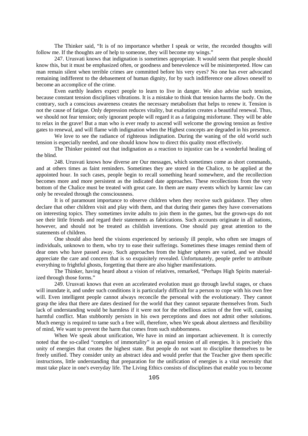The Thinker said, "It is of no importance whether I speak or write, the recorded thoughts will follow me. If the thoughts are of help to someone, they will become my wings."

 247. Urusvati knows that indignation is sometimes appropriate. It would seem that people should know this, but it must be emphasized often, or goodness and benevolence will be misinterpreted. How can man remain silent when terrible crimes are committed before his very eyes? No one has ever advocated remaining indifferent to the debasement of human dignity, for by such indifference one allows oneself to become an accomplice of the crime.

 Even earthly leaders expect people to learn to live in danger. We also advise such tension, because constant tension disciplines vibrations. It is a mistake to think that tension harms the body. On the contrary, such a conscious awareness creates the necessary metabolism that helps to renew it. Tension is not the cause of fatigue. Only depression reduces vitality, but exaltation creates a beautiful renewal. Thus, we should not fear tension; only ignorant people will regard it as a fatiguing misfortune. They will be able to relax in the grave! But a man who is ever ready to ascend will welcome the growing tension as festive gates to renewal, and will flame with indignation when the Highest concepts are degraded in his presence.

 We love to see the radiance of righteous indignation. During the waning of the old world such tension is especially needed, and one should know how to direct this quality most effectively.

 The Thinker pointed out that indignation as a reaction to injustice can be a wonderful healing of the blind.

 248. Urusvati knows how diverse are Our messages, which sometimes come as short commands, and at others times as faint reminders. Sometimes they are stored in the Chalice, to be applied at the appointed hour. In such cases, people begin to recall something heard somewhere, and the recollection becomes more and more persistent as the indicated date approaches. These recollections from the very bottom of the Chalice must be treated with great care. In them are many events which by karmic law can only be revealed through the consciousness.

 It is of paramount importance to observe children when they receive such guidance. They often declare that other children visit and play with them, and that during their games they have conversations on interesting topics. They sometimes invite adults to join them in the games, but the grown-ups do not see their little friends and regard their statements as fabrications. Such accounts originate in all nations, however, and should not be treated as childish inventions. One should pay great attention to the statements of children.

 One should also heed the visions experienced by seriously ill people, who often see images of individuals, unknown to them, who try to ease their sufferings. Sometimes these images remind them of dear ones who have passed away. Such approaches from the higher spheres are varied, and we should appreciate the care and concern that is so exquisitely revealed. Unfortunately, people prefer to attribute everything to frightful ghosts, forgetting that there are also higher manifestations.

 The Thinker, having heard about a vision of relatives, remarked, "Perhaps High Spirits materialized through those forms."

 249. Urusvati knows that even an accelerated evolution must go through lawful stages, or chaos will inundate it, and under such conditions it is particularly difficult for a person to cope with his own free will. Even intelligent people cannot always reconcile the personal with the evolutionary. They cannot grasp the idea that there are dates destined for the world that they cannot separate themselves from. Such lack of understanding would be harmless if it were not for the rebellious action of the free will, causing harmful conflict. Man stubbornly persists in his own perceptions and does not admit other solutions. Much energy is required to tame such a free will, therefore, when We speak about alertness and flexibility of mind, We want to prevent the harm that comes from such stubbornness.

 When We speak about unification, We have in mind an important achievement. It is correctly noted that the so-called "complex of immortality" is an equal tension of all energies. It is precisely this unity of energies that creates the highest state. But people do not want to discipline themselves to be freely unified. They consider unity an abstract idea and would prefer that the Teacher give them specific instructions, little understanding that preparation for the unification of energies is a vital necessity that must take place in one's everyday life. The Living Ethics consists of disciplines that enable you to become